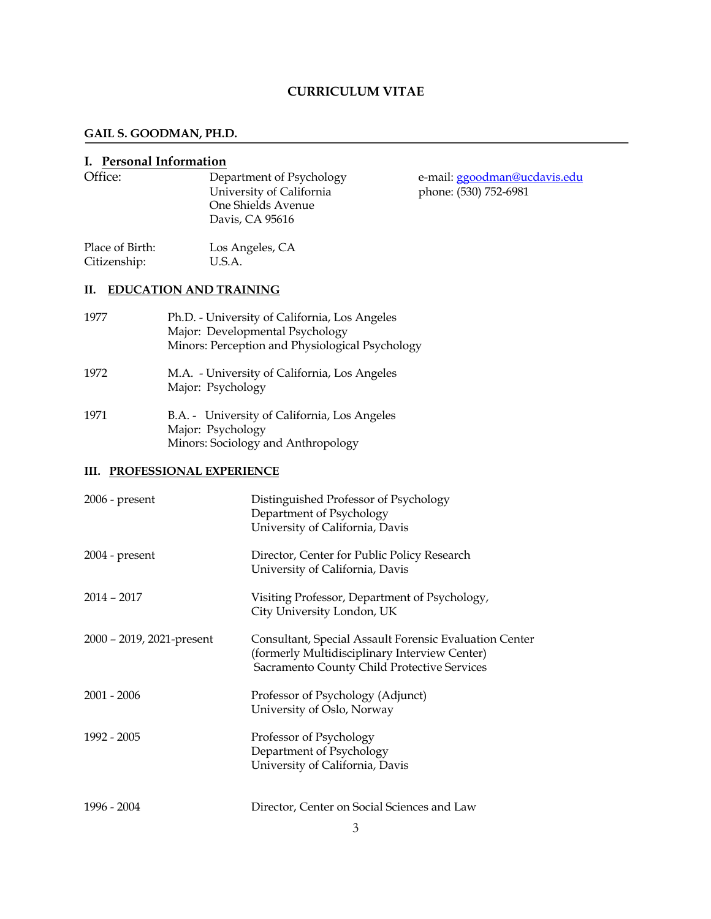# **CURRICULUM VITAE**

## **GAIL S. GOODMAN, PH.D.**

# **I. Personal Information**

| Office:                         | Department of Psychology<br>University of California<br>One Shields Avenue<br>Davis, CA 95616                                       | e-mail: ggoodman@ucdavis.edu<br>phone: (530) 752-6981 |
|---------------------------------|-------------------------------------------------------------------------------------------------------------------------------------|-------------------------------------------------------|
| Place of Birth:<br>Citizenship: | Los Angeles, CA<br>U.S.A.                                                                                                           |                                                       |
| П.                              | <b>EDUCATION AND TRAINING</b>                                                                                                       |                                                       |
| 1977                            | Ph.D. - University of California, Los Angeles<br>Major: Developmental Psychology<br>Minors: Perception and Physiological Psychology |                                                       |
| 1972                            | M.A. - University of California, Los Angeles<br>Major: Psychology                                                                   |                                                       |
| 1971                            | B.A. - University of California, Los Angeles<br>Major: Psychology<br>Minors: Sociology and Anthropology                             |                                                       |
|                                 | <b>III. PROFESSIONAL EXPERIENCE</b>                                                                                                 |                                                       |
| $2006$ - present                | Distinguished Professor of Psychology<br>Denartment of Psychology                                                                   |                                                       |

|                           | Department of Feverloogy<br>University of California, Davis                                                                                            |
|---------------------------|--------------------------------------------------------------------------------------------------------------------------------------------------------|
| $2004$ - present          | Director, Center for Public Policy Research<br>University of California, Davis                                                                         |
| $2014 - 2017$             | Visiting Professor, Department of Psychology,<br>City University London, UK                                                                            |
| 2000 - 2019, 2021-present | Consultant, Special Assault Forensic Evaluation Center<br>(formerly Multidisciplinary Interview Center)<br>Sacramento County Child Protective Services |
| $2001 - 2006$             | Professor of Psychology (Adjunct)<br>University of Oslo, Norway                                                                                        |
| 1992 - 2005               | Professor of Psychology<br>Department of Psychology<br>University of California, Davis                                                                 |
| 1996 - 2004               | Director, Center on Social Sciences and Law                                                                                                            |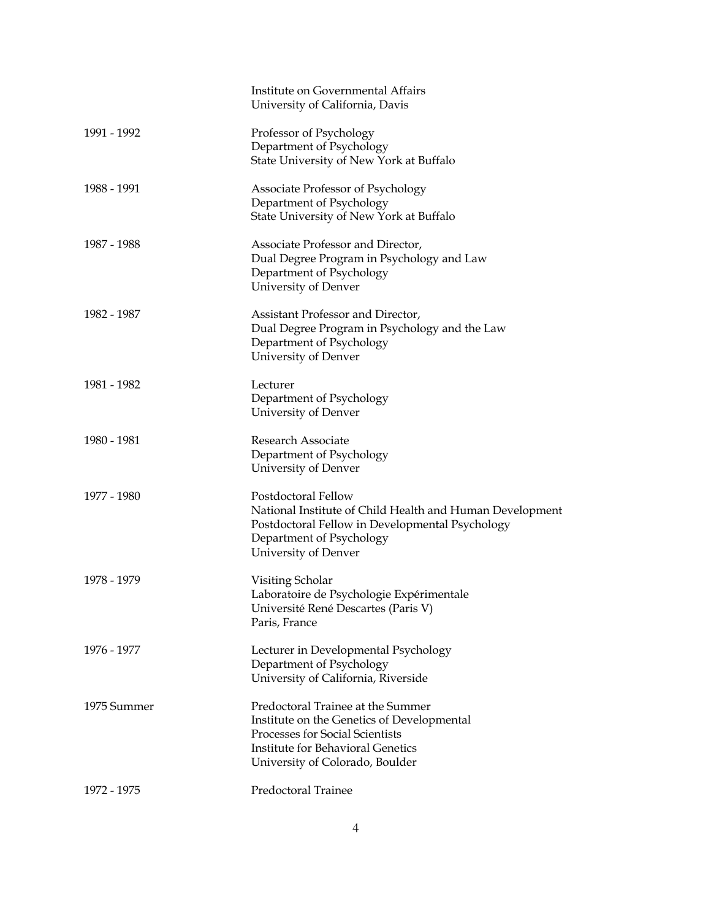|             | Institute on Governmental Affairs<br>University of California, Davis                                                                                                                              |
|-------------|---------------------------------------------------------------------------------------------------------------------------------------------------------------------------------------------------|
| 1991 - 1992 | Professor of Psychology<br>Department of Psychology<br>State University of New York at Buffalo                                                                                                    |
| 1988 - 1991 | Associate Professor of Psychology<br>Department of Psychology<br>State University of New York at Buffalo                                                                                          |
| 1987 - 1988 | Associate Professor and Director,<br>Dual Degree Program in Psychology and Law<br>Department of Psychology<br>University of Denver                                                                |
| 1982 - 1987 | Assistant Professor and Director,<br>Dual Degree Program in Psychology and the Law<br>Department of Psychology<br>University of Denver                                                            |
| 1981 - 1982 | Lecturer<br>Department of Psychology<br>University of Denver                                                                                                                                      |
| 1980 - 1981 | Research Associate<br>Department of Psychology<br>University of Denver                                                                                                                            |
| 1977 - 1980 | Postdoctoral Fellow<br>National Institute of Child Health and Human Development<br>Postdoctoral Fellow in Developmental Psychology<br>Department of Psychology<br>University of Denver            |
| 1978 - 1979 | Visiting Scholar<br>Laboratoire de Psychologie Expérimentale<br>Université René Descartes (Paris V)<br>Paris, France                                                                              |
| 1976 - 1977 | Lecturer in Developmental Psychology<br>Department of Psychology<br>University of California, Riverside                                                                                           |
| 1975 Summer | Predoctoral Trainee at the Summer<br>Institute on the Genetics of Developmental<br>Processes for Social Scientists<br><b>Institute for Behavioral Genetics</b><br>University of Colorado, Boulder |
| 1972 - 1975 | Predoctoral Trainee                                                                                                                                                                               |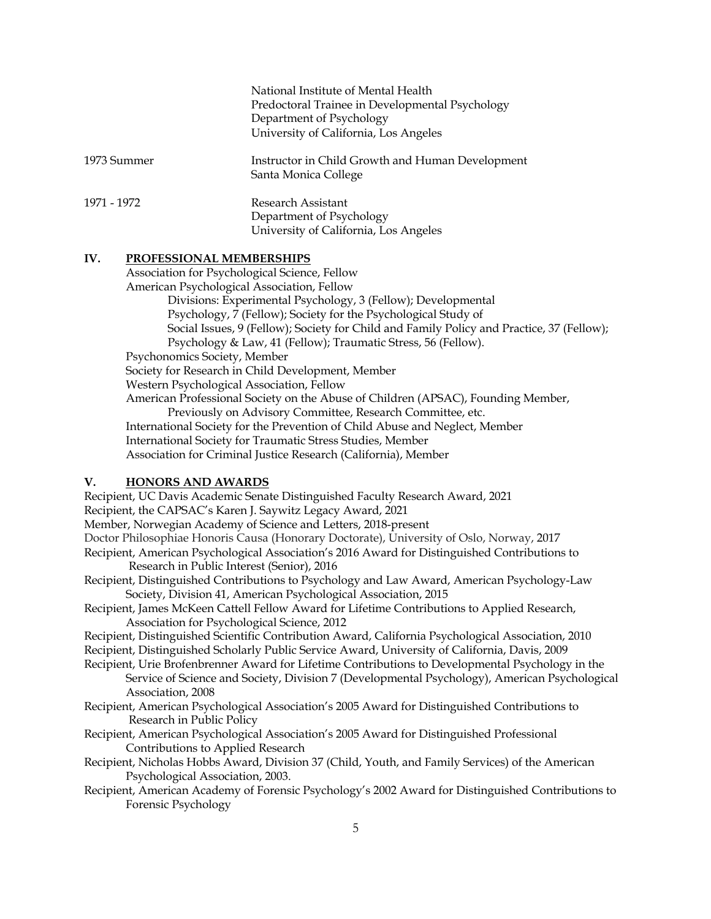|             | National Institute of Mental Health<br>Predoctoral Trainee in Developmental Psychology<br>Department of Psychology<br>University of California, Los Angeles |
|-------------|-------------------------------------------------------------------------------------------------------------------------------------------------------------|
| 1973 Summer | Instructor in Child Growth and Human Development<br>Santa Monica College                                                                                    |
| 1971 - 1972 | Research Assistant<br>Department of Psychology<br>University of California, Los Angeles                                                                     |

#### **IV. PROFESSIONAL MEMBERSHIPS**

Association for Psychological Science, Fellow

American Psychological Association, Fellow

Divisions: Experimental Psychology, 3 (Fellow); Developmental Psychology, 7 (Fellow); Society for the Psychological Study of Social Issues, 9 (Fellow); Society for Child and Family Policy and Practice, 37 (Fellow); Psychology & Law, 41 (Fellow); Traumatic Stress, 56 (Fellow).

Psychonomics Society, Member

Society for Research in Child Development, Member

Western Psychological Association, Fellow

American Professional Society on the Abuse of Children (APSAC), Founding Member,

Previously on Advisory Committee, Research Committee, etc.

International Society for the Prevention of Child Abuse and Neglect, Member

International Society for Traumatic Stress Studies, Member

Association for Criminal Justice Research (California), Member

### **V. HONORS AND AWARDS**

Recipient, UC Davis Academic Senate Distinguished Faculty Research Award, 2021 Recipient, the CAPSAC's Karen J. Saywitz Legacy Award, 2021 Member, Norwegian Academy of Science and Letters, 2018-present Doctor Philosophiae Honoris Causa (Honorary Doctorate), University of Oslo, Norway, 2017 Recipient, American Psychological Association's 2016 Award for Distinguished Contributions to Research in Public Interest (Senior), 2016 Recipient, Distinguished Contributions to Psychology and Law Award, American Psychology-Law Society, Division 41, American Psychological Association, 2015 Recipient, James McKeen Cattell Fellow Award for Lifetime Contributions to Applied Research, Association for Psychological Science, 2012 Recipient, Distinguished Scientific Contribution Award, California Psychological Association, 2010 Recipient, Distinguished Scholarly Public Service Award, University of California, Davis, 2009 Recipient, Urie Brofenbrenner Award for Lifetime Contributions to Developmental Psychology in the Service of Science and Society, Division 7 (Developmental Psychology), American Psychological Association, 2008 Recipient, American Psychological Association's 2005 Award for Distinguished Contributions to Research in Public Policy Recipient, American Psychological Association's 2005 Award for Distinguished Professional Contributions to Applied Research

Recipient, Nicholas Hobbs Award, Division 37 (Child, Youth, and Family Services) of the American Psychological Association, 2003.

Recipient, American Academy of Forensic Psychology's 2002 Award for Distinguished Contributions to Forensic Psychology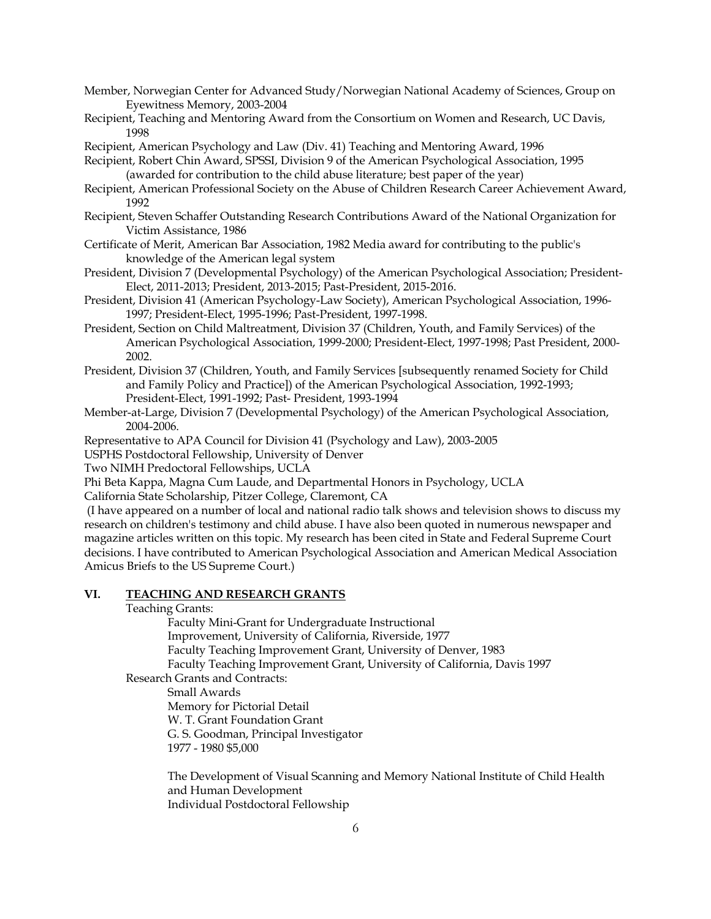- Member, Norwegian Center for Advanced Study/Norwegian National Academy of Sciences, Group on Eyewitness Memory, 2003-2004
- Recipient, Teaching and Mentoring Award from the Consortium on Women and Research, UC Davis, 1998

Recipient, American Psychology and Law (Div. 41) Teaching and Mentoring Award, 1996

Recipient, Robert Chin Award, SPSSI, Division 9 of the American Psychological Association, 1995 (awarded for contribution to the child abuse literature; best paper of the year)

- Recipient, American Professional Society on the Abuse of Children Research Career Achievement Award, 1992
- Recipient, Steven Schaffer Outstanding Research Contributions Award of the National Organization for Victim Assistance, 1986
- Certificate of Merit, American Bar Association, 1982 Media award for contributing to the public's knowledge of the American legal system
- President, Division 7 (Developmental Psychology) of the American Psychological Association; President-Elect, 2011-2013; President, 2013-2015; Past-President, 2015-2016.
- President, Division 41 (American Psychology-Law Society), American Psychological Association, 1996- 1997; President-Elect, 1995-1996; Past-President, 1997-1998.
- President, Section on Child Maltreatment, Division 37 (Children, Youth, and Family Services) of the American Psychological Association, 1999-2000; President-Elect, 1997-1998; Past President, 2000- 2002.
- President, Division 37 (Children, Youth, and Family Services [subsequently renamed Society for Child and Family Policy and Practice]) of the American Psychological Association, 1992-1993; President-Elect, 1991-1992; Past- President, 1993-1994
- Member-at-Large, Division 7 (Developmental Psychology) of the American Psychological Association, 2004-2006.

Representative to APA Council for Division 41 (Psychology and Law), 2003-2005

USPHS Postdoctoral Fellowship, University of Denver

Two NIMH Predoctoral Fellowships, UCLA

Phi Beta Kappa, Magna Cum Laude, and Departmental Honors in Psychology, UCLA

California State Scholarship, Pitzer College, Claremont, CA

(I have appeared on a number of local and national radio talk shows and television shows to discuss my research on children's testimony and child abuse. I have also been quoted in numerous newspaper and magazine articles written on this topic. My research has been cited in State and Federal Supreme Court decisions. I have contributed to American Psychological Association and American Medical Association Amicus Briefs to the US Supreme Court.)

### **VI. TEACHING AND RESEARCH GRANTS**

Teaching Grants:

Faculty Mini-Grant for Undergraduate Instructional Improvement, University of California, Riverside, 1977

Faculty Teaching Improvement Grant, University of Denver, 1983

Faculty Teaching Improvement Grant, University of California, Davis 1997

Research Grants and Contracts:

Small Awards

Memory for Pictorial Detail W. T. Grant Foundation Grant G. S. Goodman, Principal Investigator 1977 - 1980 \$5,000

The Development of Visual Scanning and Memory National Institute of Child Health and Human Development Individual Postdoctoral Fellowship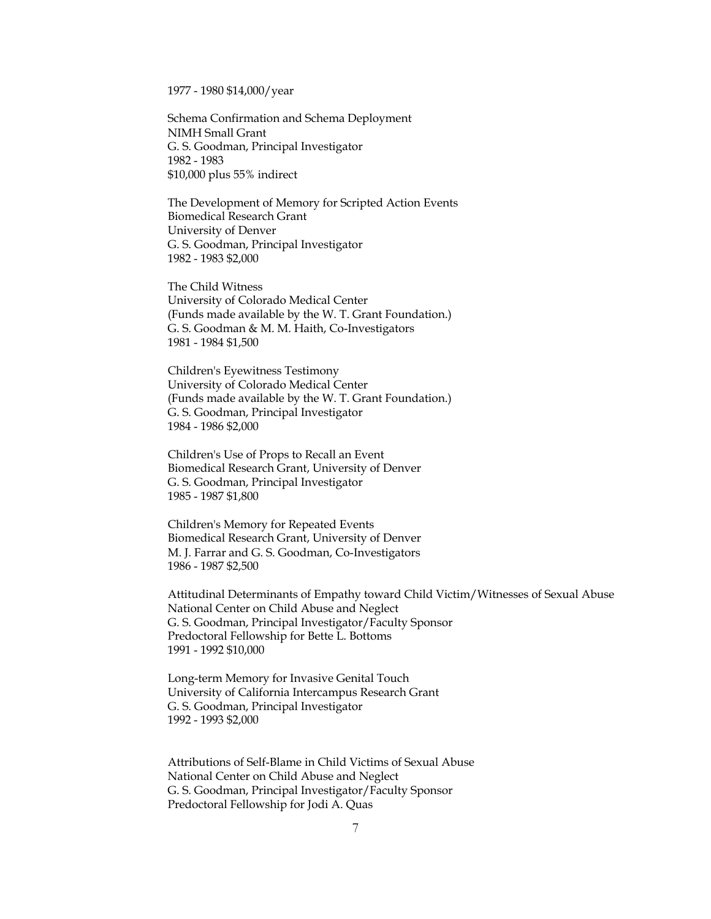1977 - 1980 \$14,000/year

Schema Confirmation and Schema Deployment NIMH Small Grant G. S. Goodman, Principal Investigator 1982 - 1983 \$10,000 plus 55% indirect

The Development of Memory for Scripted Action Events Biomedical Research Grant University of Denver G. S. Goodman, Principal Investigator 1982 - 1983 \$2,000

The Child Witness University of Colorado Medical Center (Funds made available by the W. T. Grant Foundation.) G. S. Goodman & M. M. Haith, Co-Investigators 1981 - 1984 \$1,500

Children's Eyewitness Testimony University of Colorado Medical Center (Funds made available by the W. T. Grant Foundation.) G. S. Goodman, Principal Investigator 1984 - 1986 \$2,000

Children's Use of Props to Recall an Event Biomedical Research Grant, University of Denver G. S. Goodman, Principal Investigator 1985 - 1987 \$1,800

Children's Memory for Repeated Events Biomedical Research Grant, University of Denver M. J. Farrar and G. S. Goodman, Co-Investigators 1986 - 1987 \$2,500

Attitudinal Determinants of Empathy toward Child Victim/Witnesses of Sexual Abuse National Center on Child Abuse and Neglect G. S. Goodman, Principal Investigator/Faculty Sponsor Predoctoral Fellowship for Bette L. Bottoms 1991 - 1992 \$10,000

Long-term Memory for Invasive Genital Touch University of California Intercampus Research Grant G. S. Goodman, Principal Investigator 1992 - 1993 \$2,000

Attributions of Self-Blame in Child Victims of Sexual Abuse National Center on Child Abuse and Neglect G. S. Goodman, Principal Investigator/Faculty Sponsor Predoctoral Fellowship for Jodi A. Quas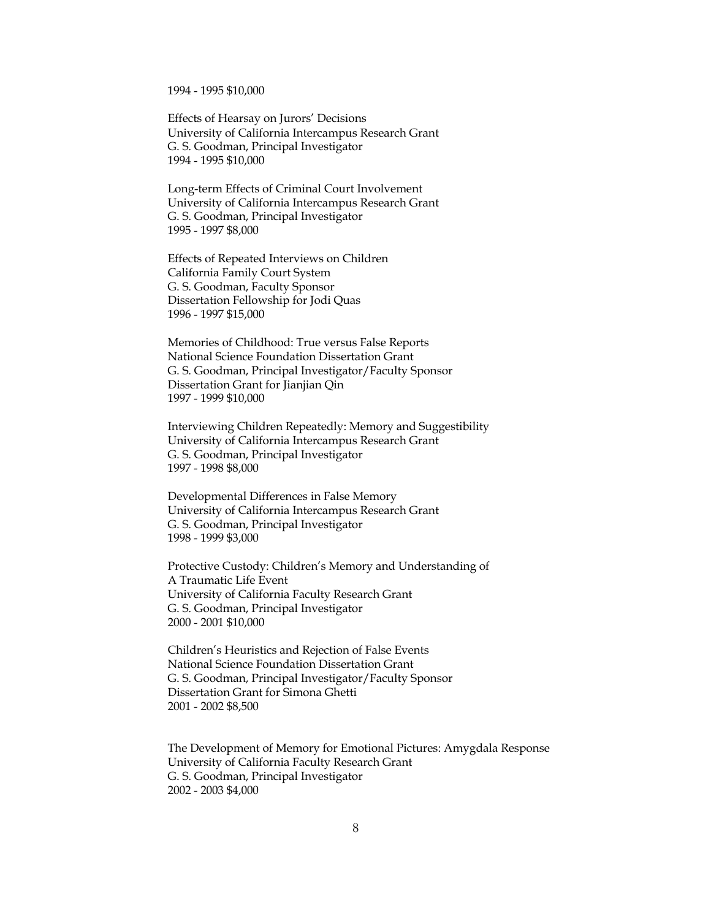1994 - 1995 \$10,000

Effects of Hearsay on Jurors' Decisions University of California Intercampus Research Grant G. S. Goodman, Principal Investigator 1994 - 1995 \$10,000

Long-term Effects of Criminal Court Involvement University of California Intercampus Research Grant G. S. Goodman, Principal Investigator 1995 - 1997 \$8,000

Effects of Repeated Interviews on Children California Family Court System G. S. Goodman, Faculty Sponsor Dissertation Fellowship for Jodi Quas 1996 - 1997 \$15,000

Memories of Childhood: True versus False Reports National Science Foundation Dissertation Grant G. S. Goodman, Principal Investigator/Faculty Sponsor Dissertation Grant for Jianjian Qin 1997 - 1999 \$10,000

Interviewing Children Repeatedly: Memory and Suggestibility University of California Intercampus Research Grant G. S. Goodman, Principal Investigator 1997 - 1998 \$8,000

Developmental Differences in False Memory University of California Intercampus Research Grant G. S. Goodman, Principal Investigator 1998 - 1999 \$3,000

Protective Custody: Children's Memory and Understanding of A Traumatic Life Event University of California Faculty Research Grant G. S. Goodman, Principal Investigator 2000 - 2001 \$10,000

Children's Heuristics and Rejection of False Events National Science Foundation Dissertation Grant G. S. Goodman, Principal Investigator/Faculty Sponsor Dissertation Grant for Simona Ghetti 2001 - 2002 \$8,500

The Development of Memory for Emotional Pictures: Amygdala Response University of California Faculty Research Grant G. S. Goodman, Principal Investigator 2002 - 2003 \$4,000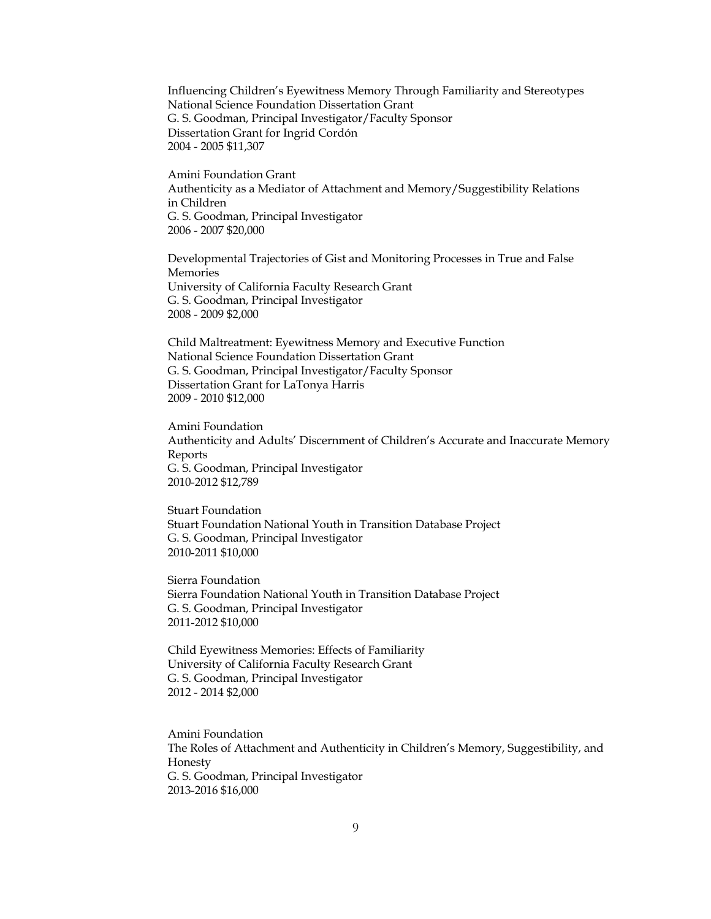Influencing Children's Eyewitness Memory Through Familiarity and Stereotypes National Science Foundation Dissertation Grant G. S. Goodman, Principal Investigator/Faculty Sponsor Dissertation Grant for Ingrid Cordón 2004 - 2005 \$11,307

Amini Foundation Grant Authenticity as a Mediator of Attachment and Memory/Suggestibility Relations in Children G. S. Goodman, Principal Investigator 2006 - 2007 \$20,000

Developmental Trajectories of Gist and Monitoring Processes in True and False Memories University of California Faculty Research Grant G. S. Goodman, Principal Investigator 2008 - 2009 \$2,000

Child Maltreatment: Eyewitness Memory and Executive Function National Science Foundation Dissertation Grant G. S. Goodman, Principal Investigator/Faculty Sponsor Dissertation Grant for LaTonya Harris 2009 - 2010 \$12,000

Amini Foundation Authenticity and Adults' Discernment of Children's Accurate and Inaccurate Memory Reports G. S. Goodman, Principal Investigator 2010-2012 \$12,789

Stuart Foundation Stuart Foundation National Youth in Transition Database Project G. S. Goodman, Principal Investigator 2010-2011 \$10,000

Sierra Foundation Sierra Foundation National Youth in Transition Database Project G. S. Goodman, Principal Investigator 2011-2012 \$10,000

Child Eyewitness Memories: Effects of Familiarity University of California Faculty Research Grant G. S. Goodman, Principal Investigator 2012 - 2014 \$2,000

Amini Foundation The Roles of Attachment and Authenticity in Children's Memory, Suggestibility, and Honesty G. S. Goodman, Principal Investigator 2013-2016 \$16,000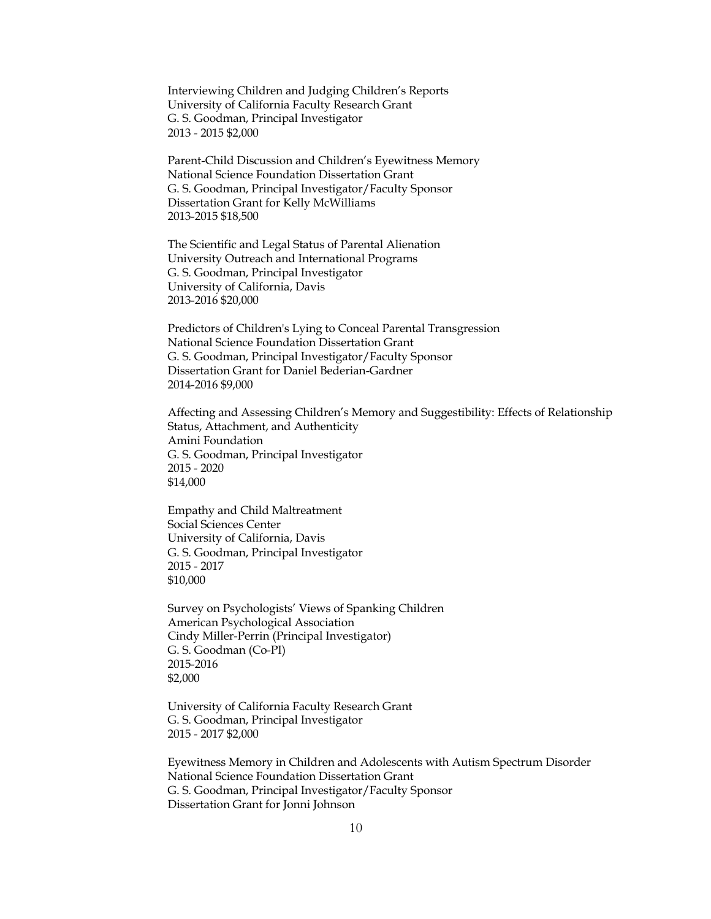Interviewing Children and Judging Children's Reports University of California Faculty Research Grant G. S. Goodman, Principal Investigator 2013 - 2015 \$2,000

Parent-Child Discussion and Children's Eyewitness Memory National Science Foundation Dissertation Grant G. S. Goodman, Principal Investigator/Faculty Sponsor Dissertation Grant for Kelly McWilliams 2013-2015 \$18,500

The Scientific and Legal Status of Parental Alienation University Outreach and International Programs G. S. Goodman, Principal Investigator University of California, Davis 2013-2016 \$20,000

Predictors of Children's Lying to Conceal Parental Transgression National Science Foundation Dissertation Grant G. S. Goodman, Principal Investigator/Faculty Sponsor Dissertation Grant for Daniel Bederian-Gardner 2014-2016 \$9,000

Affecting and Assessing Children's Memory and Suggestibility: Effects of Relationship Status, Attachment, and Authenticity Amini Foundation G. S. Goodman, Principal Investigator 2015 - 2020 \$14,000

Empathy and Child Maltreatment Social Sciences Center University of California, Davis G. S. Goodman, Principal Investigator 2015 - 2017 \$10,000

Survey on Psychologists' Views of Spanking Children American Psychological Association Cindy Miller-Perrin (Principal Investigator) G. S. Goodman (Co-PI) 2015-2016 \$2,000

University of California Faculty Research Grant G. S. Goodman, Principal Investigator 2015 - 2017 \$2,000

Eyewitness Memory in Children and Adolescents with Autism Spectrum Disorder National Science Foundation Dissertation Grant G. S. Goodman, Principal Investigator/Faculty Sponsor Dissertation Grant for Jonni Johnson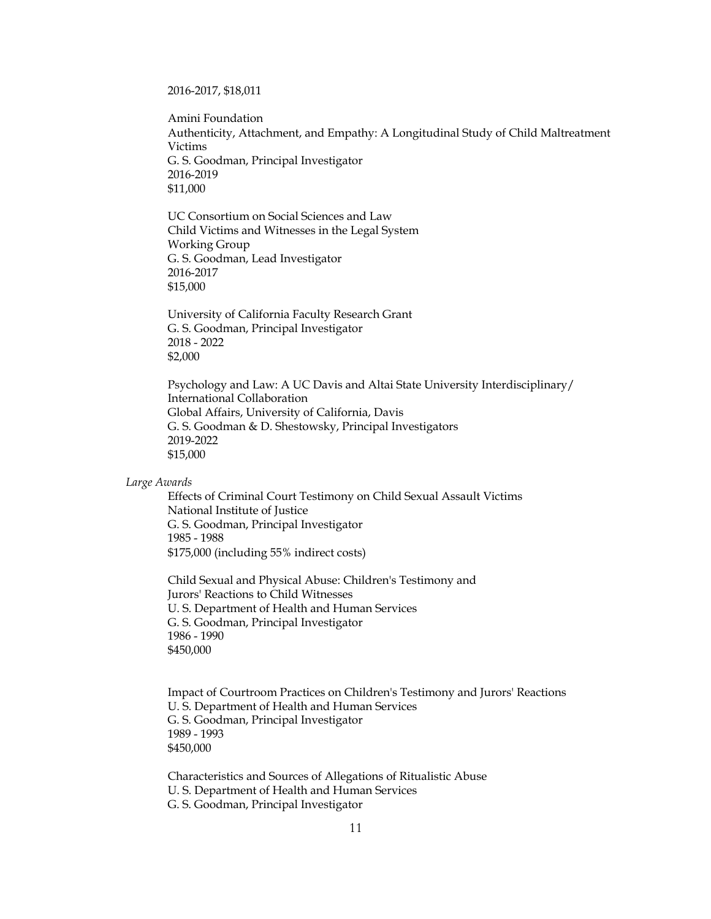#### 2016-2017, \$18,011

Amini Foundation Authenticity, Attachment, and Empathy: A Longitudinal Study of Child Maltreatment Victims G. S. Goodman, Principal Investigator 2016-2019 \$11,000

UC Consortium on Social Sciences and Law Child Victims and Witnesses in the Legal System Working Group G. S. Goodman, Lead Investigator 2016-2017 \$15,000

University of California Faculty Research Grant G. S. Goodman, Principal Investigator 2018 - 2022 \$2,000

Psychology and Law: A UC Davis and Altai State University Interdisciplinary/ International Collaboration Global Affairs, University of California, Davis G. S. Goodman & D. Shestowsky, Principal Investigators 2019-2022 \$15,000

#### *Large Awards*

Effects of Criminal Court Testimony on Child Sexual Assault Victims National Institute of Justice G. S. Goodman, Principal Investigator 1985 - 1988 \$175,000 (including 55% indirect costs)

Child Sexual and Physical Abuse: Children's Testimony and Jurors' Reactions to Child Witnesses U. S. Department of Health and Human Services G. S. Goodman, Principal Investigator 1986 - 1990 \$450,000

Impact of Courtroom Practices on Children's Testimony and Jurors' Reactions U. S. Department of Health and Human Services G. S. Goodman, Principal Investigator 1989 - 1993 \$450,000

Characteristics and Sources of Allegations of Ritualistic Abuse U. S. Department of Health and Human Services G. S. Goodman, Principal Investigator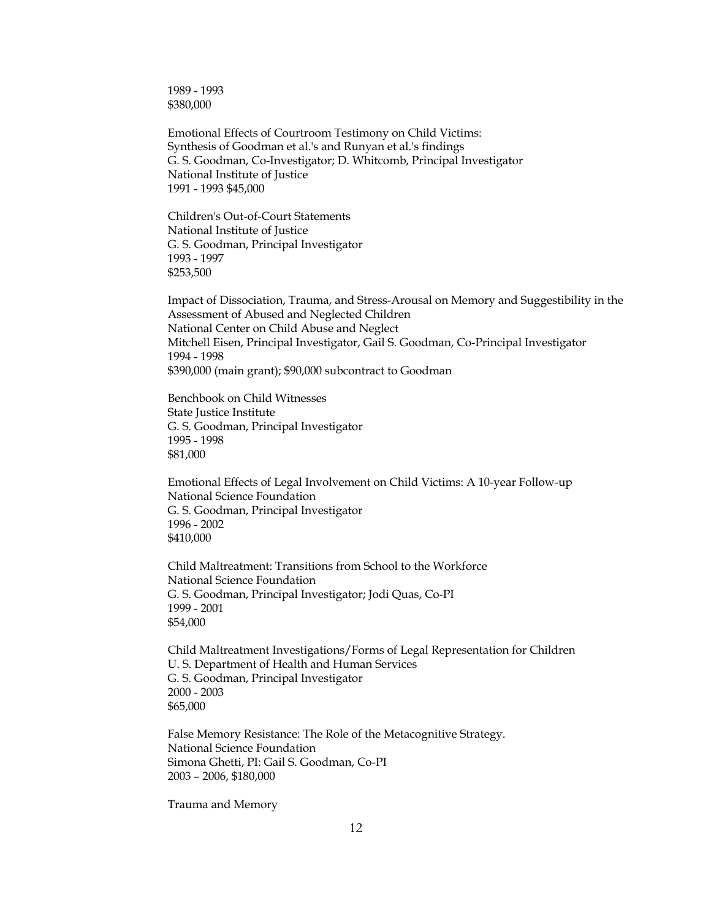1989 - 1993 \$380,000

Emotional Effects of Courtroom Testimony on Child Victims: Synthesis of Goodman et al.'s and Runyan et al.'s findings G. S. Goodman, Co-Investigator; D. Whitcomb, Principal Investigator National Institute of Justice 1991 - 1993 \$45,000

Children's Out-of-Court Statements National Institute of Justice G. S. Goodman, Principal Investigator 1993 - 1997 \$253,500

Impact of Dissociation, Trauma, and Stress-Arousal on Memory and Suggestibility in the Assessment of Abused and Neglected Children National Center on Child Abuse and Neglect Mitchell Eisen, Principal Investigator, Gail S. Goodman, Co-Principal Investigator 1994 - 1998 \$390,000 (main grant); \$90,000 subcontract to Goodman

Benchbook on Child Witnesses State Justice Institute G. S. Goodman, Principal Investigator 1995 - 1998 \$81,000

Emotional Effects of Legal Involvement on Child Victims: A 10-year Follow-up National Science Foundation G. S. Goodman, Principal Investigator 1996 - 2002 \$410,000

Child Maltreatment: Transitions from School to the Workforce National Science Foundation G. S. Goodman, Principal Investigator; Jodi Quas, Co-PI 1999 - 2001 \$54,000

Child Maltreatment Investigations/Forms of Legal Representation for Children U. S. Department of Health and Human Services G. S. Goodman, Principal Investigator 2000 - 2003 \$65,000

False Memory Resistance: The Role of the Metacognitive Strategy. National Science Foundation Simona Ghetti, PI: Gail S. Goodman, Co-PI 2003 – 2006, \$180,000

Trauma and Memory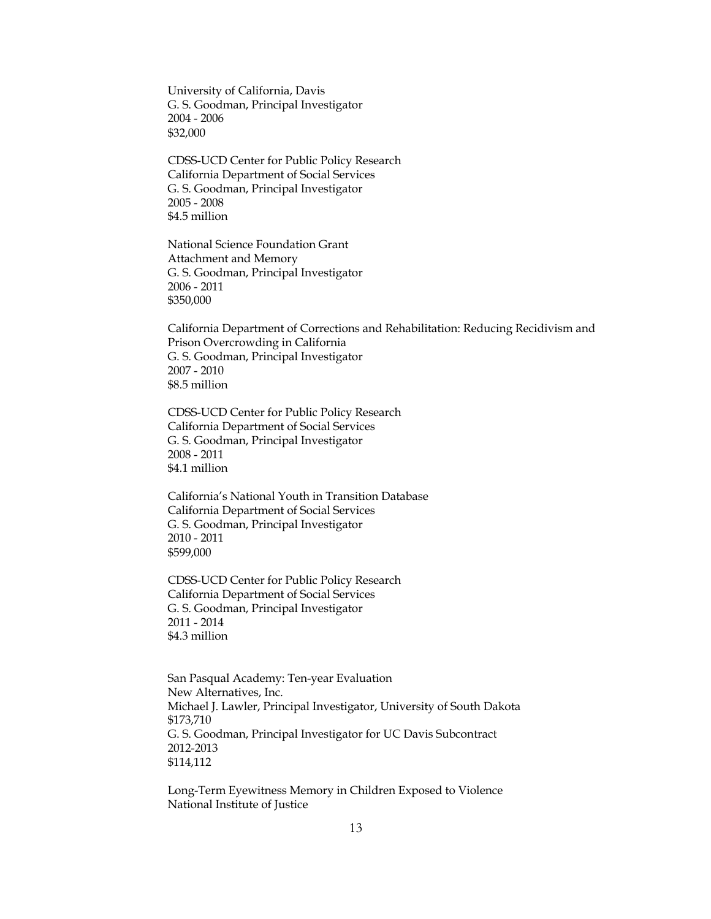University of California, Davis G. S. Goodman, Principal Investigator 2004 - 2006 \$32,000

CDSS-UCD Center for Public Policy Research California Department of Social Services G. S. Goodman, Principal Investigator 2005 - 2008 \$4.5 million

National Science Foundation Grant Attachment and Memory G. S. Goodman, Principal Investigator 2006 - 2011 \$350,000

California Department of Corrections and Rehabilitation: Reducing Recidivism and Prison Overcrowding in California G. S. Goodman, Principal Investigator 2007 - 2010 \$8.5 million

CDSS-UCD Center for Public Policy Research California Department of Social Services G. S. Goodman, Principal Investigator 2008 - 2011 \$4.1 million

California's National Youth in Transition Database California Department of Social Services G. S. Goodman, Principal Investigator 2010 - 2011 \$599,000

CDSS-UCD Center for Public Policy Research California Department of Social Services G. S. Goodman, Principal Investigator 2011 - 2014 \$4.3 million

San Pasqual Academy: Ten-year Evaluation New Alternatives, Inc. Michael J. Lawler, Principal Investigator, University of South Dakota \$173,710 G. S. Goodman, Principal Investigator for UC Davis Subcontract 2012-2013 \$114,112

Long-Term Eyewitness Memory in Children Exposed to Violence National Institute of Justice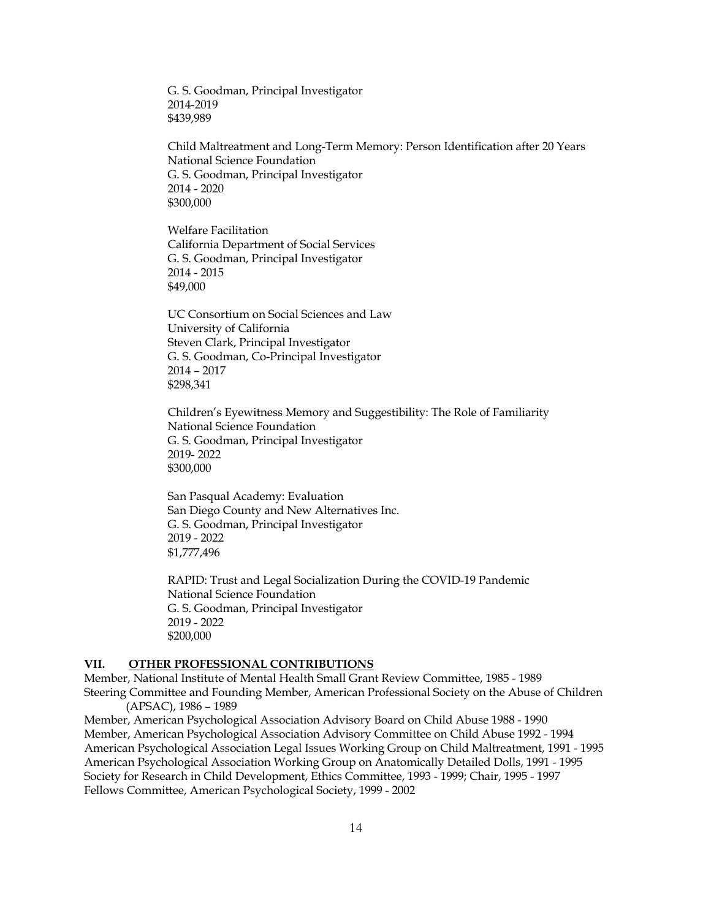G. S. Goodman, Principal Investigator 2014-2019 \$439,989

Child Maltreatment and Long-Term Memory: Person Identification after 20 Years National Science Foundation G. S. Goodman, Principal Investigator 2014 - 2020 \$300,000

Welfare Facilitation California Department of Social Services G. S. Goodman, Principal Investigator 2014 - 2015 \$49,000

UC Consortium on Social Sciences and Law University of California Steven Clark, Principal Investigator G. S. Goodman, Co-Principal Investigator 2014 – 2017 \$298,341

Children's Eyewitness Memory and Suggestibility: The Role of Familiarity National Science Foundation G. S. Goodman, Principal Investigator 2019- 2022 \$300,000

San Pasqual Academy: Evaluation San Diego County and New Alternatives Inc. G. S. Goodman, Principal Investigator 2019 - 2022 \$1,777,496

RAPID: Trust and Legal Socialization During the COVID-19 Pandemic National Science Foundation G. S. Goodman, Principal Investigator 2019 - 2022 \$200,000

#### **VII. OTHER PROFESSIONAL CONTRIBUTIONS**

Member, National Institute of Mental Health Small Grant Review Committee, 1985 - 1989 Steering Committee and Founding Member, American Professional Society on the Abuse of Children (APSAC), 1986 – 1989

Member, American Psychological Association Advisory Board on Child Abuse 1988 - 1990 Member, American Psychological Association Advisory Committee on Child Abuse 1992 - 1994 American Psychological Association Legal Issues Working Group on Child Maltreatment, 1991 - 1995 American Psychological Association Working Group on Anatomically Detailed Dolls, 1991 - 1995 Society for Research in Child Development, Ethics Committee, 1993 - 1999; Chair, 1995 - 1997 Fellows Committee, American Psychological Society, 1999 - 2002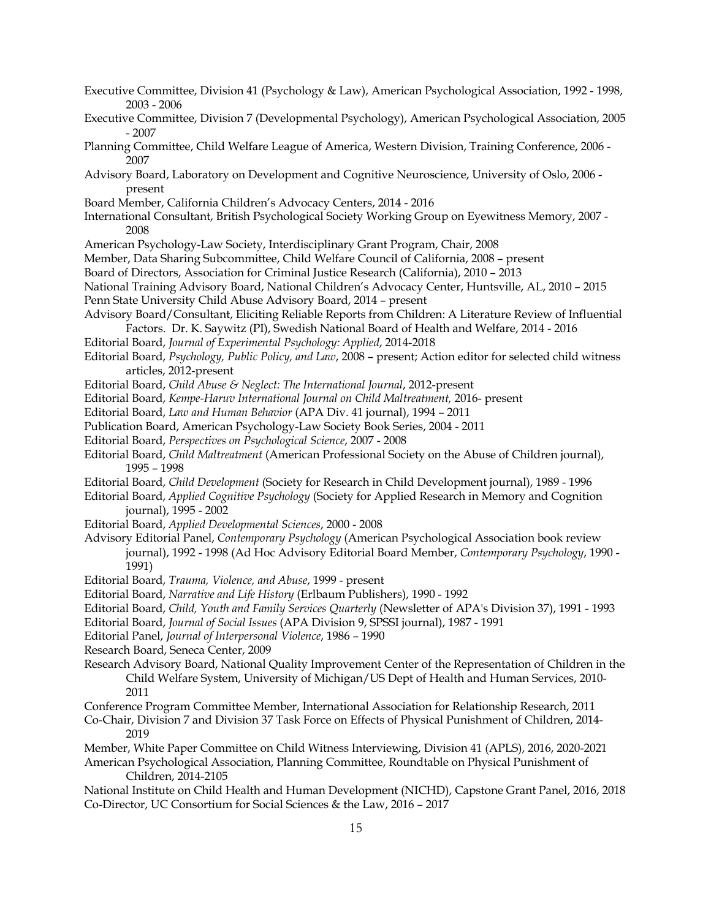- Executive Committee, Division 41 (Psychology & Law), American Psychological Association, 1992 1998, 2003 - 2006
- Executive Committee, Division 7 (Developmental Psychology), American Psychological Association, 2005 - 2007
- Planning Committee, Child Welfare League of America, Western Division, Training Conference, 2006 2007
- Advisory Board, Laboratory on Development and Cognitive Neuroscience, University of Oslo, 2006 present
- Board Member, California Children's Advocacy Centers, 2014 2016
- International Consultant, British Psychological Society Working Group on Eyewitness Memory, 2007 2008
- American Psychology-Law Society, Interdisciplinary Grant Program, Chair, 2008
- Member, Data Sharing Subcommittee, Child Welfare Council of California, 2008 present
- Board of Directors, Association for Criminal Justice Research (California), 2010 2013
- National Training Advisory Board, National Children's Advocacy Center, Huntsville, AL, 2010 2015
- Penn State University Child Abuse Advisory Board, 2014 present
- Advisory Board/Consultant, Eliciting Reliable Reports from Children: A Literature Review of Influential Factors. Dr. K. Saywitz (PI), Swedish National Board of Health and Welfare, 2014 - 2016
- Editorial Board, *Journal of Experimental Psychology: Applied*, 2014-2018
- Editorial Board, *Psychology, Public Policy, and Law*, 2008 present; Action editor for selected child witness articles, 2012-present
- Editorial Board, *Child Abuse & Neglect: The International Journal*, 2012-present
- Editorial Board, *Kempe-Haruv International Journal on Child Maltreatment,* 2016- present
- Editorial Board, *Law and Human Behavior* (APA Div. 41 journal), 1994 2011
- Publication Board, American Psychology-Law Society Book Series, 2004 2011
- Editorial Board, *Perspectives on Psychological Science*, 2007 2008
- Editorial Board, *Child Maltreatment* (American Professional Society on the Abuse of Children journal), 1995 – 1998
- Editorial Board, *Child Development* (Society for Research in Child Development journal), 1989 1996
- Editorial Board, *Applied Cognitive Psychology* (Society for Applied Research in Memory and Cognition journal), 1995 - 2002
- Editorial Board, *Applied Developmental Sciences*, 2000 2008
- Advisory Editorial Panel, *Contemporary Psychology* (American Psychological Association book review journal), 1992 - 1998 (Ad Hoc Advisory Editorial Board Member, *Contemporary Psychology*, 1990 - 1991)
- Editorial Board, *Trauma, Violence, and Abuse*, 1999 present
- Editorial Board, *Narrative and Life History* (Erlbaum Publishers), 1990 1992
- Editorial Board, *Child, Youth and Family Services Quarterly* (Newsletter of APA's Division 37), 1991 1993
- Editorial Board, *Journal of Social Issues* (APA Division 9, SPSSI journal), 1987 1991
- Editorial Panel, *Journal of Interpersonal Violence*, 1986 1990
- Research Board, Seneca Center, 2009
- Research Advisory Board, National Quality Improvement Center of the Representation of Children in the Child Welfare System, University of Michigan/US Dept of Health and Human Services, 2010- 2011
- Conference Program Committee Member, International Association for Relationship Research, 2011
- Co-Chair, Division 7 and Division 37 Task Force on Effects of Physical Punishment of Children, 2014- 2019
- Member, White Paper Committee on Child Witness Interviewing, Division 41 (APLS), 2016, 2020-2021
- American Psychological Association, Planning Committee, Roundtable on Physical Punishment of Children, 2014-2105
- National Institute on Child Health and Human Development (NICHD), Capstone Grant Panel, 2016, 2018 Co-Director, UC Consortium for Social Sciences & the Law, 2016 – 2017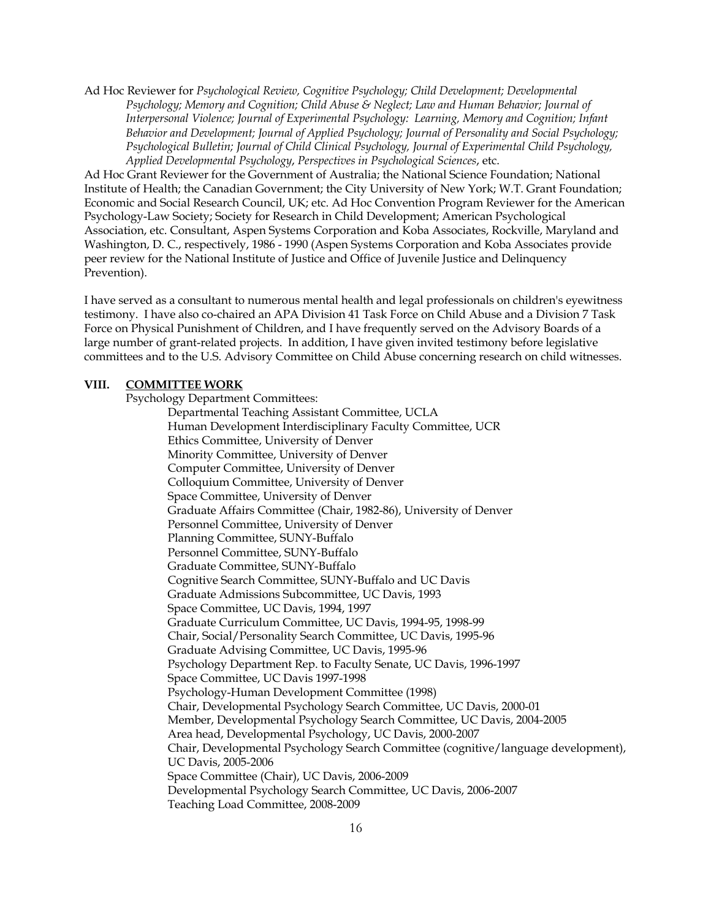Ad Hoc Reviewer for *Psychological Review, Cognitive Psychology; Child Development; Developmental Psychology; Memory and Cognition; Child Abuse & Neglect; Law and Human Behavior; Journal of Interpersonal Violence; Journal of Experimental Psychology: Learning, Memory and Cognition; Infant Behavior and Development; Journal of Applied Psychology; Journal of Personality and Social Psychology; Psychological Bulletin; Journal of Child Clinical Psychology, Journal of Experimental Child Psychology, Applied Developmental Psychology*, *Perspectives in Psychological Sciences*, etc.

Ad Hoc Grant Reviewer for the Government of Australia; the National Science Foundation; National Institute of Health; the Canadian Government; the City University of New York; W.T. Grant Foundation; Economic and Social Research Council, UK; etc. Ad Hoc Convention Program Reviewer for the American Psychology-Law Society; Society for Research in Child Development; American Psychological Association, etc. Consultant, Aspen Systems Corporation and Koba Associates, Rockville, Maryland and Washington, D. C., respectively, 1986 - 1990 (Aspen Systems Corporation and Koba Associates provide peer review for the National Institute of Justice and Office of Juvenile Justice and Delinquency Prevention).

I have served as a consultant to numerous mental health and legal professionals on children's eyewitness testimony. I have also co-chaired an APA Division 41 Task Force on Child Abuse and a Division 7 Task Force on Physical Punishment of Children, and I have frequently served on the Advisory Boards of a large number of grant-related projects. In addition, I have given invited testimony before legislative committees and to the U.S. Advisory Committee on Child Abuse concerning research on child witnesses.

### **VIII. COMMITTEE WORK**

Psychology Department Committees:

Departmental Teaching Assistant Committee, UCLA Human Development Interdisciplinary Faculty Committee, UCR Ethics Committee, University of Denver Minority Committee, University of Denver Computer Committee, University of Denver Colloquium Committee, University of Denver Space Committee, University of Denver Graduate Affairs Committee (Chair, 1982-86), University of Denver Personnel Committee, University of Denver Planning Committee, SUNY-Buffalo Personnel Committee, SUNY-Buffalo Graduate Committee, SUNY-Buffalo Cognitive Search Committee, SUNY-Buffalo and UC Davis Graduate Admissions Subcommittee, UC Davis, 1993 Space Committee, UC Davis, 1994, 1997 Graduate Curriculum Committee, UC Davis, 1994-95, 1998-99 Chair, Social/Personality Search Committee, UC Davis, 1995-96 Graduate Advising Committee, UC Davis, 1995-96 Psychology Department Rep. to Faculty Senate, UC Davis, 1996-1997 Space Committee, UC Davis 1997-1998 Psychology-Human Development Committee (1998) Chair, Developmental Psychology Search Committee, UC Davis, 2000-01 Member, Developmental Psychology Search Committee, UC Davis, 2004-2005 Area head, Developmental Psychology, UC Davis, 2000-2007 Chair, Developmental Psychology Search Committee (cognitive/language development), UC Davis, 2005-2006 Space Committee (Chair), UC Davis, 2006-2009 Developmental Psychology Search Committee, UC Davis, 2006-2007 Teaching Load Committee, 2008-2009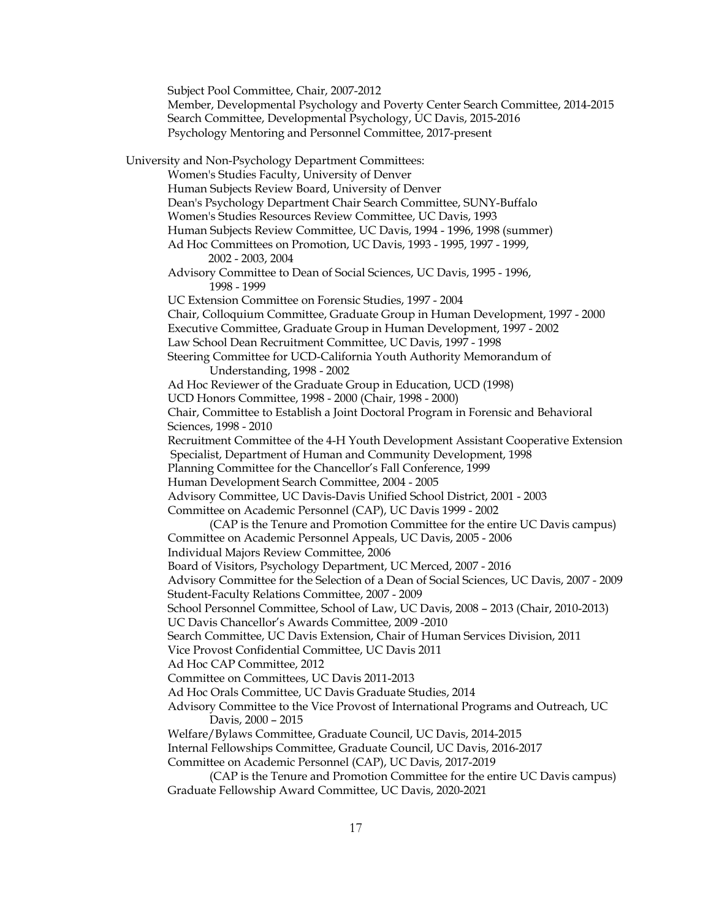Subject Pool Committee, Chair, 2007-2012 Member, Developmental Psychology and Poverty Center Search Committee, 2014-2015 Search Committee, Developmental Psychology, UC Davis, 2015-2016 Psychology Mentoring and Personnel Committee, 2017-present University and Non-Psychology Department Committees: Women's Studies Faculty, University of Denver Human Subjects Review Board, University of Denver Dean's Psychology Department Chair Search Committee, SUNY-Buffalo Women's Studies Resources Review Committee, UC Davis, 1993 Human Subjects Review Committee, UC Davis, 1994 - 1996, 1998 (summer) Ad Hoc Committees on Promotion, UC Davis, 1993 - 1995, 1997 - 1999, 2002 - 2003, 2004 Advisory Committee to Dean of Social Sciences, UC Davis, 1995 - 1996, 1998 - 1999 UC Extension Committee on Forensic Studies, 1997 - 2004 Chair, Colloquium Committee, Graduate Group in Human Development, 1997 - 2000 Executive Committee, Graduate Group in Human Development, 1997 - 2002 Law School Dean Recruitment Committee, UC Davis, 1997 - 1998 Steering Committee for UCD-California Youth Authority Memorandum of Understanding, 1998 - 2002 Ad Hoc Reviewer of the Graduate Group in Education, UCD (1998) UCD Honors Committee, 1998 - 2000 (Chair, 1998 - 2000) Chair, Committee to Establish a Joint Doctoral Program in Forensic and Behavioral Sciences, 1998 - 2010 Recruitment Committee of the 4-H Youth Development Assistant Cooperative Extension Specialist, Department of Human and Community Development, 1998 Planning Committee for the Chancellor's Fall Conference, 1999 Human Development Search Committee, 2004 - 2005 Advisory Committee, UC Davis-Davis Unified School District, 2001 - 2003 Committee on Academic Personnel (CAP), UC Davis 1999 - 2002 (CAP is the Tenure and Promotion Committee for the entire UC Davis campus) Committee on Academic Personnel Appeals, UC Davis, 2005 - 2006 Individual Majors Review Committee, 2006 Board of Visitors, Psychology Department, UC Merced, 2007 - 2016 Advisory Committee for the Selection of a Dean of Social Sciences, UC Davis, 2007 - 2009 Student-Faculty Relations Committee, 2007 - 2009 School Personnel Committee, School of Law, UC Davis, 2008 – 2013 (Chair, 2010-2013) UC Davis Chancellor's Awards Committee, 2009 -2010 Search Committee, UC Davis Extension, Chair of Human Services Division, 2011 Vice Provost Confidential Committee, UC Davis 2011 Ad Hoc CAP Committee, 2012 Committee on Committees, UC Davis 2011-2013 Ad Hoc Orals Committee, UC Davis Graduate Studies, 2014 Advisory Committee to the Vice Provost of International Programs and Outreach, UC Davis, 2000 – 2015 Welfare/Bylaws Committee, Graduate Council, UC Davis, 2014-2015 Internal Fellowships Committee, Graduate Council, UC Davis, 2016-2017 Committee on Academic Personnel (CAP), UC Davis, 2017-2019 (CAP is the Tenure and Promotion Committee for the entire UC Davis campus) Graduate Fellowship Award Committee, UC Davis, 2020-2021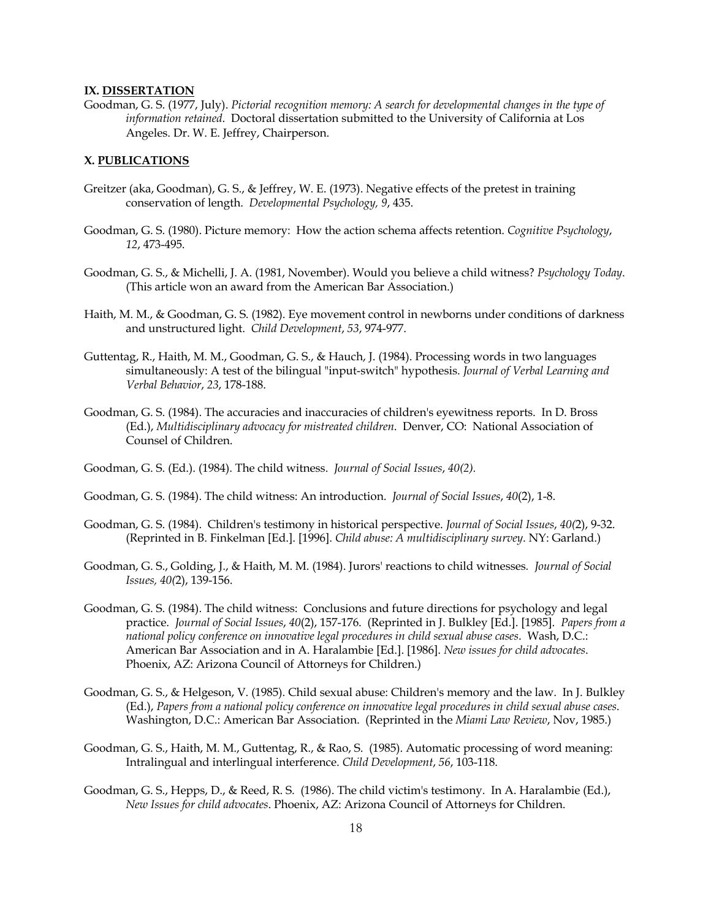#### **IX. DISSERTATION**

Goodman, G. S. (1977, July). *Pictorial recognition memory: A search for developmental changes in the type of information retained*. Doctoral dissertation submitted to the University of California at Los Angeles. Dr. W. E. Jeffrey, Chairperson.

### **X. PUBLICATIONS**

- Greitzer (aka, Goodman), G. S., & Jeffrey, W. E. (1973). Negative effects of the pretest in training conservation of length. *Developmental Psychology, 9*, 435.
- Goodman, G. S. (1980). Picture memory: How the action schema affects retention. *Cognitive Psychology*, *12*, 473-495.
- Goodman, G. S., & Michelli, J. A. (1981, November). Would you believe a child witness? *Psychology Today*. (This article won an award from the American Bar Association.)
- Haith, M. M., & Goodman, G. S. (1982). Eye movement control in newborns under conditions of darkness and unstructured light. *Child Development*, *53*, 974-977.
- Guttentag, R., Haith, M. M., Goodman, G. S., & Hauch, J. (1984). Processing words in two languages simultaneously: A test of the bilingual "input-switch" hypothesis. *Journal of Verbal Learning and Verbal Behavior*, *23*, 178-188.
- Goodman, G. S. (1984). The accuracies and inaccuracies of children's eyewitness reports. In D. Bross (Ed.), *Multidisciplinary advocacy for mistreated children*. Denver, CO: National Association of Counsel of Children.
- Goodman, G. S. (Ed.). (1984). The child witness. *Journal of Social Issues*, *40(2).*
- Goodman, G. S. (1984). The child witness: An introduction. *Journal of Social Issues*, *40*(2), 1-8.
- Goodman, G. S. (1984). Children's testimony in historical perspective. *Journal of Social Issues*, *40(*2), 9-32. (Reprinted in B. Finkelman [Ed.]. [1996]. *Child abuse: A multidisciplinary survey*. NY: Garland.)
- Goodman, G. S., Golding, J., & Haith, M. M. (1984). Jurors' reactions to child witnesses*. Journal of Social Issues, 40(*2), 139-156.
- Goodman, G. S. (1984). The child witness: Conclusions and future directions for psychology and legal practice. *Journal of Social Issues*, *40*(2), 157-176. (Reprinted in J. Bulkley [Ed.]. [1985]. *Papers from a national policy conference on innovative legal procedures in child sexual abuse cases*. Wash, D.C.: American Bar Association and in A. Haralambie [Ed.]. [1986]. *New issues for child advocates*. Phoenix, AZ: Arizona Council of Attorneys for Children.)
- Goodman, G. S., & Helgeson, V. (1985). Child sexual abuse: Children's memory and the law. In J. Bulkley (Ed.), *Papers from a national policy conference on innovative legal procedures in child sexual abuse cases*. Washington, D.C.: American Bar Association. (Reprinted in the *Miami Law Review*, Nov, 1985.)
- Goodman, G. S., Haith, M. M., Guttentag, R., & Rao, S. (1985). Automatic processing of word meaning: Intralingual and interlingual interference. *Child Development*, *56*, 103-118.
- Goodman, G. S., Hepps, D., & Reed, R. S. (1986). The child victim's testimony. In A. Haralambie (Ed.), *New Issues for child advocates*. Phoenix, AZ: Arizona Council of Attorneys for Children.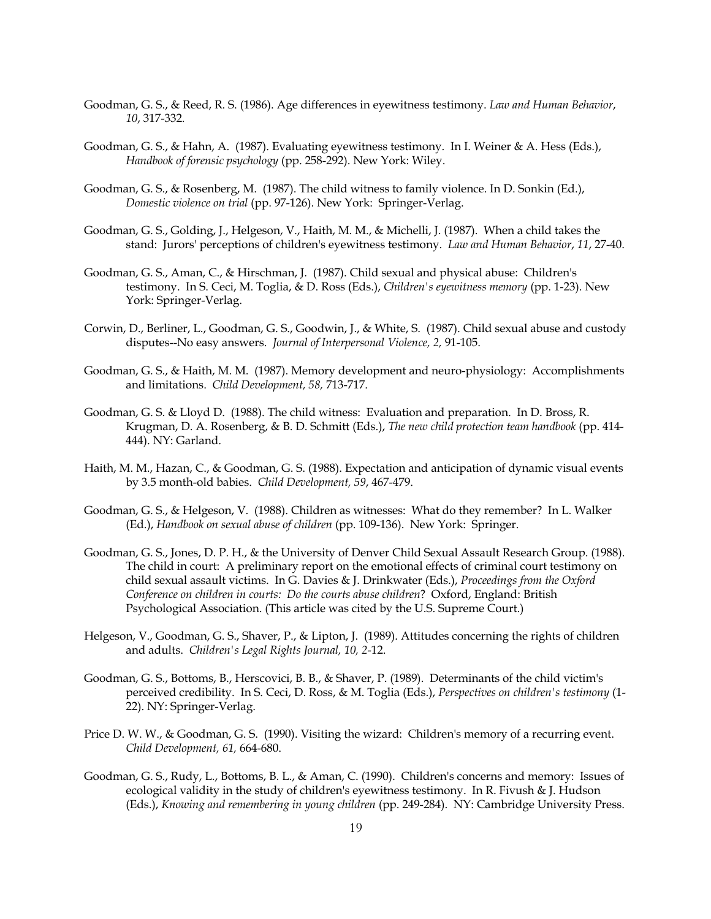- Goodman, G. S., & Reed, R. S. (1986). Age differences in eyewitness testimony. *Law and Human Behavior*, *10*, 317-332.
- Goodman, G. S., & Hahn, A. (1987). Evaluating eyewitness testimony. In I. Weiner & A. Hess (Eds.), *Handbook of forensic psychology* (pp. 258-292). New York: Wiley.
- Goodman, G. S., & Rosenberg, M. (1987). The child witness to family violence. In D. Sonkin (Ed.), *Domestic violence on trial* (pp. 97-126). New York: Springer-Verlag.
- Goodman, G. S., Golding, J., Helgeson, V., Haith, M. M., & Michelli, J. (1987). When a child takes the stand: Jurors' perceptions of children's eyewitness testimony. *Law and Human Behavior*, *11*, 27-40.
- Goodman, G. S., Aman, C., & Hirschman, J. (1987). Child sexual and physical abuse: Children's testimony. In S. Ceci, M. Toglia, & D. Ross (Eds.), *Children's eyewitness memory* (pp. 1-23). New York: Springer-Verlag.
- Corwin, D., Berliner, L., Goodman, G. S., Goodwin, J., & White, S. (1987). Child sexual abuse and custody disputes--No easy answers. *Journal of Interpersonal Violence, 2,* 91-105.
- Goodman, G. S., & Haith, M. M. (1987). Memory development and neuro-physiology: Accomplishments and limitations. *Child Development, 58,* 713-717.
- Goodman, G. S. & Lloyd D. (1988). The child witness: Evaluation and preparation. In D. Bross, R. Krugman, D. A. Rosenberg, & B. D. Schmitt (Eds.), *The new child protection team handbook* (pp. 414- 444). NY: Garland.
- Haith, M. M., Hazan, C., & Goodman, G. S. (1988). Expectation and anticipation of dynamic visual events by 3.5 month-old babies. *Child Development, 59*, 467-479.
- Goodman, G. S., & Helgeson, V. (1988). Children as witnesses: What do they remember? In L. Walker (Ed.), *Handbook on sexual abuse of children* (pp. 109-136). New York: Springer.
- Goodman, G. S., Jones, D. P. H., & the University of Denver Child Sexual Assault Research Group. (1988). The child in court: A preliminary report on the emotional effects of criminal court testimony on child sexual assault victims. In G. Davies & J. Drinkwater (Eds.), *Proceedings from the Oxford Conference on children in courts: Do the courts abuse children*? Oxford, England: British Psychological Association. (This article was cited by the U.S. Supreme Court.)
- Helgeson, V., Goodman, G. S., Shaver, P., & Lipton, J. (1989). Attitudes concerning the rights of children and adults. *Children's Legal Rights Journal, 10, 2*-12.
- Goodman, G. S., Bottoms, B., Herscovici, B. B., & Shaver, P. (1989). Determinants of the child victim's perceived credibility. In S. Ceci, D. Ross, & M. Toglia (Eds.), *Perspectives on children's testimony* (1- 22). NY: Springer-Verlag.
- Price D. W. W., & Goodman, G. S. (1990). Visiting the wizard: Children's memory of a recurring event. *Child Development, 61,* 664-680.
- Goodman, G. S., Rudy, L., Bottoms, B. L., & Aman, C. (1990). Children's concerns and memory: Issues of ecological validity in the study of children's eyewitness testimony. In R. Fivush & J. Hudson (Eds.), *Knowing and remembering in young children* (pp. 249-284). NY: Cambridge University Press.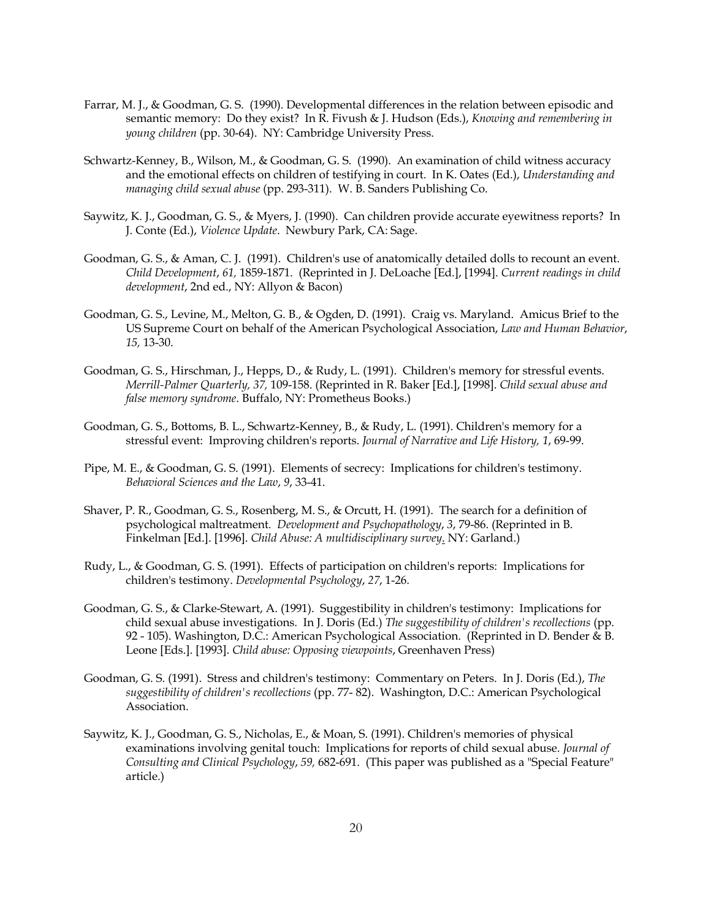- Farrar, M. J., & Goodman, G. S. (1990). Developmental differences in the relation between episodic and semantic memory: Do they exist? In R. Fivush & J. Hudson (Eds.), *Knowing and remembering in young children* (pp. 30-64). NY: Cambridge University Press.
- Schwartz-Kenney, B., Wilson, M., & Goodman, G. S. (1990). An examination of child witness accuracy and the emotional effects on children of testifying in court. In K. Oates (Ed.), *Understanding and managing child sexual abuse* (pp. 293-311). W. B. Sanders Publishing Co.
- Saywitz, K. J., Goodman, G. S., & Myers, J. (1990). Can children provide accurate eyewitness reports? In J. Conte (Ed.), *Violence Update*. Newbury Park, CA: Sage.
- Goodman, G. S., & Aman, C. J. (1991). Children's use of anatomically detailed dolls to recount an event. *Child Development*, *61,* 1859-1871. (Reprinted in J. DeLoache [Ed.], [1994]. *Current readings in child development*, 2nd ed., NY: Allyon & Bacon)
- Goodman, G. S., Levine, M., Melton, G. B., & Ogden, D. (1991). Craig vs. Maryland. Amicus Brief to the US Supreme Court on behalf of the American Psychological Association, *Law and Human Behavior*, *15,* 13-30.
- Goodman, G. S., Hirschman, J., Hepps, D., & Rudy, L. (1991). Children's memory for stressful events. *Merrill-Palmer Quarterly, 37,* 109-158. (Reprinted in R. Baker [Ed.], [1998]. *Child sexual abuse and false memory syndrome*. Buffalo, NY: Prometheus Books.)
- Goodman, G. S., Bottoms, B. L., Schwartz-Kenney, B., & Rudy, L. (1991). Children's memory for a stressful event: Improving children's reports. *Journal of Narrative and Life History, 1*, 69-99.
- Pipe, M. E., & Goodman, G. S. (1991). Elements of secrecy: Implications for children's testimony. *Behavioral Sciences and the Law*, *9*, 33-41.
- Shaver, P. R., Goodman, G. S., Rosenberg, M. S., & Orcutt, H. (1991). The search for a definition of psychological maltreatment*. Development and Psychopathology*, *3*, 79-86. (Reprinted in B. Finkelman [Ed.]. [1996]. *Child Abuse: A multidisciplinary survey*. NY: Garland.)
- Rudy, L., & Goodman, G. S. (1991). Effects of participation on children's reports: Implications for children's testimony. *Developmental Psychology*, *27*, 1-26.
- Goodman, G. S., & Clarke-Stewart, A. (1991). Suggestibility in children's testimony: Implications for child sexual abuse investigations. In J. Doris (Ed.) *The suggestibility of children's recollections* (pp. 92 - 105). Washington, D.C.: American Psychological Association. (Reprinted in D. Bender & B. Leone [Eds.]. [1993]. *Child abuse: Opposing viewpoints*, Greenhaven Press)
- Goodman, G. S. (1991). Stress and children's testimony: Commentary on Peters. In J. Doris (Ed.), *The suggestibility of children's recollections* (pp. 77- 82). Washington, D.C.: American Psychological Association.
- Saywitz, K. J., Goodman, G. S., Nicholas, E., & Moan, S. (1991). Children's memories of physical examinations involving genital touch: Implications for reports of child sexual abuse. *Journal of Consulting and Clinical Psychology*, *59,* 682-691. (This paper was published as a "Special Feature" article.)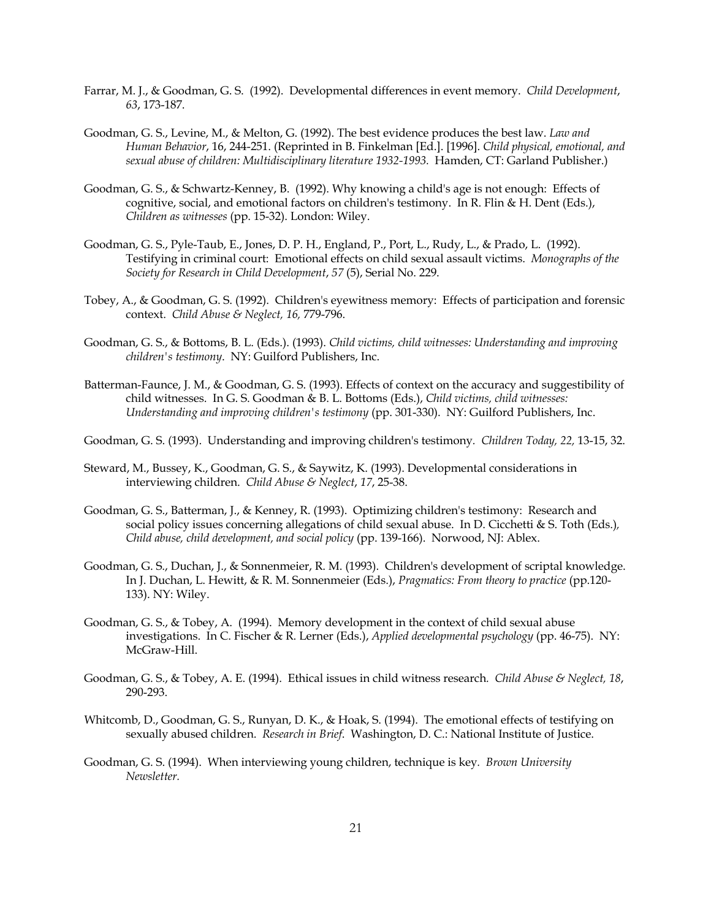- Farrar, M. J., & Goodman, G. S. (1992). Developmental differences in event memory. *Child Development*, *63*, 173-187.
- Goodman, G. S., Levine, M., & Melton, G. (1992). The best evidence produces the best law. *Law and Human Behavior*, 16, 244-251. (Reprinted in B. Finkelman [Ed.]. [1996]. *Child physical, emotional, and sexual abuse of children: Multidisciplinary literature 1932-1993.* Hamden, CT: Garland Publisher.)
- Goodman, G. S., & Schwartz-Kenney, B. (1992). Why knowing a child's age is not enough: Effects of cognitive, social, and emotional factors on children's testimony. In R. Flin & H. Dent (Eds.), *Children as witnesses* (pp. 15-32). London: Wiley.
- Goodman, G. S., Pyle-Taub, E., Jones, D. P. H., England, P., Port, L., Rudy, L., & Prado, L. (1992). Testifying in criminal court: Emotional effects on child sexual assault victims. *Monographs of the Society for Research in Child Development*, *57* (5), Serial No. 229.
- Tobey, A., & Goodman, G. S. (1992). Children's eyewitness memory: Effects of participation and forensic context. *Child Abuse & Neglect, 16,* 779-796.
- Goodman, G. S., & Bottoms, B. L. (Eds.). (1993). *Child victims, child witnesses: Understanding and improving children's testimony*. NY: Guilford Publishers, Inc.
- Batterman-Faunce, J. M., & Goodman, G. S. (1993). Effects of context on the accuracy and suggestibility of child witnesses. In G. S. Goodman & B. L. Bottoms (Eds.), *Child victims, child witnesses: Understanding and improving children's testimony* (pp. 301-330). NY: Guilford Publishers, Inc.
- Goodman, G. S. (1993). Understanding and improving children's testimony*. Children Today, 22,* 13-15, 32.
- Steward, M., Bussey, K., Goodman, G. S., & Saywitz, K. (1993). Developmental considerations in interviewing children. *Child Abuse & Neglect*, *17*, 25-38.
- Goodman, G. S., Batterman, J., & Kenney, R. (1993). Optimizing children's testimony: Research and social policy issues concerning allegations of child sexual abuse. In D. Cicchetti & S. Toth (Eds.)*, Child abuse, child development, and social policy* (pp. 139-166). Norwood, NJ: Ablex.
- Goodman, G. S., Duchan, J., & Sonnenmeier, R. M. (1993). Children's development of scriptal knowledge. In J. Duchan, L. Hewitt, & R. M. Sonnenmeier (Eds.), *Pragmatics: From theory to practice* (pp.120- 133). NY: Wiley.
- Goodman, G. S., & Tobey, A. (1994). Memory development in the context of child sexual abuse investigations. In C. Fischer & R. Lerner (Eds.), *Applied developmental psychology* (pp. 46-75). NY: McGraw-Hill.
- Goodman, G. S., & Tobey, A. E. (1994). Ethical issues in child witness research*. Child Abuse & Neglect, 18*, 290-293.
- Whitcomb, D., Goodman, G. S., Runyan, D. K., & Hoak, S. (1994). The emotional effects of testifying on sexually abused children. *Research in Brief*. Washington, D. C.: National Institute of Justice.
- Goodman, G. S. (1994). When interviewing young children, technique is key*. Brown University Newsletter.*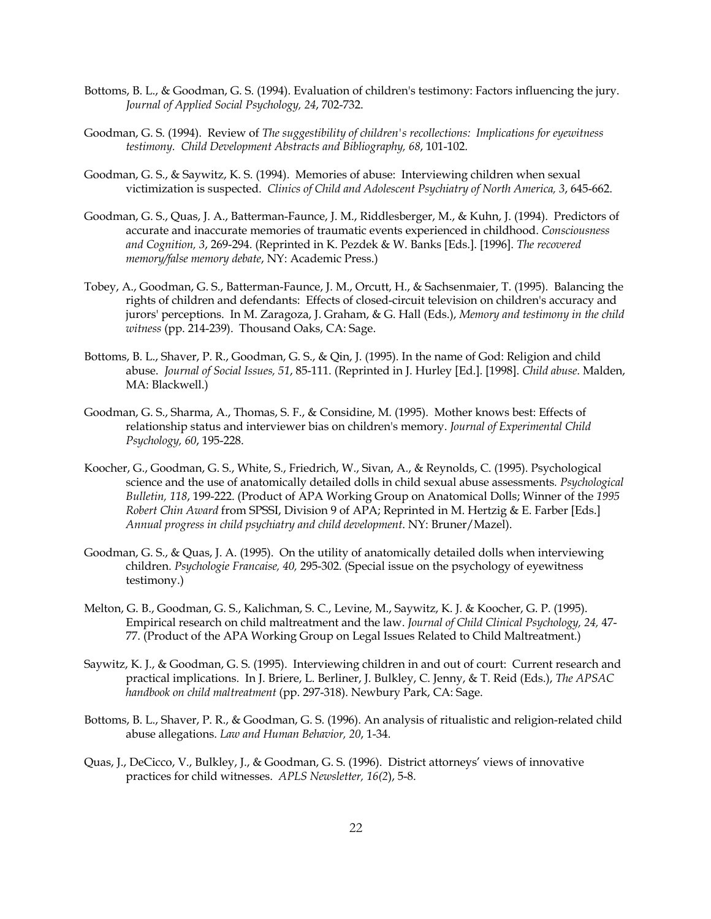- Bottoms, B. L., & Goodman, G. S. (1994). Evaluation of children's testimony: Factors influencing the jury. *Journal of Applied Social Psychology, 24*, 702-732.
- Goodman, G. S. (1994). Review of *The suggestibility of children's recollections: Implications for eyewitness testimony. Child Development Abstracts and Bibliography, 68*, 101-102.
- Goodman, G. S., & Saywitz, K. S. (1994). Memories of abuse: Interviewing children when sexual victimization is suspected. *Clinics of Child and Adolescent Psychiatry of North America, 3*, 645-662.
- Goodman, G. S., Quas, J. A., Batterman-Faunce, J. M., Riddlesberger, M., & Kuhn, J. (1994). Predictors of accurate and inaccurate memories of traumatic events experienced in childhood. *Consciousness and Cognition, 3*, 269-294. (Reprinted in K. Pezdek & W. Banks [Eds.]. [1996]. *The recovered memory/false memory debate*, NY: Academic Press.)
- Tobey, A., Goodman, G. S., Batterman-Faunce, J. M., Orcutt, H., & Sachsenmaier, T. (1995). Balancing the rights of children and defendants: Effects of closed-circuit television on children's accuracy and jurors' perceptions. In M. Zaragoza, J. Graham, & G. Hall (Eds.), *Memory and testimony in the child witness* (pp. 214-239). Thousand Oaks, CA: Sage.
- Bottoms, B. L., Shaver, P. R., Goodman, G. S., & Qin, J. (1995). In the name of God: Religion and child abuse. *Journal of Social Issues, 51*, 85-111. (Reprinted in J. Hurley [Ed.]. [1998]. *Child abuse*. Malden, MA: Blackwell.)
- Goodman, G. S., Sharma, A., Thomas, S. F., & Considine, M. (1995). Mother knows best: Effects of relationship status and interviewer bias on children's memory. *Journal of Experimental Child Psychology, 60*, 195-228.
- Koocher, G., Goodman, G. S., White, S., Friedrich, W., Sivan, A., & Reynolds, C. (1995). Psychological science and the use of anatomically detailed dolls in child sexual abuse assessments*. Psychological Bulletin, 118*, 199-222. (Product of APA Working Group on Anatomical Dolls; Winner of the *1995 Robert Chin Award* from SPSSI, Division 9 of APA; Reprinted in M. Hertzig & E. Farber [Eds.] *Annual progress in child psychiatry and child development*. NY: Bruner/Mazel).
- Goodman, G. S., & Quas, J. A. (1995). On the utility of anatomically detailed dolls when interviewing children. *Psychologie Francaise, 40,* 295-302. (Special issue on the psychology of eyewitness testimony.)
- Melton, G. B., Goodman, G. S., Kalichman, S. C., Levine, M., Saywitz, K. J. & Koocher, G. P. (1995). Empirical research on child maltreatment and the law. *Journal of Child Clinical Psychology, 24,* 47- 77. (Product of the APA Working Group on Legal Issues Related to Child Maltreatment.)
- Saywitz, K. J., & Goodman, G. S. (1995). Interviewing children in and out of court: Current research and practical implications. In J. Briere, L. Berliner, J. Bulkley, C. Jenny, & T. Reid (Eds.), *The APSAC handbook on child maltreatment* (pp. 297-318). Newbury Park, CA: Sage.
- Bottoms, B. L., Shaver, P. R., & Goodman, G. S. (1996). An analysis of ritualistic and religion-related child abuse allegations. *Law and Human Behavior, 20*, 1-34.
- Quas, J., DeCicco, V., Bulkley, J., & Goodman, G. S. (1996). District attorneys' views of innovative practices for child witnesses. *APLS Newsletter, 16(2*), 5-8.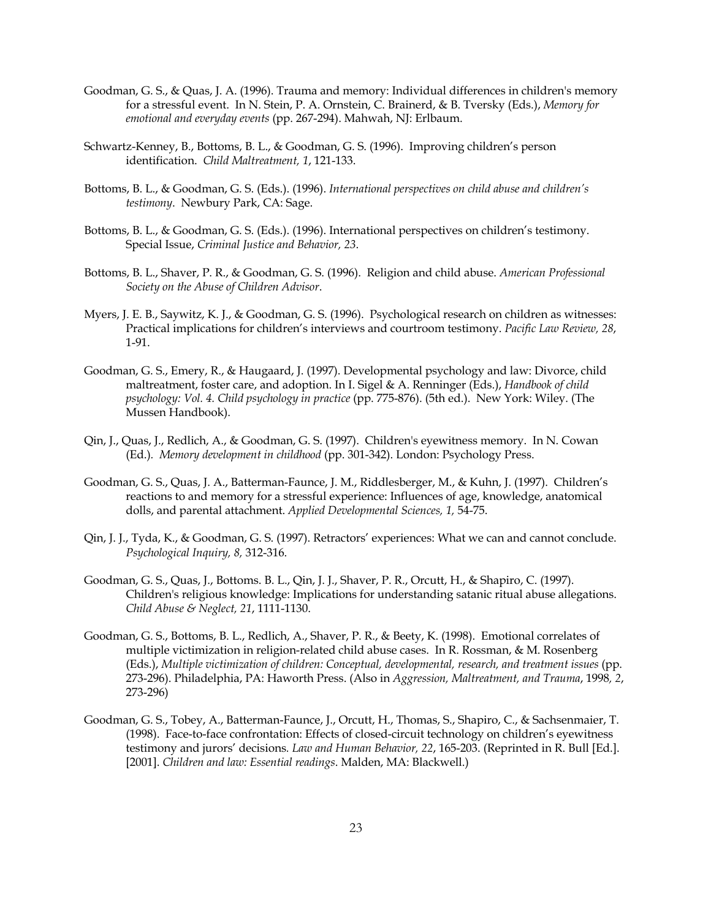- Goodman, G. S., & Quas, J. A. (1996). Trauma and memory: Individual differences in children's memory for a stressful event. In N. Stein, P. A. Ornstein, C. Brainerd, & B. Tversky (Eds.), *Memory for emotional and everyday events* (pp. 267-294). Mahwah, NJ: Erlbaum.
- Schwartz-Kenney, B., Bottoms, B. L., & Goodman, G. S. (1996). Improving children's person identification. *Child Maltreatment, 1*, 121-133.
- Bottoms, B. L., & Goodman, G. S. (Eds.). (1996). *International perspectives on child abuse and children's testimony*. Newbury Park, CA: Sage.
- Bottoms, B. L., & Goodman, G. S. (Eds.). (1996). International perspectives on children's testimony. Special Issue, *Criminal Justice and Behavior, 23*.
- Bottoms, B. L., Shaver, P. R., & Goodman, G. S. (1996). Religion and child abuse. *American Professional Society on the Abuse of Children Advisor*.
- Myers, J. E. B., Saywitz, K. J., & Goodman, G. S. (1996). Psychological research on children as witnesses: Practical implications for children's interviews and courtroom testimony. *Pacific Law Review, 28*, 1-91.
- Goodman, G. S., Emery, R., & Haugaard, J. (1997). Developmental psychology and law: Divorce, child maltreatment, foster care, and adoption. In I. Sigel & A. Renninger (Eds.), *Handbook of child psychology: Vol. 4. Child psychology in practice* (pp. 775-876). (5th ed.). New York: Wiley. (The Mussen Handbook).
- Qin, J., Quas, J., Redlich, A., & Goodman, G. S. (1997). Children's eyewitness memory. In N. Cowan (Ed.)*. Memory development in childhood* (pp. 301-342). London: Psychology Press.
- Goodman, G. S., Quas, J. A., Batterman-Faunce, J. M., Riddlesberger, M., & Kuhn, J. (1997). Children's reactions to and memory for a stressful experience: Influences of age, knowledge, anatomical dolls, and parental attachment. *Applied Developmental Sciences, 1,* 54-75.
- Qin, J. J., Tyda, K., & Goodman, G. S. (1997). Retractors' experiences: What we can and cannot conclude. *Psychological Inquiry, 8,* 312-316.
- Goodman, G. S., Quas, J., Bottoms. B. L., Qin, J. J., Shaver, P. R., Orcutt, H., & Shapiro, C. (1997). Children's religious knowledge: Implications for understanding satanic ritual abuse allegations. *Child Abuse & Neglect, 21*, 1111-1130.
- Goodman, G. S., Bottoms, B. L., Redlich, A., Shaver, P. R., & Beety, K. (1998). Emotional correlates of multiple victimization in religion-related child abuse cases. In R. Rossman, & M. Rosenberg (Eds.), *Multiple victimization of children: Conceptual, developmental, research, and treatment issues* (pp. 273-296). Philadelphia, PA: Haworth Press. (Also in *Aggression, Maltreatment, and Trauma*, 1998*, 2*, 273-296)
- Goodman, G. S., Tobey, A., Batterman-Faunce, J., Orcutt, H., Thomas, S., Shapiro, C., & Sachsenmaier, T. (1998). Face-to-face confrontation: Effects of closed-circuit technology on children's eyewitness testimony and jurors' decisions*. Law and Human Behavior, 22*, 165-203. (Reprinted in R. Bull [Ed.]. [2001]. *Children and law: Essential readings*. Malden, MA: Blackwell.)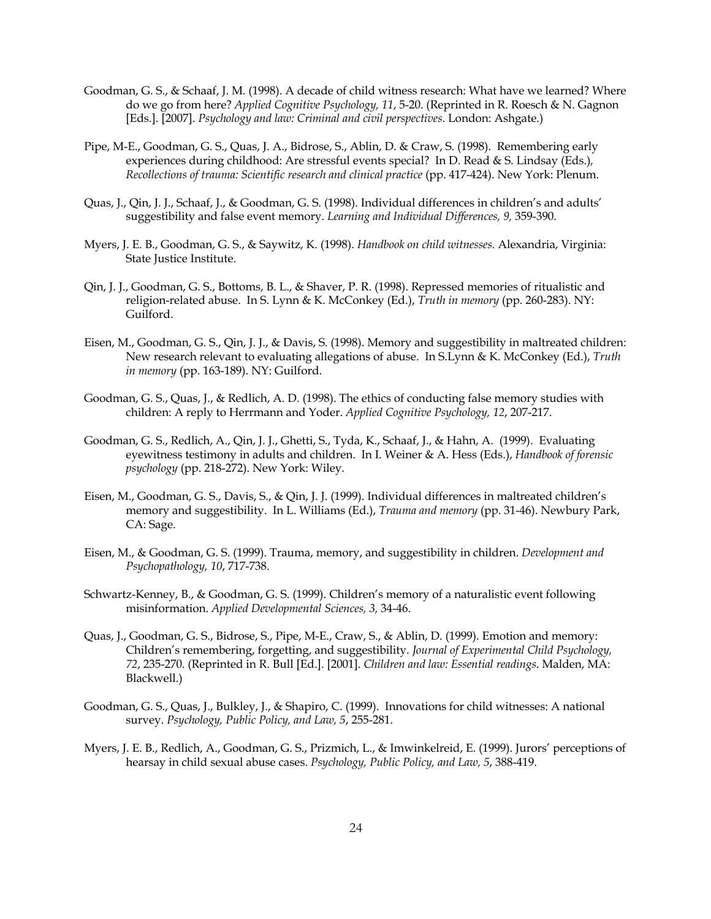- Goodman, G. S., & Schaaf, J. M. (1998). A decade of child witness research: What have we learned? Where do we go from here? *Applied Cognitive Psychology, 11*, 5-20. (Reprinted in R. Roesch & N. Gagnon [Eds.]. [2007]. *Psychology and law: Criminal and civil perspectives*. London: Ashgate.)
- Pipe, M-E., Goodman, G. S., Quas, J. A., Bidrose, S., Ablin, D. & Craw, S. (1998). Remembering early experiences during childhood: Are stressful events special? In D. Read & S. Lindsay (Eds.)*, Recollections of trauma: Scientific research and clinical practice* (pp. 417-424). New York: Plenum.
- Quas, J., Qin, J. J., Schaaf, J., & Goodman, G. S. (1998). Individual differences in children's and adults' suggestibility and false event memory. *Learning and Individual Differences, 9,* 359-390.
- Myers, J. E. B., Goodman, G. S., & Saywitz, K. (1998). *Handbook on child witnesses*. Alexandria, Virginia: State Justice Institute.
- Qin, J. J., Goodman, G. S., Bottoms, B. L., & Shaver, P. R. (1998). Repressed memories of ritualistic and religion-related abuse. In S. Lynn & K. McConkey (Ed.), *Truth in memory* (pp. 260-283). NY: Guilford.
- Eisen, M., Goodman, G. S., Qin, J. J., & Davis, S. (1998). Memory and suggestibility in maltreated children: New research relevant to evaluating allegations of abuse. In S.Lynn & K. McConkey (Ed.), *Truth in memory* (pp. 163-189). NY: Guilford.
- Goodman, G. S., Quas, J., & Redlich, A. D. (1998). The ethics of conducting false memory studies with children: A reply to Herrmann and Yoder. *Applied Cognitive Psychology, 12*, 207-217.
- Goodman, G. S., Redlich, A., Qin, J. J., Ghetti, S., Tyda, K., Schaaf, J., & Hahn, A. (1999). Evaluating eyewitness testimony in adults and children. In I. Weiner & A. Hess (Eds.), *Handbook of forensic psychology* (pp. 218-272). New York: Wiley.
- Eisen, M., Goodman, G. S., Davis, S., & Qin, J. J. (1999). Individual differences in maltreated children's memory and suggestibility. In L. Williams (Ed.), *Trauma and memory* (pp. 31-46). Newbury Park, CA: Sage.
- Eisen, M., & Goodman, G. S. (1999). Trauma, memory, and suggestibility in children. *Development and Psychopathology, 10*, 717-738.
- Schwartz-Kenney, B., & Goodman, G. S. (1999). Children's memory of a naturalistic event following misinformation. *Applied Developmental Sciences, 3,* 34-46.
- Quas, J., Goodman, G. S., Bidrose, S., Pipe, M-E., Craw, S., & Ablin, D. (1999). Emotion and memory: Children's remembering, forgetting, and suggestibility. *Journal of Experimental Child Psychology, 72*, 235-270. (Reprinted in R. Bull [Ed.]. [2001]. *Children and law: Essential readings*. Malden, MA: Blackwell.)
- Goodman, G. S., Quas, J., Bulkley, J., & Shapiro, C. (1999). Innovations for child witnesses: A national survey. *Psychology, Public Policy, and Law, 5*, 255-281.
- Myers, J. E. B., Redlich, A., Goodman, G. S., Prizmich, L., & Imwinkelreid, E. (1999). Jurors' perceptions of hearsay in child sexual abuse cases. *Psychology, Public Policy, and Law, 5*, 388-419.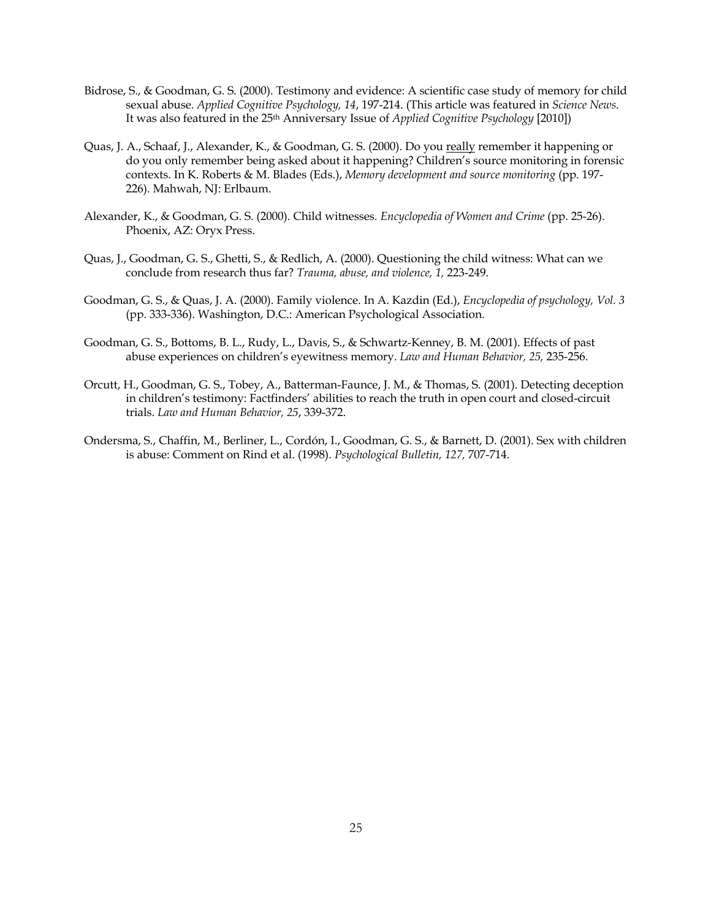- Bidrose, S., & Goodman, G. S. (2000). Testimony and evidence: A scientific case study of memory for child sexual abuse. *Applied Cognitive Psychology, 14*, 197-214. (This article was featured in *Science News*. It was also featured in the 25th Anniversary Issue of *Applied Cognitive Psychology* [2010])
- Quas, J. A., Schaaf, J., Alexander, K., & Goodman, G. S. (2000). Do you really remember it happening or do you only remember being asked about it happening? Children's source monitoring in forensic contexts. In K. Roberts & M. Blades (Eds.), *Memory development and source monitoring* (pp. 197- 226). Mahwah, NJ: Erlbaum.
- Alexander, K., & Goodman, G. S. (2000). Child witnesses. *Encyclopedia of Women and Crime* (pp. 25-26). Phoenix, AZ: Oryx Press.
- Quas, J., Goodman, G. S., Ghetti, S., & Redlich, A. (2000). Questioning the child witness: What can we conclude from research thus far? *Trauma, abuse, and violence, 1,* 223-249.
- Goodman, G. S., & Quas, J. A. (2000). Family violence. In A. Kazdin (Ed.), *Encyclopedia of psychology, Vol. 3*  (pp. 333-336). Washington, D.C.: American Psychological Association.
- Goodman, G. S., Bottoms, B. L., Rudy, L., Davis, S., & Schwartz-Kenney, B. M. (2001). Effects of past abuse experiences on children's eyewitness memory. *Law and Human Behavior, 25,* 235-256.
- Orcutt, H., Goodman, G. S., Tobey, A., Batterman-Faunce, J. M., & Thomas, S. (2001). Detecting deception in children's testimony: Factfinders' abilities to reach the truth in open court and closed-circuit trials. *Law and Human Behavior, 25*, 339-372.
- Ondersma, S., Chaffin, M., Berliner, L., Cordón, I., Goodman, G. S., & Barnett, D. (2001). Sex with children is abuse: Comment on Rind et al. (1998). *Psychological Bulletin, 127,* 707-714.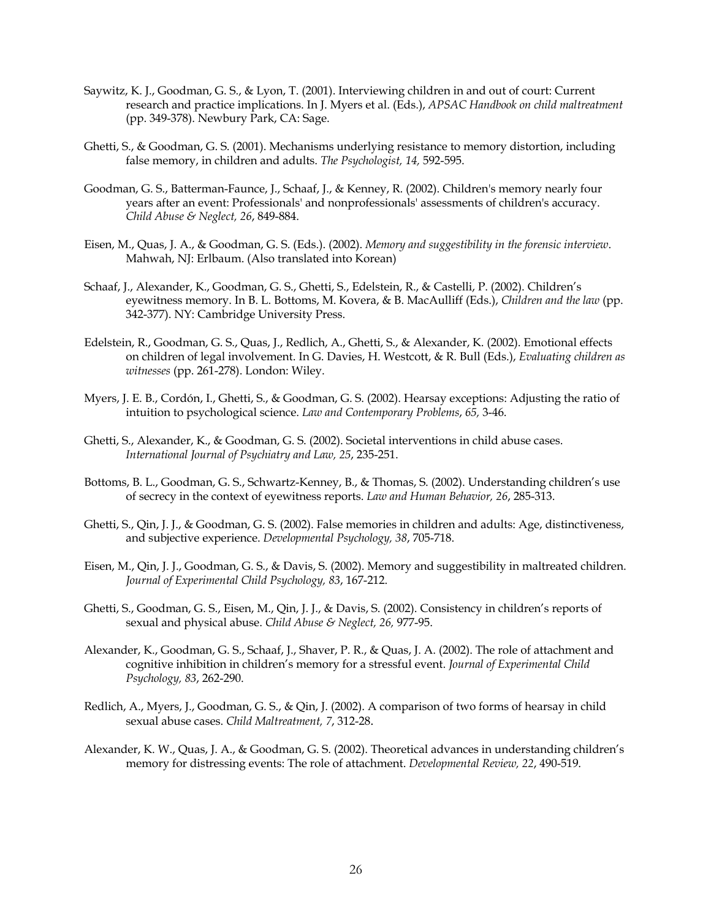- Saywitz, K. J., Goodman, G. S., & Lyon, T. (2001). Interviewing children in and out of court: Current research and practice implications. In J. Myers et al. (Eds.), *APSAC Handbook on child maltreatment*  (pp. 349-378). Newbury Park, CA: Sage.
- Ghetti, S., & Goodman, G. S. (2001). Mechanisms underlying resistance to memory distortion, including false memory, in children and adults. *The Psychologist, 14,* 592-595.
- Goodman, G. S., Batterman-Faunce, J., Schaaf, J., & Kenney, R. (2002). Children's memory nearly four years after an event: Professionals' and nonprofessionals' assessments of children's accuracy. *Child Abuse & Neglect, 26*, 849-884.
- Eisen, M., Quas, J. A., & Goodman, G. S. (Eds.). (2002). *Memory and suggestibility in the forensic interview*. Mahwah, NJ: Erlbaum. (Also translated into Korean)
- Schaaf, J., Alexander, K., Goodman, G. S., Ghetti, S., Edelstein, R., & Castelli, P. (2002). Children's eyewitness memory. In B. L. Bottoms, M. Kovera, & B. MacAulliff (Eds.), *Children and the law* (pp. 342-377). NY: Cambridge University Press.
- Edelstein, R., Goodman, G. S., Quas, J., Redlich, A., Ghetti, S., & Alexander, K. (2002). Emotional effects on children of legal involvement. In G. Davies, H. Westcott, & R. Bull (Eds.), *Evaluating children as witnesses* (pp. 261-278). London: Wiley.
- Myers, J. E. B., Cordón, I., Ghetti, S., & Goodman, G. S. (2002). Hearsay exceptions: Adjusting the ratio of intuition to psychological science. *Law and Contemporary Problems*, *65,* 3-46.
- Ghetti, S., Alexander, K., & Goodman, G. S. (2002). Societal interventions in child abuse cases. *International Journal of Psychiatry and Law, 25*, 235-251.
- Bottoms, B. L., Goodman, G. S., Schwartz-Kenney, B., & Thomas, S. (2002). Understanding children's use of secrecy in the context of eyewitness reports. *Law and Human Behavior, 26*, 285-313.
- Ghetti, S., Qin, J. J., & Goodman, G. S. (2002). False memories in children and adults: Age, distinctiveness, and subjective experience. *Developmental Psychology, 38*, 705-718.
- Eisen, M., Qin, J. J., Goodman, G. S., & Davis, S. (2002). Memory and suggestibility in maltreated children. *Journal of Experimental Child Psychology, 83*, 167-212.
- Ghetti, S., Goodman, G. S., Eisen, M., Qin, J. J., & Davis, S. (2002). Consistency in children's reports of sexual and physical abuse. *Child Abuse & Neglect, 26,* 977-95.
- Alexander, K., Goodman, G. S., Schaaf, J., Shaver, P. R., & Quas, J. A. (2002). The role of attachment and cognitive inhibition in children's memory for a stressful event. *Journal of Experimental Child Psychology, 83*, 262-290.
- Redlich, A., Myers, J., Goodman, G. S., & Qin, J. (2002). A comparison of two forms of hearsay in child sexual abuse cases. *Child Maltreatment, 7*, 312-28.
- Alexander, K. W., Quas, J. A., & Goodman, G. S. (2002). Theoretical advances in understanding children's memory for distressing events: The role of attachment. *Developmental Review, 22*, 490-519.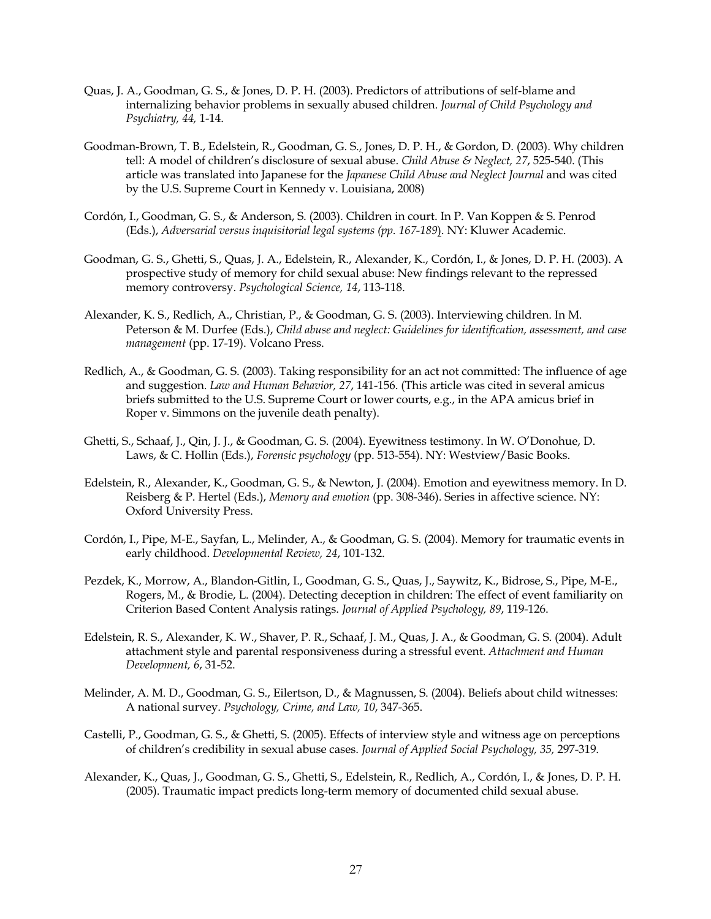- Quas, J. A., Goodman, G. S., & Jones, D. P. H. (2003). Predictors of attributions of self-blame and internalizing behavior problems in sexually abused children. *Journal of Child Psychology and Psychiatry, 44,* 1-14.
- Goodman-Brown, T. B., Edelstein, R., Goodman, G. S., Jones, D. P. H., & Gordon, D. (2003). Why children tell: A model of children's disclosure of sexual abuse. *Child Abuse & Neglect, 27*, 525-540. (This article was translated into Japanese for the *Japanese Child Abuse and Neglect Journal* and was cited by the U.S. Supreme Court in Kennedy v. Louisiana, 2008)
- Cordón, I., Goodman, G. S., & Anderson, S. (2003). Children in court. In P. Van Koppen & S. Penrod (Eds.), *Adversarial versus inquisitorial legal systems (pp. 167-189*). NY: Kluwer Academic.
- Goodman, G. S., Ghetti, S., Quas, J. A., Edelstein, R., Alexander, K., Cordón, I., & Jones, D. P. H. (2003). A prospective study of memory for child sexual abuse: New findings relevant to the repressed memory controversy. *Psychological Science, 14*, 113-118.
- Alexander, K. S., Redlich, A., Christian, P., & Goodman, G. S. (2003). Interviewing children. In M. Peterson & M. Durfee (Eds.), *Child abuse and neglect: Guidelines for identification, assessment, and case management* (pp. 17-19). Volcano Press.
- Redlich, A., & Goodman, G. S. (2003). Taking responsibility for an act not committed: The influence of age and suggestion. *Law and Human Behavior, 27*, 141-156. (This article was cited in several amicus briefs submitted to the U.S. Supreme Court or lower courts, e.g., in the APA amicus brief in Roper v. Simmons on the juvenile death penalty).
- Ghetti, S., Schaaf, J., Qin, J. J., & Goodman, G. S. (2004). Eyewitness testimony. In W. O'Donohue, D. Laws, & C. Hollin (Eds.), *Forensic psychology* (pp. 513-554). NY: Westview/Basic Books.
- Edelstein, R., Alexander, K., Goodman, G. S., & Newton, J. (2004). Emotion and eyewitness memory. In D. Reisberg & P. Hertel (Eds.), *Memory and emotion* (pp. 308-346). Series in affective science. NY: Oxford University Press.
- Cordón, I., Pipe, M-E., Sayfan, L., Melinder, A., & Goodman, G. S. (2004). Memory for traumatic events in early childhood. *Developmental Review, 24*, 101-132.
- Pezdek, K., Morrow, A., Blandon-Gitlin, I., Goodman, G. S., Quas, J., Saywitz, K., Bidrose, S., Pipe, M-E., Rogers, M., & Brodie, L. (2004). Detecting deception in children: The effect of event familiarity on Criterion Based Content Analysis ratings. *Journal of Applied Psychology, 89*, 119-126.
- Edelstein, R. S., Alexander, K. W., Shaver, P. R., Schaaf, J. M., Quas, J. A., & Goodman, G. S. (2004). Adult attachment style and parental responsiveness during a stressful event. *Attachment and Human Development, 6*, 31-52.
- Melinder, A. M. D., Goodman, G. S., Eilertson, D., & Magnussen, S. (2004). Beliefs about child witnesses: A national survey. *Psychology, Crime, and Law, 10*, 347-365.
- Castelli, P., Goodman, G. S., & Ghetti, S. (2005). Effects of interview style and witness age on perceptions of children's credibility in sexual abuse cases. *Journal of Applied Social Psychology, 35,* 297-319.
- Alexander, K., Quas, J., Goodman, G. S., Ghetti, S., Edelstein, R., Redlich, A., Cordón, I., & Jones, D. P. H. (2005). Traumatic impact predicts long-term memory of documented child sexual abuse.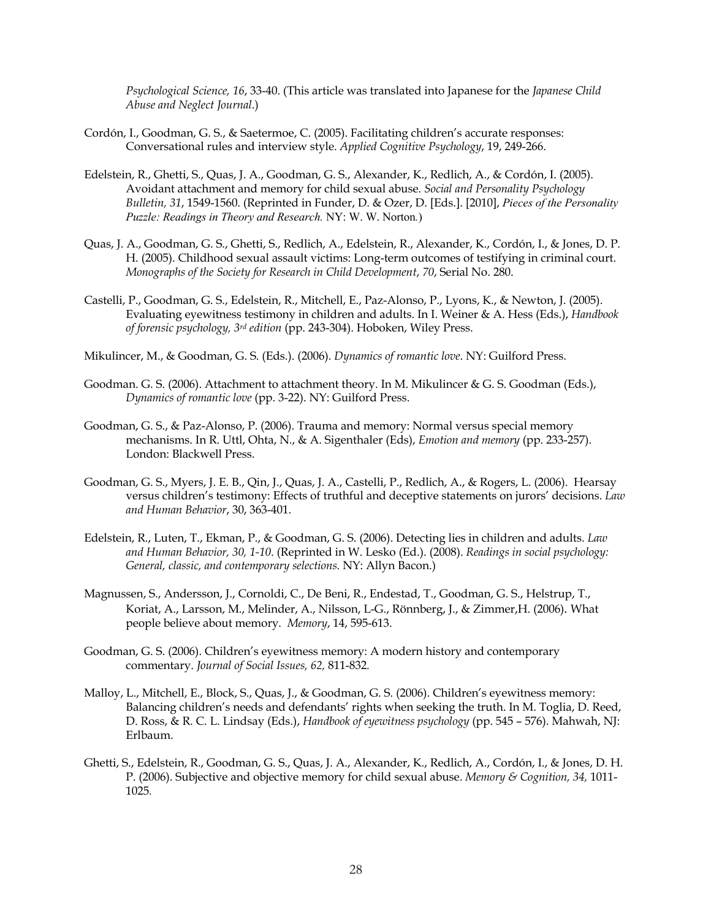*Psychological Science, 16*, 33-40. (This article was translated into Japanese for the *Japanese Child Abuse and Neglect Journal*.)

- Cordón, I., Goodman, G. S., & Saetermoe, C. (2005). Facilitating children's accurate responses: Conversational rules and interview style. *Applied Cognitive Psychology*, 19, 249-266.
- Edelstein, R., Ghetti, S., Quas, J. A., Goodman, G. S., Alexander, K., Redlich, A., & Cordón, I. (2005). Avoidant attachment and memory for child sexual abuse. *Social and Personality Psychology Bulletin, 31*, 1549-1560. (Reprinted in Funder, D. & Ozer, D. [Eds.]. [2010], *Pieces of the Personality Puzzle: Readings in Theory and Research.* NY: W. W. Norton*.*)
- Quas, J. A., Goodman, G. S., Ghetti, S., Redlich, A., Edelstein, R., Alexander, K., Cordón, I., & Jones, D. P. H. (2005). Childhood sexual assault victims: Long-term outcomes of testifying in criminal court. *Monographs of the Society for Research in Child Development*, *70*, Serial No. 280.
- Castelli, P., Goodman, G. S., Edelstein, R., Mitchell, E., Paz-Alonso, P., Lyons, K., & Newton, J. (2005). Evaluating eyewitness testimony in children and adults. In I. Weiner & A. Hess (Eds.), *Handbook of forensic psychology, 3rd edition* (pp. 243-304). Hoboken, Wiley Press.
- Mikulincer, M., & Goodman, G. S. (Eds.). (2006). *Dynamics of romantic love*. NY: Guilford Press.
- Goodman. G. S. (2006). Attachment to attachment theory. In M. Mikulincer & G. S. Goodman (Eds.), *Dynamics of romantic love* (pp. 3-22). NY: Guilford Press.
- Goodman, G. S., & Paz-Alonso, P. (2006). Trauma and memory: Normal versus special memory mechanisms. In R. Uttl, Ohta, N., & A. Sigenthaler (Eds), *Emotion and memory* (pp. 233-257). London: Blackwell Press.
- Goodman, G. S., Myers, J. E. B., Qin, J., Quas, J. A., Castelli, P., Redlich, A., & Rogers, L. (2006). Hearsay versus children's testimony: Effects of truthful and deceptive statements on jurors' decisions. *Law and Human Behavior*, 30, 363-401.
- Edelstein, R., Luten, T., Ekman, P., & Goodman, G. S. (2006). Detecting lies in children and adults. *Law and Human Behavior, 30, 1-10*. (Reprinted in W. Lesko (Ed.). (2008). *Readings in social psychology: General, classic, and contemporary selections.* NY: Allyn Bacon.)
- Magnussen, S., Andersson, J., Cornoldi, C., De Beni, R., Endestad, T., Goodman, G. S., Helstrup, T., Koriat, A., Larsson, M., Melinder, A., Nilsson, L-G., Rönnberg, J., & Zimmer,H. (2006). What people believe about memory*. Memory*, 14, 595-613.
- Goodman, G. S. (2006). Children's eyewitness memory: A modern history and contemporary commentary. *Journal of Social Issues, 62,* 811-832*.*
- Malloy, L., Mitchell, E., Block, S., Quas, J., & Goodman, G. S. (2006). Children's eyewitness memory: Balancing children's needs and defendants' rights when seeking the truth. In M. Toglia, D. Reed, D. Ross, & R. C. L. Lindsay (Eds.), *Handbook of eyewitness psychology* (pp. 545 – 576). Mahwah, NJ: Erlbaum.
- Ghetti, S., Edelstein, R., Goodman, G. S., Quas, J. A., Alexander, K., Redlich, A., Cordón, I., & Jones, D. H. P. (2006). Subjective and objective memory for child sexual abuse. *Memory & Cognition, 34,* 1011- 1025*.*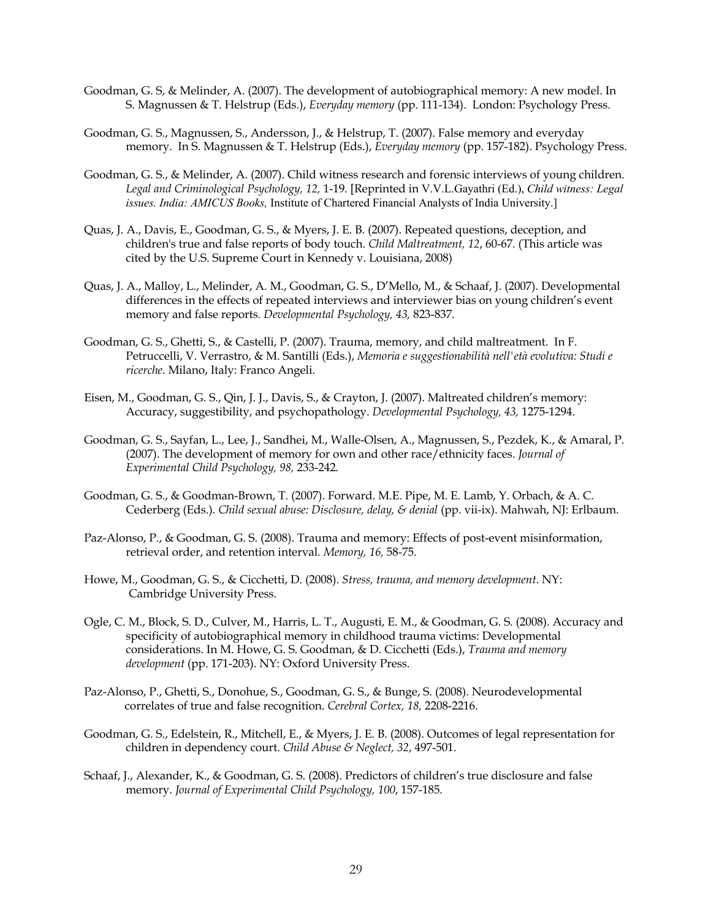- Goodman, G. S, & Melinder, A. (2007). The development of autobiographical memory: A new model. In S. Magnussen & T. Helstrup (Eds.), *Everyday memory* (pp. 111-134). London: Psychology Press.
- Goodman, G. S., Magnussen, S., Andersson, J., & Helstrup, T. (2007). False memory and everyday memory. In S. Magnussen & T. Helstrup (Eds.), *Everyday memory* (pp. 157-182). Psychology Press.
- Goodman, G. S., & Melinder, A. (2007). Child witness research and forensic interviews of young children. *Legal and Criminological Psychology, 12,* 1-19*.* [Reprinted in V.V.L.Gayathri (Ed.), *Child witness: Legal issues. India: AMICUS Books,* Institute of Chartered Financial Analysts of India University.]
- Quas, J. A., Davis, E., Goodman, G. S., & Myers, J. E. B. (2007). Repeated questions, deception, and children's true and false reports of body touch. *Child Maltreatment, 12*, 60-67*.* (This article was cited by the U.S. Supreme Court in Kennedy v. Louisiana, 2008)
- Quas, J. A., Malloy, L., Melinder, A. M., Goodman, G. S., D'Mello, M., & Schaaf, J. (2007). Developmental differences in the effects of repeated interviews and interviewer bias on young children's event memory and false reports*. Developmental Psychology, 43,* 823-837*.*
- Goodman, G. S., Ghetti, S., & Castelli, P. (2007). Trauma, memory, and child maltreatment. In F. Petruccelli, V. Verrastro, & M. Santilli (Eds.), *Memoria e suggestionabilità nell'età evolutiva: Studi e ricerche*. Milano, Italy: Franco Angeli.
- Eisen, M., Goodman, G. S., Qin, J. J., Davis, S., & Crayton, J. (2007). Maltreated children's memory: Accuracy, suggestibility, and psychopathology. *Developmental Psychology, 43,* 1275-1294.
- Goodman, G. S., Sayfan, L., Lee, J., Sandhei, M., Walle-Olsen, A., Magnussen, S., Pezdek, K., & Amaral, P. (2007). The development of memory for own and other race/ethnicity faces. *Journal of Experimental Child Psychology, 98,* 233-242*.*
- Goodman, G. S., & Goodman-Brown, T. (2007). Forward. M.E. Pipe, M. E. Lamb, Y. Orbach, & A. C. Cederberg (Eds.). *Child sexual abuse: Disclosure, delay, & denial* (pp. vii-ix). Mahwah, NJ: Erlbaum.
- Paz-Alonso, P., & Goodman, G. S. (2008). Trauma and memory: Effects of post-event misinformation, retrieval order, and retention interval*. Memory, 16,* 58-75*.*
- Howe, M., Goodman, G. S., & Cicchetti, D. (2008). *Stress, trauma, and memory development*. NY: Cambridge University Press.
- Ogle, C. M., Block, S. D., Culver, M., Harris, L. T., Augusti, E. M., & Goodman, G. S. (2008). Accuracy and specificity of autobiographical memory in childhood trauma victims: Developmental considerations. In M. Howe, G. S. Goodman, & D. Cicchetti (Eds.), *Trauma and memory development* (pp. 171-203). NY: Oxford University Press.
- Paz-Alonso, P., Ghetti, S., Donohue, S., Goodman, G. S., & Bunge, S. (2008). Neurodevelopmental correlates of true and false recognition. *Cerebral Cortex, 18,* 2208-2216.
- Goodman, G. S., Edelstein, R., Mitchell, E., & Myers, J. E. B. (2008). Outcomes of legal representation for children in dependency court. *Child Abuse & Neglect, 32*, 497-501.
- Schaaf, J., Alexander, K., & Goodman, G. S. (2008). Predictors of children's true disclosure and false memory. *Journal of Experimental Child Psychology, 100*, 157-185.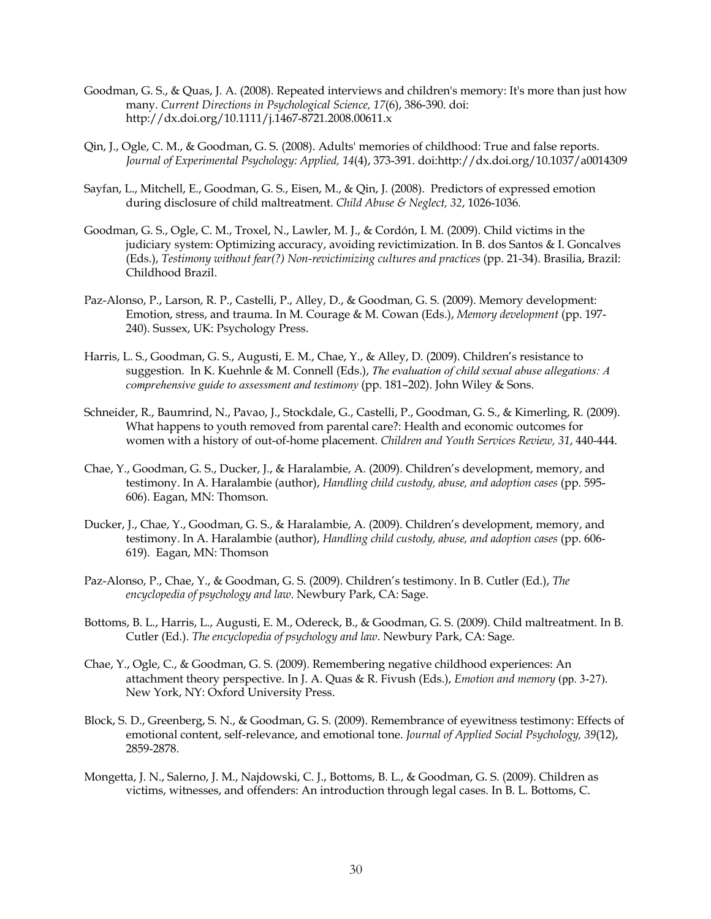- Goodman, G. S., & Quas, J. A. (2008). Repeated interviews and children's memory: It's more than just how many. *Current Directions in Psychological Science, 17*(6), 386-390. doi: http://dx.doi.org/10.1111/j.1467-8721.2008.00611.x
- Qin, J., Ogle, C. M., & Goodman, G. S. (2008). Adults' memories of childhood: True and false reports. *Journal of Experimental Psychology: Applied, 14*(4), 373-391. doi:http://dx.doi.org/10.1037/a0014309
- Sayfan, L., Mitchell, E., Goodman, G. S., Eisen, M., & Qin, J. (2008). Predictors of expressed emotion during disclosure of child maltreatment. *Child Abuse & Neglect, 32*, 1026-1036*.*
- Goodman, G. S., Ogle, C. M., Troxel, N., Lawler, M. J., & Cordón, I. M. (2009). Child victims in the judiciary system: Optimizing accuracy, avoiding revictimization. In B. dos Santos & I. Goncalves (Eds.), *Testimony without fear(?) Non-revictimizing cultures and practices* (pp. 21-34). Brasilia, Brazil: Childhood Brazil.
- Paz-Alonso, P., Larson, R. P., Castelli, P., Alley, D., & Goodman, G. S. (2009). Memory development: Emotion, stress, and trauma. In M. Courage & M. Cowan (Eds.), *Memory development* (pp. 197- 240). Sussex, UK: Psychology Press.
- Harris, L. S., Goodman, G. S., Augusti, E. M., Chae, Y., & Alley, D. (2009). Children's resistance to suggestion. In K. Kuehnle & M. Connell (Eds.), *The evaluation of child sexual abuse allegations: A comprehensive guide to assessment and testimony* (pp. 181–202). John Wiley & Sons.
- Schneider, R., Baumrind, N., Pavao, J., Stockdale, G., Castelli, P., Goodman, G. S., & Kimerling, R. (2009). What happens to youth removed from parental care?: Health and economic outcomes for women with a history of out-of-home placement. *Children and Youth Services Review, 31*, 440-444.
- Chae, Y., Goodman, G. S., Ducker, J., & Haralambie, A. (2009). Children's development, memory, and testimony. In A. Haralambie (author), *Handling child custody, abuse, and adoption cases* (pp. 595- 606). Eagan, MN: Thomson.
- Ducker, J., Chae, Y., Goodman, G. S., & Haralambie, A. (2009). Children's development, memory, and testimony. In A. Haralambie (author), *Handling child custody, abuse, and adoption cases* (pp. 606- 619). Eagan, MN: Thomson
- Paz-Alonso, P., Chae, Y., & Goodman, G. S. (2009). Children's testimony. In B. Cutler (Ed.), *The encyclopedia of psychology and law*. Newbury Park, CA: Sage.
- Bottoms, B. L., Harris, L., Augusti, E. M., Odereck, B., & Goodman, G. S. (2009). Child maltreatment. In B. Cutler (Ed.). *The encyclopedia of psychology and law*. Newbury Park, CA: Sage.
- Chae, Y., Ogle, C., & Goodman, G. S. (2009). Remembering negative childhood experiences: An attachment theory perspective. In J. A. Quas & R. Fivush (Eds.), *Emotion and memory* (pp. 3-27). New York, NY: Oxford University Press.
- Block, S. D., Greenberg, S. N., & Goodman, G. S. (2009). Remembrance of eyewitness testimony: Effects of emotional content, self-relevance, and emotional tone. *Journal of Applied Social Psychology, 39*(12), 2859-2878.
- Mongetta, J. N., Salerno, J. M., Najdowski, C. J., Bottoms, B. L., & Goodman, G. S. (2009). Children as victims, witnesses, and offenders: An introduction through legal cases. In B. L. Bottoms, C.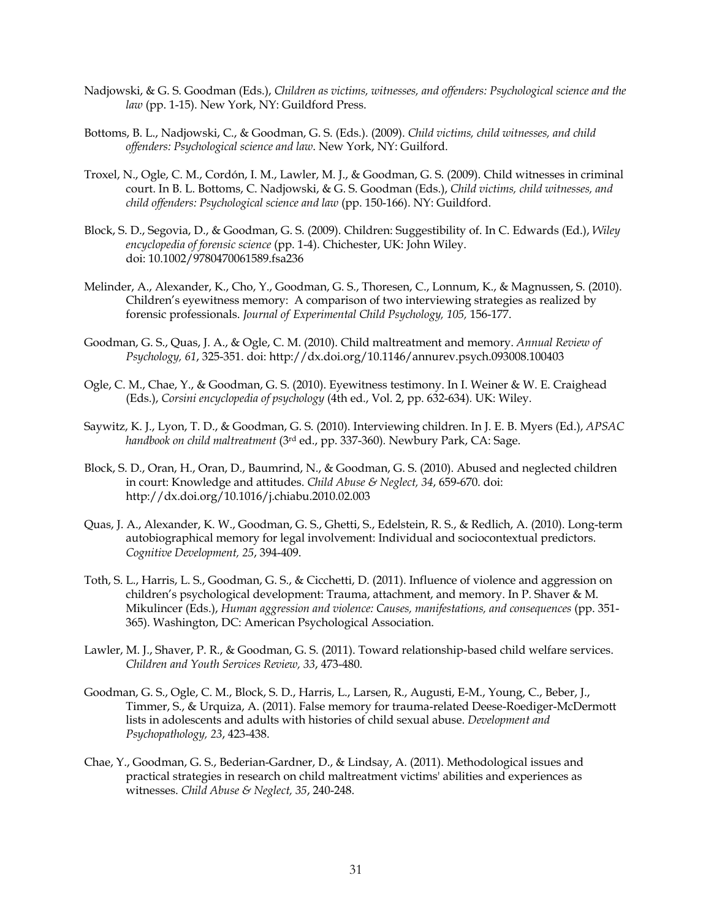- Nadjowski, & G. S. Goodman (Eds.), *Children as victims, witnesses, and offenders: Psychological science and the law* (pp. 1-15). New York, NY: Guildford Press.
- Bottoms, B. L., Nadjowski, C., & Goodman, G. S. (Eds.). (2009). *Child victims, child witnesses, and child offenders: Psychological science and law*. New York, NY: Guilford.
- Troxel, N., Ogle, C. M., Cordón, I. M., Lawler, M. J., & Goodman, G. S. (2009). Child witnesses in criminal court. In B. L. Bottoms, C. Nadjowski, & G. S. Goodman (Eds.), *Child victims, child witnesses, and child offenders: Psychological science and law* (pp. 150-166). NY: Guildford.
- Block, S. D., Segovia, D., & Goodman, G. S. (2009). Children: Suggestibility of. In C. Edwards (Ed.), *Wiley encyclopedia of forensic science* (pp. 1-4). Chichester, UK: John Wiley. doi: 10.1002/9780470061589.fsa236
- Melinder, A., Alexander, K., Cho, Y., Goodman, G. S., Thoresen, C., Lonnum, K., & Magnussen, S. (2010). Children's eyewitness memory: A comparison of two interviewing strategies as realized by forensic professionals. *Journal of Experimental Child Psychology, 105,* 156-177.
- Goodman, G. S., Quas, J. A., & Ogle, C. M. (2010). Child maltreatment and memory. *Annual Review of Psychology, 61*, 325-351. doi: http://dx.doi.org/10.1146/annurev.psych.093008.100403
- Ogle, C. M., Chae, Y., & Goodman, G. S. (2010). Eyewitness testimony. In I. Weiner & W. E. Craighead (Eds.), *Corsini encyclopedia of psychology* (4th ed., Vol. 2, pp. 632-634)*.* UK: Wiley.
- Saywitz, K. J., Lyon, T. D., & Goodman, G. S. (2010). Interviewing children. In J. E. B. Myers (Ed.), *APSAC handbook on child maltreatment* (3rd ed., pp. 337-360)*.* Newbury Park, CA: Sage.
- Block, S. D., Oran, H., Oran, D., Baumrind, N., & Goodman, G. S. (2010). Abused and neglected children in court: Knowledge and attitudes. *Child Abuse & Neglect, 34*, 659-670. doi: http://dx.doi.org/10.1016/j.chiabu.2010.02.003
- Quas, J. A., Alexander, K. W., Goodman, G. S., Ghetti, S., Edelstein, R. S., & Redlich, A. (2010). Long-term autobiographical memory for legal involvement: Individual and sociocontextual predictors. *Cognitive Development, 25*, 394-409.
- Toth, S. L., Harris, L. S., Goodman, G. S., & Cicchetti, D. (2011). Influence of violence and aggression on children's psychological development: Trauma, attachment, and memory. In P. Shaver & M. Mikulincer (Eds.), *Human aggression and violence: Causes, manifestations, and consequences* (pp. 351- 365). Washington, DC: American Psychological Association.
- Lawler, M. J., Shaver, P. R., & Goodman, G. S. (2011). Toward relationship-based child welfare services. *Children and Youth Services Review, 33*, 473-480.
- Goodman, G. S., Ogle, C. M., Block, S. D., Harris, L., Larsen, R., Augusti, E-M., Young, C., Beber, J., Timmer, S., & Urquiza, A. (2011). False memory for trauma-related Deese-Roediger-McDermott lists in adolescents and adults with histories of child sexual abuse. *Development and Psychopathology, 23*, 423-438.
- Chae, Y., Goodman, G. S., Bederian-Gardner, D., & Lindsay, A. (2011). Methodological issues and practical strategies in research on child maltreatment victims' abilities and experiences as witnesses. *Child Abuse & Neglect, 35*, 240-248.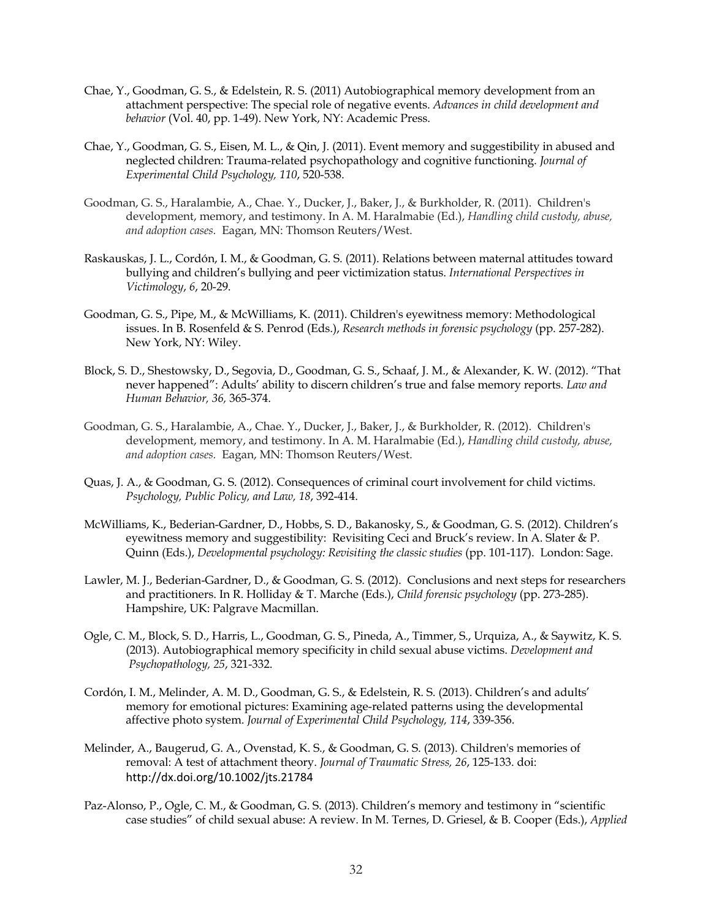- Chae, Y., Goodman, G. S., & Edelstein, R. S. (2011) Autobiographical memory development from an attachment perspective: The special role of negative events. *Advances in child development and behavior* (Vol. 40, pp. 1-49). New York, NY: Academic Press.
- Chae, Y., Goodman, G. S., Eisen, M. L., & Qin, J. (2011). Event memory and suggestibility in abused and neglected children: Trauma-related psychopathology and cognitive functioning. *Journal of Experimental Child Psychology, 110*, 520-538.
- Goodman, G. S., Haralambie, A., Chae. Y., Ducker, J., Baker, J., & Burkholder, R. (2011). Children's development, memory, and testimony. In A. M. Haralmabie (Ed.), *Handling child custody, abuse, and adoption cases.* Eagan, MN: Thomson Reuters/West.
- Raskauskas, J. L., Cordón, I. M., & Goodman, G. S. (2011). Relations between maternal attitudes toward bullying and children's bullying and peer victimization status. *International Perspectives in Victimology*, *6*, 20-29.
- Goodman, G. S., Pipe, M., & McWilliams, K. (2011). Children's eyewitness memory: Methodological issues. In B. Rosenfeld & S. Penrod (Eds.), *Research methods in forensic psychology* (pp. 257-282). New York, NY: Wiley.
- Block, S. D., Shestowsky, D., Segovia, D., Goodman, G. S., Schaaf, J. M., & Alexander, K. W. (2012). "That never happened": Adults' ability to discern children's true and false memory reports*. Law and Human Behavior, 36,* 365-374.
- Goodman, G. S., Haralambie, A., Chae. Y., Ducker, J., Baker, J., & Burkholder, R. (2012). Children's development, memory, and testimony. In A. M. Haralmabie (Ed.), *Handling child custody, abuse, and adoption cases.* Eagan, MN: Thomson Reuters/West.
- Quas, J. A., & Goodman, G. S. (2012). Consequences of criminal court involvement for child victims. *Psychology, Public Policy, and Law, 18*, 392-414.
- McWilliams, K., Bederian-Gardner, D., Hobbs, S. D., Bakanosky, S., & Goodman, G. S. (2012). Children's eyewitness memory and suggestibility: Revisiting Ceci and Bruck's review. In A. Slater & P. Quinn (Eds.), *Developmental psychology: Revisiting the classic studies* (pp. 101-117). London: Sage.
- Lawler, M. J., Bederian-Gardner, D., & Goodman, G. S. (2012). Conclusions and next steps for researchers and practitioners. In R. Holliday & T. Marche (Eds.), *Child forensic psychology* (pp. 273-285). Hampshire, UK: Palgrave Macmillan.
- Ogle, C. M., Block, S. D., Harris, L., Goodman, G. S., Pineda, A., Timmer, S., Urquiza, A., & Saywitz, K. S. (2013). Autobiographical memory specificity in child sexual abuse victims. *Development and Psychopathology, 25*, 321-332.
- Cordón, I. M., Melinder, A. M. D., Goodman, G. S., & Edelstein, R. S. (2013). Children's and adults' memory for emotional pictures: Examining age-related patterns using the developmental affective photo system. *Journal of Experimental Child Psychology, 114*, 339-356.
- Melinder, A., Baugerud, G. A., Ovenstad, K. S., & Goodman, G. S. (2013). Children's memories of removal: A test of attachment theory. *Journal of Traumatic Stress, 26*, 125-133. doi: http://dx.doi.org/10.1002/jts.21784
- Paz-Alonso, P., Ogle, C. M., & Goodman, G. S. (2013). Children's memory and testimony in "scientific case studies" of child sexual abuse: A review. In M. Ternes, D. Griesel, & B. Cooper (Eds.), *Applied*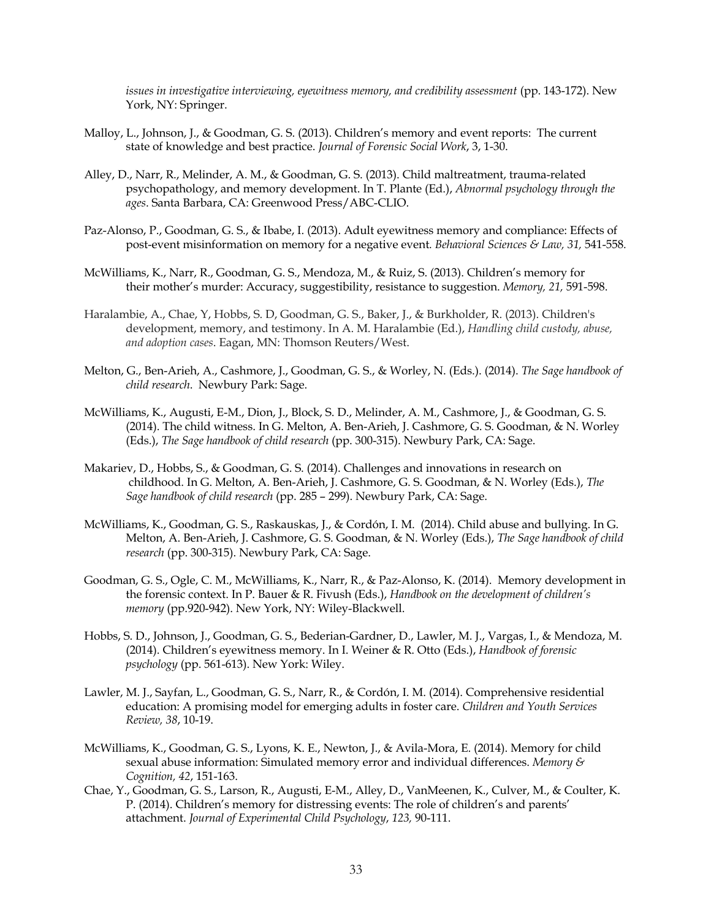*issues in investigative interviewing, eyewitness memory, and credibility assessment* (pp. 143-172). New York, NY: Springer.

- Malloy, L., Johnson, J., & Goodman, G. S. (2013). Children's memory and event reports: The current state of knowledge and best practice. *Journal of Forensic Social Work*, 3, 1-30.
- Alley, D., Narr, R., Melinder, A. M., & Goodman, G. S. (2013). Child maltreatment, trauma-related psychopathology, and memory development. In T. Plante (Ed.), *Abnormal psychology through the ages*. Santa Barbara, CA: Greenwood Press/ABC-CLIO.
- Paz-Alonso, P., Goodman, G. S., & Ibabe, I. (2013). Adult eyewitness memory and compliance: Effects of post-event misinformation on memory for a negative event*. Behavioral Sciences & Law, 31,* 541-558*.*
- McWilliams, K., Narr, R., Goodman, G. S., Mendoza, M., & Ruiz, S. (2013). Children's memory for their mother's murder: Accuracy, suggestibility, resistance to suggestion. *Memory, 21,* 591-598.
- Haralambie, A., Chae, Y, Hobbs, S. D, Goodman, G. S., Baker, J., & Burkholder, R. (2013). Children's development, memory, and testimony. In A. M. Haralambie (Ed.), *Handling child custody, abuse, and adoption cases*. Eagan, MN: Thomson Reuters/West.
- Melton, G., Ben-Arieh, A., Cashmore, J., Goodman, G. S., & Worley, N. (Eds.). (2014). *The Sage handbook of child research*. Newbury Park: Sage.
- McWilliams, K., Augusti, E-M., Dion, J., Block, S. D., Melinder, A. M., Cashmore, J., & Goodman, G. S. (2014). The child witness. In G. Melton, A. Ben-Arieh, J. Cashmore, G. S. Goodman, & N. Worley (Eds.), *The Sage handbook of child research* (pp. 300-315). Newbury Park, CA: Sage.
- Makariev, D., Hobbs, S., & Goodman, G. S. (2014). Challenges and innovations in research on childhood. In G. Melton, A. Ben-Arieh, J. Cashmore, G. S. Goodman, & N. Worley (Eds.), *The Sage handbook of child research* (pp. 285 – 299). Newbury Park, CA: Sage.
- McWilliams, K., Goodman, G. S., Raskauskas, J., & Cordón, I. M. (2014). Child abuse and bullying. In G. Melton, A. Ben-Arieh, J. Cashmore, G. S. Goodman, & N. Worley (Eds.), *The Sage handbook of child research* (pp. 300-315). Newbury Park, CA: Sage.
- Goodman, G. S., Ogle, C. M., McWilliams, K., Narr, R., & Paz-Alonso, K. (2014). Memory development in the forensic context. In P. Bauer & R. Fivush (Eds.), *Handbook on the development of children's memory* (pp.920-942). New York, NY: Wiley-Blackwell.
- Hobbs, S. D., Johnson, J., Goodman, G. S., Bederian-Gardner, D., Lawler, M. J., Vargas, I., & Mendoza, M. (2014). Children's eyewitness memory. In I. Weiner & R. Otto (Eds.), *Handbook of forensic psychology* (pp. 561-613). New York: Wiley.
- Lawler, M. J., Sayfan, L., Goodman, G. S., Narr, R., & Cordón, I. M. (2014). Comprehensive residential education: A promising model for emerging adults in foster care. *Children and Youth Services Review, 38*, 10-19.
- McWilliams, K., Goodman, G. S., Lyons, K. E., Newton, J., & Avila-Mora, E. (2014). Memory for child sexual abuse information: Simulated memory error and individual differences. *Memory & Cognition, 42*, 151-163.
- Chae, Y., Goodman, G. S., Larson, R., Augusti, E-M., Alley, D., VanMeenen, K., Culver, M., & Coulter, K. P. (2014). Children's memory for distressing events: The role of children's and parents' attachment. *Journal of Experimental Child Psychology*, *123,* 90-111.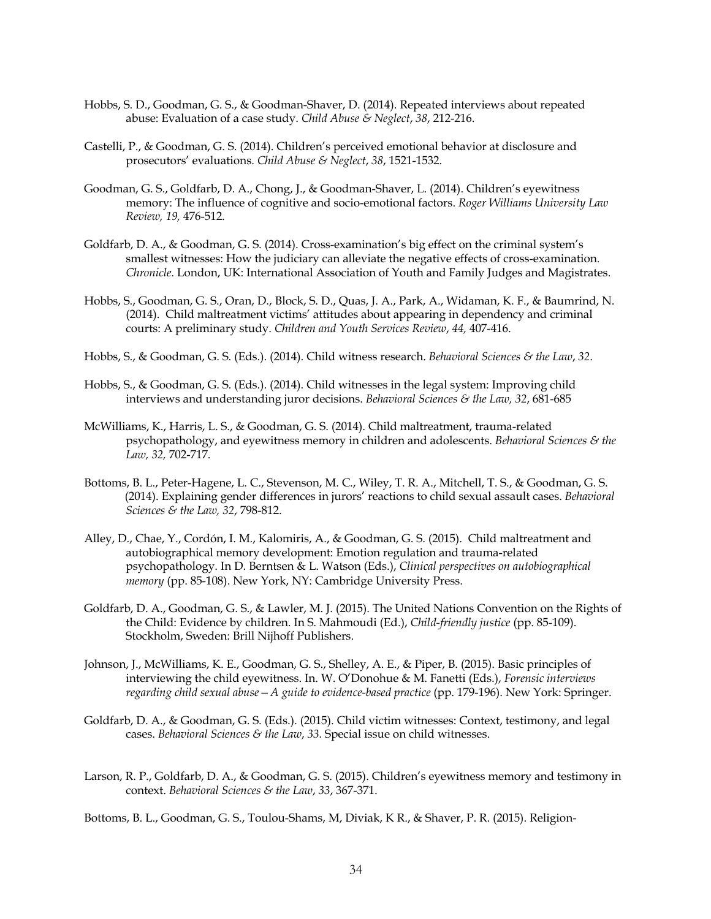- Hobbs, S. D., Goodman, G. S., & Goodman-Shaver, D. (2014). Repeated interviews about repeated abuse: Evaluation of a case study. *Child Abuse & Neglect*, *38*, 212-216.
- Castelli, P., & Goodman, G. S. (2014). Children's perceived emotional behavior at disclosure and prosecutors' evaluations. *Child Abuse & Neglect*, *38*, 1521-1532.
- Goodman, G. S., Goldfarb, D. A., Chong, J., & Goodman-Shaver, L. (2014). Children's eyewitness memory: The influence of cognitive and socio-emotional factors. *Roger Williams University Law Review, 19,* 476-512.
- Goldfarb, D. A., & Goodman, G. S. (2014). Cross-examination's big effect on the criminal system's smallest witnesses: How the judiciary can alleviate the negative effects of cross-examination. *Chronicle*. London, UK: International Association of Youth and Family Judges and Magistrates.
- Hobbs, S., Goodman, G. S., Oran, D., Block, S. D., Quas, J. A., Park, A., Widaman, K. F., & Baumrind, N. (2014). Child maltreatment victims' attitudes about appearing in dependency and criminal courts: A preliminary study. *Children and Youth Services Review*, *44,* 407-416.
- Hobbs, S., & Goodman, G. S. (Eds.). (2014). Child witness research. *Behavioral Sciences & the Law*, *32*.
- Hobbs, S., & Goodman, G. S. (Eds.). (2014). Child witnesses in the legal system: Improving child interviews and understanding juror decisions. *Behavioral Sciences & the Law, 32*, 681-685
- McWilliams, K., Harris, L. S., & Goodman, G. S. (2014). Child maltreatment, trauma-related psychopathology, and eyewitness memory in children and adolescents. *Behavioral Sciences & the Law, 32,* 702-717*.*
- Bottoms, B. L., Peter-Hagene, L. C., Stevenson, M. C., Wiley, T. R. A., Mitchell, T. S., & Goodman, G. S. (2014). Explaining gender differences in jurors' reactions to child sexual assault cases. *Behavioral Sciences & the Law, 32*, 798-812.
- Alley, D., Chae, Y., Cordón, I. M., Kalomiris, A., & Goodman, G. S. (2015). Child maltreatment and autobiographical memory development: Emotion regulation and trauma-related psychopathology. In D. Berntsen & L. Watson (Eds.), *Clinical perspectives on autobiographical memory* (pp. 85-108). New York, NY: Cambridge University Press.
- Goldfarb, D. A., Goodman, G. S., & Lawler, M. J. (2015). The United Nations Convention on the Rights of the Child: Evidence by children. In S. Mahmoudi (Ed.), *Child-friendly justice* (pp. 85-109). Stockholm, Sweden: Brill Nijhoff Publishers.
- Johnson, J., McWilliams, K. E., Goodman, G. S., Shelley, A. E., & Piper, B. (2015). Basic principles of interviewing the child eyewitness. In. W. O'Donohue & M. Fanetti (Eds.), *Forensic interviews regarding child sexual abuse—A guide to evidence-based practice* (pp. 179-196). New York: Springer.
- Goldfarb, D. A., & Goodman, G. S. (Eds.). (2015). Child victim witnesses: Context, testimony, and legal cases. *Behavioral Sciences & the Law*, *33.* Special issue on child witnesses.
- Larson, R. P., Goldfarb, D. A., & Goodman, G. S. (2015). Children's eyewitness memory and testimony in context. *Behavioral Sciences & the Law*, *33*, 367-371.

Bottoms, B. L., Goodman, G. S., Toulou-Shams, M, Diviak, K R., & Shaver, P. R. (2015). Religion-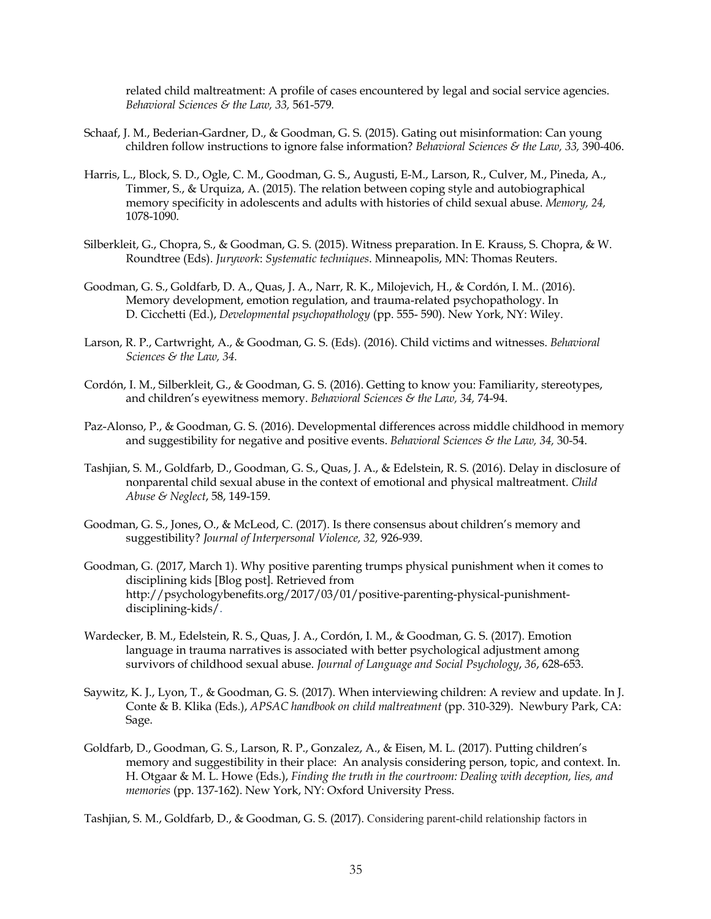related child maltreatment: A profile of cases encountered by legal and social service agencies. *Behavioral Sciences & the Law, 33,* 561-579*.*

- Schaaf, J. M., Bederian-Gardner, D., & Goodman, G. S. (2015). Gating out misinformation: Can young children follow instructions to ignore false information? *Behavioral Sciences & the Law, 33,* 390-406.
- Harris, L., Block, S. D., Ogle, C. M., Goodman, G. S., Augusti, E-M., Larson, R., Culver, M., Pineda, A., Timmer, S., & Urquiza, A. (2015). The relation between coping style and autobiographical memory specificity in adolescents and adults with histories of child sexual abuse. *Memory, 24,*  1078-1090.
- Silberkleit, G., Chopra, S., & Goodman, G. S. (2015). Witness preparation. In E. Krauss, S. Chopra, & W. Roundtree (Eds). *Jurywork*: *Systematic techniques*. Minneapolis, MN: Thomas Reuters.
- Goodman, G. S., Goldfarb, D. A., Quas, J. A., Narr, R. K., Milojevich, H., & Cordón, I. M.. (2016). Memory development, emotion regulation, and trauma-related psychopathology. In D. Cicchetti (Ed.), *Developmental psychopathology* (pp. 555- 590). New York, NY: Wiley.
- Larson, R. P., Cartwright, A., & Goodman, G. S. (Eds). (2016). Child victims and witnesses. *Behavioral Sciences & the Law, 34.*
- Cordón, I. M., Silberkleit, G., & Goodman, G. S. (2016). Getting to know you: Familiarity, stereotypes, and children's eyewitness memory. *Behavioral Sciences & the Law, 34,* 74-94.
- Paz-Alonso, P., & Goodman, G. S. (2016). Developmental differences across middle childhood in memory and suggestibility for negative and positive events. *Behavioral Sciences & the Law, 34,* 30-54.
- Tashjian, S. M., Goldfarb, D., Goodman, G. S., Quas, J. A., & Edelstein, R. S. (2016). Delay in disclosure of nonparental child sexual abuse in the context of emotional and physical maltreatment. *Child Abuse & Neglect*, 58, 149-159.
- Goodman, G. S., Jones, O., & McLeod, C. (2017). Is there consensus about children's memory and suggestibility? *Journal of Interpersonal Violence, 32,* 926-939.
- Goodman, G. (2017, March 1). Why positive parenting trumps physical punishment when it comes to disciplining kids [Blog post]. Retrieved from http://psychologybenefits.org/2017/03/01/positive-parenting-physical-punishmentdisciplining-kids/.
- Wardecker, B. M., Edelstein, R. S., Quas, J. A., Cordón, I. M., & Goodman, G. S. (2017). Emotion language in trauma narratives is associated with better psychological adjustment among survivors of childhood sexual abuse. *Journal of Language and Social Psychology*, *36*, 628-653.
- Saywitz, K. J., Lyon, T., & Goodman, G. S. (2017). When interviewing children: A review and update. In J. Conte & B. Klika (Eds.), *APSAC handbook on child maltreatment* (pp. 310-329). Newbury Park, CA: Sage.
- Goldfarb, D., Goodman, G. S., Larson, R. P., Gonzalez, A., & Eisen, M. L. (2017). Putting children's memory and suggestibility in their place: An analysis considering person, topic, and context. In. H. Otgaar & M. L. Howe (Eds.), *Finding the truth in the courtroom: Dealing with deception, lies, and memories* (pp. 137-162). New York, NY: Oxford University Press.

Tashjian, S. M., Goldfarb, D., & Goodman, G. S. (2017). Considering parent-child relationship factors in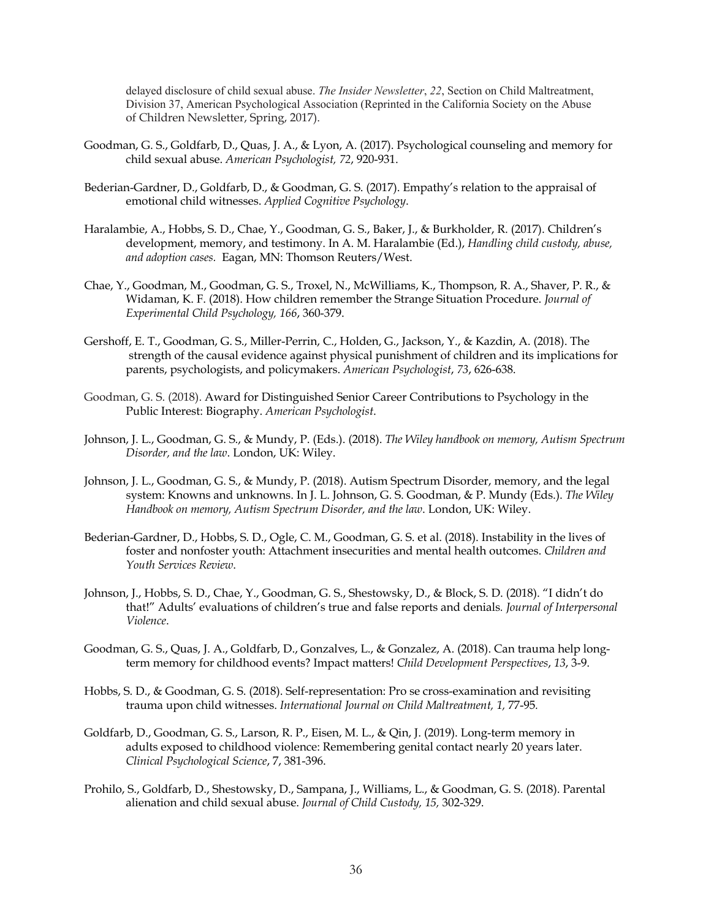delayed disclosure of child sexual abuse. *The Insider Newsletter*, *22*, Section on Child Maltreatment, Division 37, American Psychological Association (Reprinted in the California Society on the Abuse of Children Newsletter, Spring, 2017).

- Goodman, G. S., Goldfarb, D., Quas, J. A., & Lyon, A. (2017). Psychological counseling and memory for child sexual abuse. *American Psychologist, 72*, 920-931.
- Bederian-Gardner, D., Goldfarb, D., & Goodman, G. S. (2017). Empathy's relation to the appraisal of emotional child witnesses. *Applied Cognitive Psychology*.
- Haralambie, A., Hobbs, S. D., Chae, Y., Goodman, G. S., Baker, J., & Burkholder, R. (2017). Children's development, memory, and testimony. In A. M. Haralambie (Ed.), *Handling child custody, abuse, and adoption cases.* Eagan, MN: Thomson Reuters/West.
- Chae, Y., Goodman, M., Goodman, G. S., Troxel, N., McWilliams, K., Thompson, R. A., Shaver, P. R., & Widaman, K. F. (2018). How children remember the Strange Situation Procedure. *Journal of Experimental Child Psychology, 166*, 360-379.
- Gershoff, E. T., Goodman, G. S., Miller-Perrin, C., Holden, G., Jackson, Y., & Kazdin, A. (2018). The strength of the causal evidence against physical punishment of children and its implications for parents, psychologists, and policymakers. *American Psychologist*, *73*, 626-638.
- Goodman, G. S. (2018). Award for Distinguished Senior Career Contributions to Psychology in the Public Interest: Biography. *American Psychologist*.
- Johnson, J. L., Goodman, G. S., & Mundy, P. (Eds.). (2018). *The Wiley handbook on memory, Autism Spectrum Disorder, and the law*. London, UK: Wiley.
- Johnson, J. L., Goodman, G. S., & Mundy, P. (2018). Autism Spectrum Disorder, memory, and the legal system: Knowns and unknowns. In J. L. Johnson, G. S. Goodman, & P. Mundy (Eds.). *The Wiley Handbook on memory, Autism Spectrum Disorder, and the law*. London, UK: Wiley.
- Bederian-Gardner, D., Hobbs, S. D., Ogle, C. M., Goodman, G. S. et al. (2018). Instability in the lives of foster and nonfoster youth: Attachment insecurities and mental health outcomes. *Children and Youth Services Review*.
- Johnson, J., Hobbs, S. D., Chae, Y., Goodman, G. S., Shestowsky, D., & Block, S. D. (2018). "I didn't do that!" Adults' evaluations of children's true and false reports and denials*. Journal of Interpersonal Violence*.
- Goodman, G. S., Quas, J. A., Goldfarb, D., Gonzalves, L., & Gonzalez, A. (2018). Can trauma help longterm memory for childhood events? Impact matters! *Child Development Perspectives*, *13*, 3-9.
- Hobbs, S. D., & Goodman, G. S. (2018). Self-representation: Pro se cross-examination and revisiting trauma upon child witnesses. *International Journal on Child Maltreatment, 1,* 77-95*.*
- Goldfarb, D., Goodman, G. S., Larson, R. P., Eisen, M. L., & Qin, J. (2019). Long-term memory in adults exposed to childhood violence: Remembering genital contact nearly 20 years later. *Clinical Psychological Science*, 7, 381-396.
- Prohilo, S., Goldfarb, D., Shestowsky, D., Sampana, J., Williams, L., & Goodman, G. S. (2018). Parental alienation and child sexual abuse. *Journal of Child Custody, 15,* 302-329.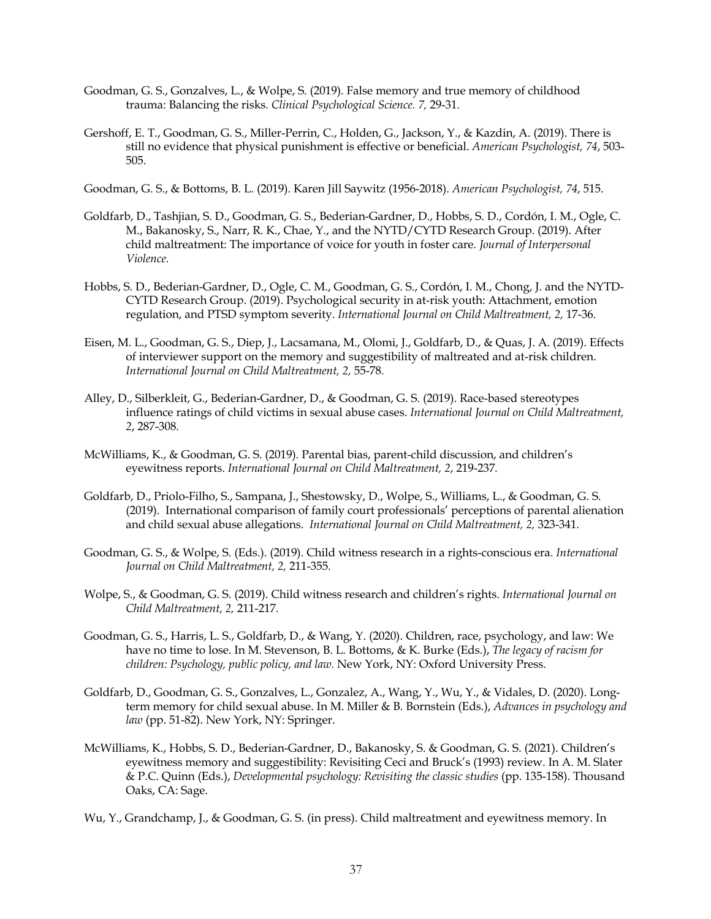- Goodman, G. S., Gonzalves, L., & Wolpe, S. (2019). False memory and true memory of childhood trauma: Balancing the risks. *Clinical Psychological Science. 7,* 29-31*.*
- Gershoff, E. T., Goodman, G. S., Miller-Perrin, C., Holden, G., Jackson, Y., & Kazdin, A. (2019). There is still no evidence that physical punishment is effective or beneficial. *American Psychologist, 74*, 503- 505.

Goodman, G. S., & Bottoms, B. L. (2019). Karen Jill Saywitz (1956-2018). *American Psychologist, 74*, 515.

- Goldfarb, D., Tashjian, S. D., Goodman, G. S., Bederian-Gardner, D., Hobbs, S. D., Cordón, I. M., Ogle, C. M., Bakanosky, S., Narr, R. K., Chae, Y., and the NYTD/CYTD Research Group. (2019). After child maltreatment: The importance of voice for youth in foster care*. Journal of Interpersonal Violence.*
- Hobbs, S. D., Bederian-Gardner, D., Ogle, C. M., Goodman, G. S., Cordón, I. M., Chong, J. and the NYTD-CYTD Research Group. (2019). Psychological security in at-risk youth: Attachment, emotion regulation, and PTSD symptom severity. *International Journal on Child Maltreatment, 2,* 17-36*.*
- Eisen, M. L., Goodman, G. S., Diep, J., Lacsamana, M., Olomi, J., Goldfarb, D., & Quas, J. A. (2019). Effects of interviewer support on the memory and suggestibility of maltreated and at-risk children. *International Journal on Child Maltreatment, 2,* 55-78*.*
- Alley, D., Silberkleit, G., Bederian-Gardner, D., & Goodman, G. S. (2019). Race-based stereotypes influence ratings of child victims in sexual abuse cases. *International Journal on Child Maltreatment, 2*, 287-308*.*
- McWilliams, K., & Goodman, G. S. (2019). Parental bias, parent-child discussion, and children's eyewitness reports. *International Journal on Child Maltreatment, 2*, 219-237*.*
- Goldfarb, D., Priolo-Filho, S., Sampana, J., Shestowsky, D., Wolpe, S., Williams, L., & Goodman, G. S. (2019). International comparison of family court professionals' perceptions of parental alienation and child sexual abuse allegations. *International Journal on Child Maltreatment, 2,* 323-341*.*
- Goodman, G. S., & Wolpe, S. (Eds.). (2019). Child witness research in a rights-conscious era. *International Journal on Child Maltreatment, 2,* 211-355*.*
- Wolpe, S., & Goodman, G. S. (2019). Child witness research and children's rights. *International Journal on Child Maltreatment, 2,* 211-217*.*
- Goodman, G. S., Harris, L. S., Goldfarb, D., & Wang, Y. (2020). Children, race, psychology, and law: We have no time to lose. In M. Stevenson, B. L. Bottoms, & K. Burke (Eds.), *The legacy of racism for children: Psychology, public policy, and law.* New York, NY: Oxford University Press.
- Goldfarb, D., Goodman, G. S., Gonzalves, L., Gonzalez, A., Wang, Y., Wu, Y., & Vidales, D. (2020). Longterm memory for child sexual abuse. In M. Miller & B. Bornstein (Eds.), *Advances in psychology and*  law (pp. 51-82). New York, NY: Springer.
- McWilliams, K., Hobbs, S. D., Bederian-Gardner, D., Bakanosky, S. & Goodman, G. S. (2021). Children's eyewitness memory and suggestibility: Revisiting Ceci and Bruck's (1993) review. In A. M. Slater & P.C. Quinn (Eds.), *Developmental psychology: Revisiting the classic studies* (pp. 135-158). Thousand Oaks, CA: Sage.
- Wu, Y., Grandchamp, J., & Goodman, G. S. (in press). Child maltreatment and eyewitness memory. In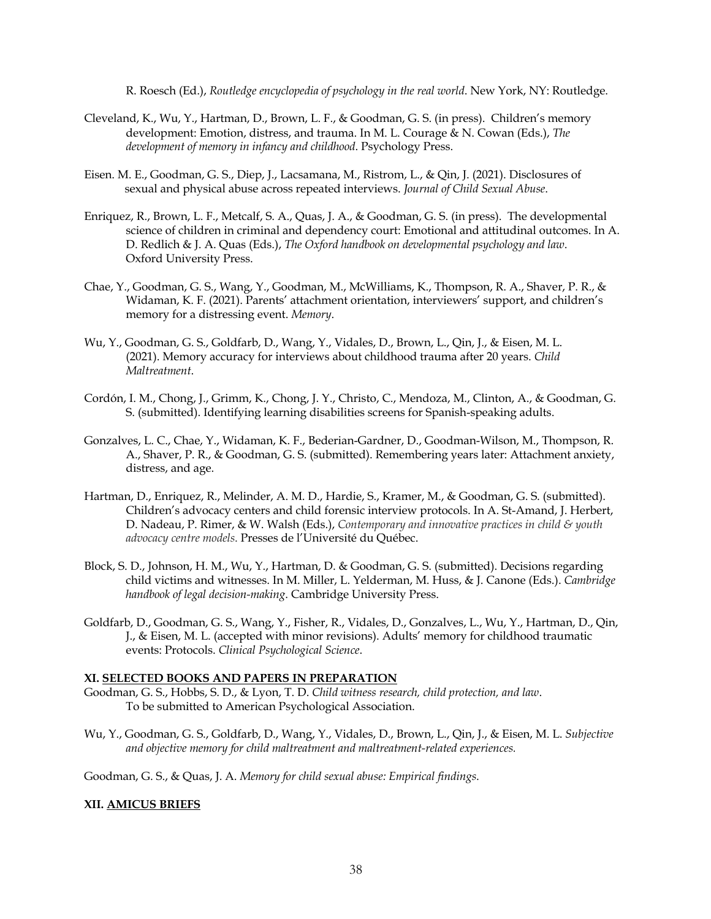R. Roesch (Ed.), *Routledge encyclopedia of psychology in the real world*. New York, NY: Routledge.

- Cleveland, K., Wu, Y., Hartman, D., Brown, L. F., & Goodman, G. S. (in press). Children's memory development: Emotion, distress, and trauma. In M. L. Courage & N. Cowan (Eds.), *The development of memory in infancy and childhood*. Psychology Press.
- Eisen. M. E., Goodman, G. S., Diep, J., Lacsamana, M., Ristrom, L., & Qin, J. (2021). Disclosures of sexual and physical abuse across repeated interviews. *Journal of Child Sexual Abuse*.
- Enriquez, R., Brown, L. F., Metcalf, S. A., Quas, J. A., & Goodman, G. S. (in press). The developmental science of children in criminal and dependency court: Emotional and attitudinal outcomes. In A. D. Redlich & J. A. Quas (Eds.), *The Oxford handbook on developmental psychology and law*. Oxford University Press.
- Chae, Y., Goodman, G. S., Wang, Y., Goodman, M., McWilliams, K., Thompson, R. A., Shaver, P. R., & Widaman, K. F. (2021). Parents' attachment orientation, interviewers' support, and children's memory for a distressing event. *Memory*.
- Wu, Y., Goodman, G. S., Goldfarb, D., Wang, Y., Vidales, D., Brown, L., Qin, J., & Eisen, M. L. (2021). Memory accuracy for interviews about childhood trauma after 20 years. *Child Maltreatment*.
- Cordón, I. M., Chong, J., Grimm, K., Chong, J. Y., Christo, C., Mendoza, M., Clinton, A., & Goodman, G. S. (submitted). Identifying learning disabilities screens for Spanish-speaking adults.
- Gonzalves, L. C., Chae, Y., Widaman, K. F., Bederian-Gardner, D., Goodman-Wilson, M., Thompson, R. A., Shaver, P. R., & Goodman, G. S. (submitted). Remembering years later: Attachment anxiety, distress, and age.
- Hartman, D., Enriquez, R., Melinder, A. M. D., Hardie, S., Kramer, M., & Goodman, G. S. (submitted). Children's advocacy centers and child forensic interview protocols. In A. St-Amand, J. Herbert, D. Nadeau, P. Rimer, & W. Walsh (Eds.), *Contemporary and innovative practices in child & youth advocacy centre models*. Presses de l'Université du Québec.
- Block, S. D., Johnson, H. M., Wu, Y., Hartman, D. & Goodman, G. S. (submitted). Decisions regarding child victims and witnesses. In M. Miller, L. Yelderman, M. Huss, & J. Canone (Eds.). *Cambridge handbook of legal decision-making*. Cambridge University Press.
- Goldfarb, D., Goodman, G. S., Wang, Y., Fisher, R., Vidales, D., Gonzalves, L., Wu, Y., Hartman, D., Qin, J., & Eisen, M. L. (accepted with minor revisions). Adults' memory for childhood traumatic events: Protocols. *Clinical Psychological Science*.

### **XI. SELECTED BOOKS AND PAPERS IN PREPARATION**

- Goodman, G. S., Hobbs, S. D., & Lyon, T. D. *Child witness research, child protection, and law*. To be submitted to American Psychological Association.
- Wu, Y., Goodman, G. S., Goldfarb, D., Wang, Y., Vidales, D., Brown, L., Qin, J., & Eisen, M. L. *Subjective and objective memory for child maltreatment and maltreatment-related experiences.*

Goodman, G. S., & Quas, J. A. *Memory for child sexual abuse: Empirical findings*.

## **XII. AMICUS BRIEFS**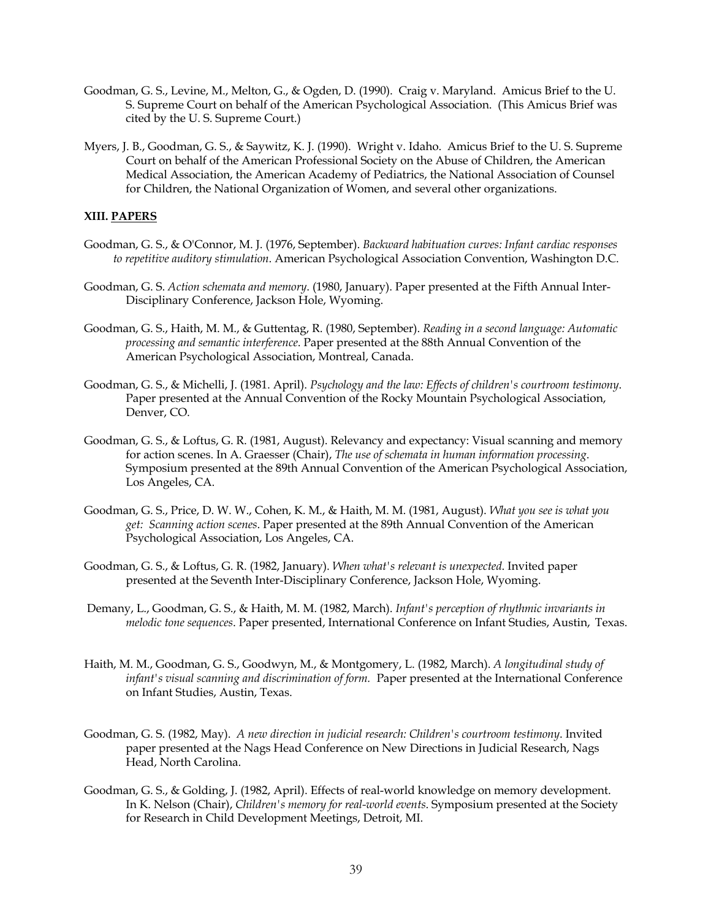- Goodman, G. S., Levine, M., Melton, G., & Ogden, D. (1990). Craig v. Maryland. Amicus Brief to the U. S. Supreme Court on behalf of the American Psychological Association. (This Amicus Brief was cited by the U. S. Supreme Court.)
- Myers, J. B., Goodman, G. S., & Saywitz, K. J. (1990). Wright v. Idaho. Amicus Brief to the U. S. Supreme Court on behalf of the American Professional Society on the Abuse of Children, the American Medical Association, the American Academy of Pediatrics, the National Association of Counsel for Children, the National Organization of Women, and several other organizations.

### **XIII. PAPERS**

- Goodman, G. S., & O'Connor, M. J. (1976, September). *Backward habituation curves: Infant cardiac responses to repetitive auditory stimulation*. American Psychological Association Convention, Washington D.C.
- Goodman, G. S. *Action schemata and memory*. (1980, January). Paper presented at the Fifth Annual Inter-Disciplinary Conference, Jackson Hole, Wyoming.
- Goodman, G. S., Haith, M. M., & Guttentag, R. (1980, September). *Reading in a second language: Automatic processing and semantic interference*. Paper presented at the 88th Annual Convention of the American Psychological Association, Montreal, Canada.
- Goodman, G. S., & Michelli, J. (1981. April). *Psychology and the law: Effects of children's courtroom testimony*. Paper presented at the Annual Convention of the Rocky Mountain Psychological Association, Denver, CO.
- Goodman, G. S., & Loftus, G. R. (1981, August). Relevancy and expectancy: Visual scanning and memory for action scenes. In A. Graesser (Chair), *The use of schemata in human information processing*. Symposium presented at the 89th Annual Convention of the American Psychological Association, Los Angeles, CA.
- Goodman, G. S., Price, D. W. W., Cohen, K. M., & Haith, M. M. (1981, August). *What you see is what you get: Scanning action scenes*. Paper presented at the 89th Annual Convention of the American Psychological Association, Los Angeles, CA.
- Goodman, G. S., & Loftus, G. R. (1982, January). *When what's relevant is unexpected*. Invited paper presented at the Seventh Inter-Disciplinary Conference, Jackson Hole, Wyoming.
- Demany, L., Goodman, G. S., & Haith, M. M. (1982, March). *Infant's perception of rhythmic invariants in melodic tone sequences*. Paper presented, International Conference on Infant Studies, Austin, Texas.
- Haith, M. M., Goodman, G. S., Goodwyn, M., & Montgomery, L. (1982, March). *A longitudinal study of infant's visual scanning and discrimination of form.* Paper presented at the International Conference on Infant Studies, Austin, Texas.
- Goodman, G. S. (1982, May). *A new direction in judicial research: Children's courtroom testimony*. Invited paper presented at the Nags Head Conference on New Directions in Judicial Research, Nags Head, North Carolina.
- Goodman, G. S., & Golding, J. (1982, April). Effects of real-world knowledge on memory development. In K. Nelson (Chair), *Children's memory for real-world events*. Symposium presented at the Society for Research in Child Development Meetings, Detroit, MI.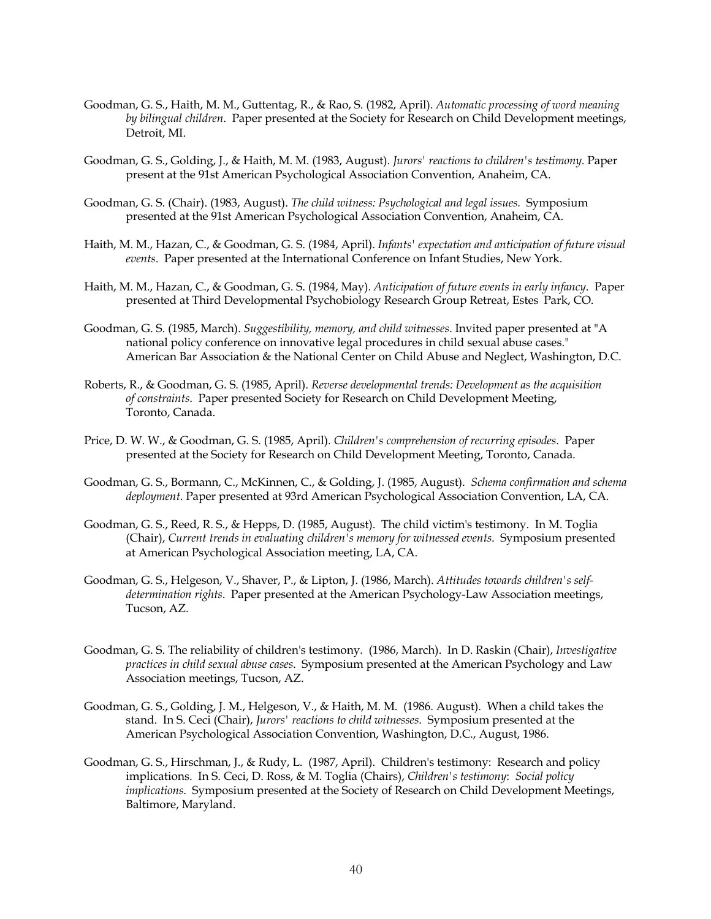- Goodman, G. S., Haith, M. M., Guttentag, R., & Rao, S. (1982, April). *Automatic processing of word meaning by bilingual children*. Paper presented at the Society for Research on Child Development meetings, Detroit, MI.
- Goodman, G. S., Golding, J., & Haith, M. M. (1983, August). *Jurors' reactions to children's testimony*. Paper present at the 91st American Psychological Association Convention, Anaheim, CA.
- Goodman, G. S. (Chair). (1983, August). *The child witness: Psychological and legal issues.* Symposium presented at the 91st American Psychological Association Convention, Anaheim, CA.
- Haith, M. M., Hazan, C., & Goodman, G. S. (1984, April). *Infants' expectation and anticipation of future visual events*. Paper presented at the International Conference on Infant Studies, New York.
- Haith, M. M., Hazan, C., & Goodman, G. S. (1984, May). *Anticipation of future events in early infancy*. Paper presented at Third Developmental Psychobiology Research Group Retreat, Estes Park, CO.
- Goodman, G. S. (1985, March). *Suggestibility, memory, and child witnesses*. Invited paper presented at "A national policy conference on innovative legal procedures in child sexual abuse cases." American Bar Association & the National Center on Child Abuse and Neglect, Washington, D.C.
- Roberts, R., & Goodman, G. S. (1985, April). *Reverse developmental trends: Development as the acquisition of constraints*. Paper presented Society for Research on Child Development Meeting, Toronto, Canada.
- Price, D. W. W., & Goodman, G. S. (1985, April). *Children's comprehension of recurring episodes*. Paper presented at the Society for Research on Child Development Meeting, Toronto, Canada.
- Goodman, G. S., Bormann, C., McKinnen, C., & Golding, J. (1985, August). *Schema confirmation and schema deployment*. Paper presented at 93rd American Psychological Association Convention, LA, CA.
- Goodman, G. S., Reed, R. S., & Hepps, D. (1985, August). The child victim's testimony. In M. Toglia (Chair), *Current trends in evaluating children's memory for witnessed events*. Symposium presented at American Psychological Association meeting, LA, CA.
- Goodman, G. S., Helgeson, V., Shaver, P., & Lipton, J. (1986, March). *Attitudes towards children's selfdetermination rights*. Paper presented at the American Psychology-Law Association meetings, Tucson, AZ.
- Goodman, G. S. The reliability of children's testimony. (1986, March). In D. Raskin (Chair), *Investigative practices in child sexual abuse cases*. Symposium presented at the American Psychology and Law Association meetings, Tucson, AZ.
- Goodman, G. S., Golding, J. M., Helgeson, V., & Haith, M. M. (1986. August). When a child takes the stand. In S. Ceci (Chair), *Jurors' reactions to child witnesses*. Symposium presented at the American Psychological Association Convention, Washington, D.C., August, 1986.
- Goodman, G. S., Hirschman, J., & Rudy, L. (1987, April). Children's testimony: Research and policy implications. In S. Ceci, D. Ross, & M. Toglia (Chairs), *Children's testimony*: *Social policy implications*. Symposium presented at the Society of Research on Child Development Meetings, Baltimore, Maryland.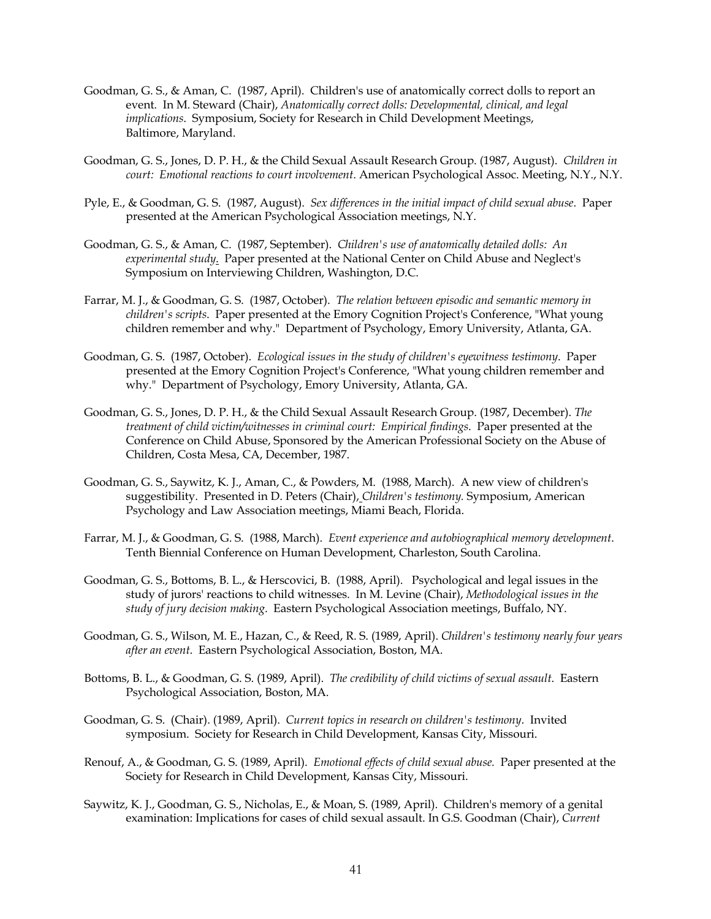- Goodman, G. S., & Aman, C. (1987, April). Children's use of anatomically correct dolls to report an event. In M. Steward (Chair), *Anatomically correct dolls: Developmental, clinical, and legal implications*. Symposium, Society for Research in Child Development Meetings, Baltimore, Maryland.
- Goodman, G. S., Jones, D. P. H., & the Child Sexual Assault Research Group. (1987, August). *Children in court: Emotional reactions to court involvement*. American Psychological Assoc. Meeting, N.Y., N.Y.
- Pyle, E., & Goodman, G. S. (1987, August). *Sex differences in the initial impact of child sexual abuse*. Paper presented at the American Psychological Association meetings, N.Y.
- Goodman, G. S., & Aman, C. (1987, September). *Children's use of anatomically detailed dolls: An experimental study*. Paper presented at the National Center on Child Abuse and Neglect's Symposium on Interviewing Children, Washington, D.C.
- Farrar, M. J., & Goodman, G. S. (1987, October). *The relation between episodic and semantic memory in children's scripts*. Paper presented at the Emory Cognition Project's Conference, "What young children remember and why." Department of Psychology, Emory University, Atlanta, GA.
- Goodman, G. S. (1987, October). *Ecological issues in the study of children's eyewitness testimony*. Paper presented at the Emory Cognition Project's Conference, "What young children remember and why." Department of Psychology, Emory University, Atlanta, GA.
- Goodman, G. S., Jones, D. P. H., & the Child Sexual Assault Research Group. (1987, December). *The treatment of child victim/witnesses in criminal court: Empirical findings*. Paper presented at the Conference on Child Abuse, Sponsored by the American Professional Society on the Abuse of Children, Costa Mesa, CA, December, 1987.
- Goodman, G. S., Saywitz, K. J., Aman, C., & Powders, M. (1988, March). A new view of children's suggestibility. Presented in D. Peters (Chair), *Children's testimony.* Symposium, American Psychology and Law Association meetings, Miami Beach, Florida.
- Farrar, M. J., & Goodman, G. S. (1988, March). *Event experience and autobiographical memory development*. Tenth Biennial Conference on Human Development, Charleston, South Carolina.
- Goodman, G. S., Bottoms, B. L., & Herscovici, B. (1988, April). Psychological and legal issues in the study of jurors' reactions to child witnesses. In M. Levine (Chair), *Methodological issues in the study of jury decision making*. Eastern Psychological Association meetings, Buffalo, NY.
- Goodman, G. S., Wilson, M. E., Hazan, C., & Reed, R. S. (1989, April). *Children's testimony nearly four years after an event*. Eastern Psychological Association, Boston, MA.
- Bottoms, B. L., & Goodman, G. S. (1989, April). *The credibility of child victims of sexual assault*. Eastern Psychological Association, Boston, MA.
- Goodman, G. S. (Chair). (1989, April). *Current topics in research on children's testimony*. Invited symposium. Society for Research in Child Development, Kansas City, Missouri.
- Renouf, A., & Goodman, G. S. (1989, April). *Emotional effects of child sexual abuse.* Paper presented at the Society for Research in Child Development, Kansas City, Missouri.
- Saywitz, K. J., Goodman, G. S., Nicholas, E., & Moan, S. (1989, April). Children's memory of a genital examination: Implications for cases of child sexual assault. In G.S. Goodman (Chair), *Current*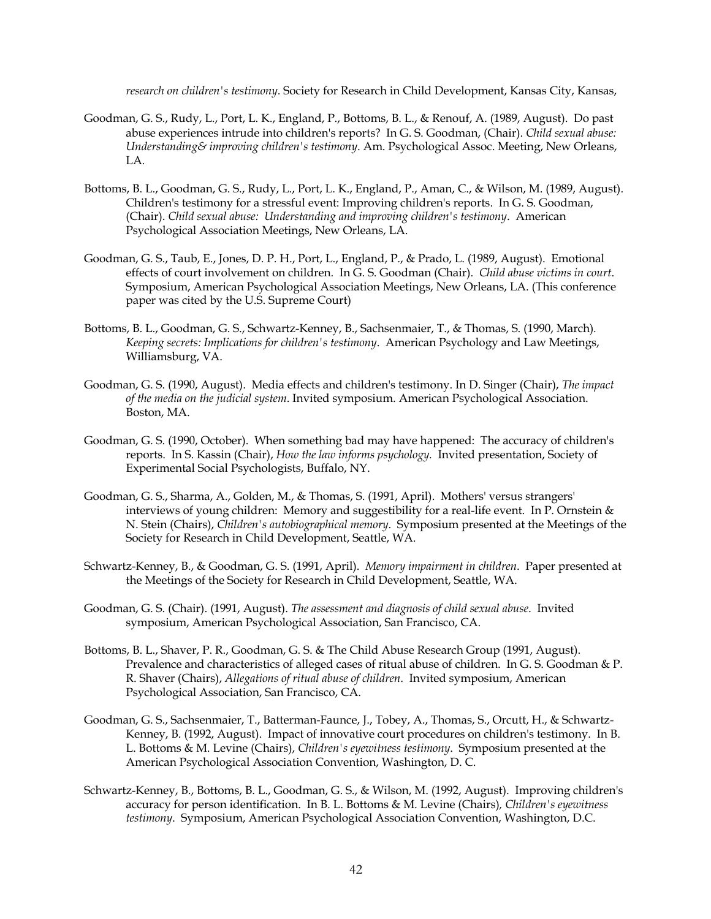*research on children's testimony*. Society for Research in Child Development, Kansas City, Kansas,

- Goodman, G. S., Rudy, L., Port, L. K., England, P., Bottoms, B. L., & Renouf, A. (1989, August). Do past abuse experiences intrude into children's reports? In G. S. Goodman, (Chair). *Child sexual abuse: Understanding& improving children's testimony*. Am. Psychological Assoc. Meeting, New Orleans, LA.
- Bottoms, B. L., Goodman, G. S., Rudy, L., Port, L. K., England, P., Aman, C., & Wilson, M. (1989, August). Children's testimony for a stressful event: Improving children's reports. In G. S. Goodman, (Chair). *Child sexual abuse: Understanding and improving children's testimony*. American Psychological Association Meetings, New Orleans, LA.
- Goodman, G. S., Taub, E., Jones, D. P. H., Port, L., England, P., & Prado, L. (1989, August). Emotional effects of court involvement on children. In G. S. Goodman (Chair). *Child abuse victims in court*. Symposium, American Psychological Association Meetings, New Orleans, LA. (This conference paper was cited by the U.S. Supreme Court)
- Bottoms, B. L., Goodman, G. S., Schwartz-Kenney, B., Sachsenmaier, T., & Thomas, S. (1990, March)*. Keeping secrets: Implications for children's testimony*. American Psychology and Law Meetings, Williamsburg, VA.
- Goodman, G. S. (1990, August). Media effects and children's testimony. In D. Singer (Chair), *The impact of the media on the judicial system*. Invited symposium. American Psychological Association. Boston, MA.
- Goodman, G. S. (1990, October). When something bad may have happened: The accuracy of children's reports. In S. Kassin (Chair), *How the law informs psychology.* Invited presentation, Society of Experimental Social Psychologists, Buffalo, NY.
- Goodman, G. S., Sharma, A., Golden, M., & Thomas, S. (1991, April). Mothers' versus strangers' interviews of young children: Memory and suggestibility for a real-life event. In P. Ornstein & N. Stein (Chairs), *Children's autobiographical memory*. Symposium presented at the Meetings of the Society for Research in Child Development, Seattle, WA.
- Schwartz-Kenney, B., & Goodman, G. S. (1991, April). *Memory impairment in children*. Paper presented at the Meetings of the Society for Research in Child Development, Seattle, WA.
- Goodman, G. S. (Chair). (1991, August). *The assessment and diagnosis of child sexual abuse*. Invited symposium, American Psychological Association, San Francisco, CA.
- Bottoms, B. L., Shaver, P. R., Goodman, G. S. & The Child Abuse Research Group (1991, August). Prevalence and characteristics of alleged cases of ritual abuse of children. In G. S. Goodman & P. R. Shaver (Chairs), *Allegations of ritual abuse of children*. Invited symposium, American Psychological Association, San Francisco, CA.
- Goodman, G. S., Sachsenmaier, T., Batterman-Faunce, J., Tobey, A., Thomas, S., Orcutt, H., & Schwartz-Kenney, B. (1992, August). Impact of innovative court procedures on children's testimony. In B. L. Bottoms & M. Levine (Chairs), *Children's eyewitness testimony*. Symposium presented at the American Psychological Association Convention, Washington, D. C.
- Schwartz-Kenney, B., Bottoms, B. L., Goodman, G. S., & Wilson, M. (1992, August). Improving children's accuracy for person identification. In B. L. Bottoms & M. Levine (Chairs)*, Children's eyewitness testimony*. Symposium, American Psychological Association Convention, Washington, D.C.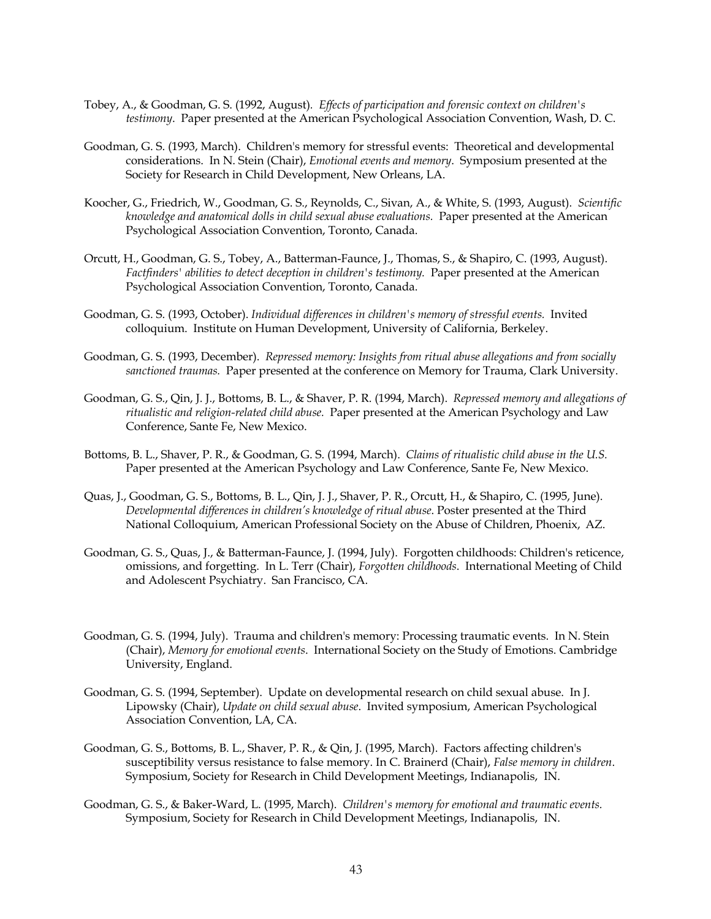- Tobey, A., & Goodman, G. S. (1992, August)*. Effects of participation and forensic context on children's testimony*. Paper presented at the American Psychological Association Convention, Wash, D. C.
- Goodman, G. S. (1993, March). Children's memory for stressful events: Theoretical and developmental considerations. In N. Stein (Chair), *Emotional events and memory*. Symposium presented at the Society for Research in Child Development, New Orleans, LA.
- Koocher, G., Friedrich, W., Goodman, G. S., Reynolds, C., Sivan, A., & White, S. (1993, August). *Scientific knowledge and anatomical dolls in child sexual abuse evaluations.* Paper presented at the American Psychological Association Convention, Toronto, Canada.
- Orcutt, H., Goodman, G. S., Tobey, A., Batterman-Faunce, J., Thomas, S., & Shapiro, C. (1993, August). *Factfinders' abilities to detect deception in children's testimony.* Paper presented at the American Psychological Association Convention, Toronto, Canada.
- Goodman, G. S. (1993, October). *Individual differences in children's memory of stressful events.* Invited colloquium. Institute on Human Development, University of California, Berkeley.
- Goodman, G. S. (1993, December). *Repressed memory: Insights from ritual abuse allegations and from socially sanctioned traumas.* Paper presented at the conference on Memory for Trauma, Clark University.
- Goodman, G. S., Qin, J. J., Bottoms, B. L., & Shaver, P. R. (1994, March). *Repressed memory and allegations of ritualistic and religion-related child abuse.* Paper presented at the American Psychology and Law Conference, Sante Fe, New Mexico.
- Bottoms, B. L., Shaver, P. R., & Goodman, G. S. (1994, March). *Claims of ritualistic child abuse in the U.S.* Paper presented at the American Psychology and Law Conference, Sante Fe, New Mexico.
- Quas, J., Goodman, G. S., Bottoms, B. L., Qin, J. J., Shaver, P. R., Orcutt, H., & Shapiro, C. (1995, June). *Developmental differences in children's knowledge of ritual abuse*. Poster presented at the Third National Colloquium, American Professional Society on the Abuse of Children, Phoenix, AZ.
- Goodman, G. S., Quas, J., & Batterman-Faunce, J. (1994, July). Forgotten childhoods: Children's reticence, omissions, and forgetting. In L. Terr (Chair), *Forgotten childhoods*. International Meeting of Child and Adolescent Psychiatry. San Francisco, CA.
- Goodman, G. S. (1994, July). Trauma and children's memory: Processing traumatic events. In N. Stein (Chair), *Memory for emotional events*. International Society on the Study of Emotions. Cambridge University, England.
- Goodman, G. S. (1994, September). Update on developmental research on child sexual abuse. In J. Lipowsky (Chair), *Update on child sexual abuse*. Invited symposium, American Psychological Association Convention, LA, CA.
- Goodman, G. S., Bottoms, B. L., Shaver, P. R., & Qin, J. (1995, March). Factors affecting children's susceptibility versus resistance to false memory. In C. Brainerd (Chair), *False memory in children*. Symposium, Society for Research in Child Development Meetings, Indianapolis, IN.
- Goodman, G. S., & Baker-Ward, L. (1995, March). *Children's memory for emotional and traumatic events.* Symposium, Society for Research in Child Development Meetings, Indianapolis, IN.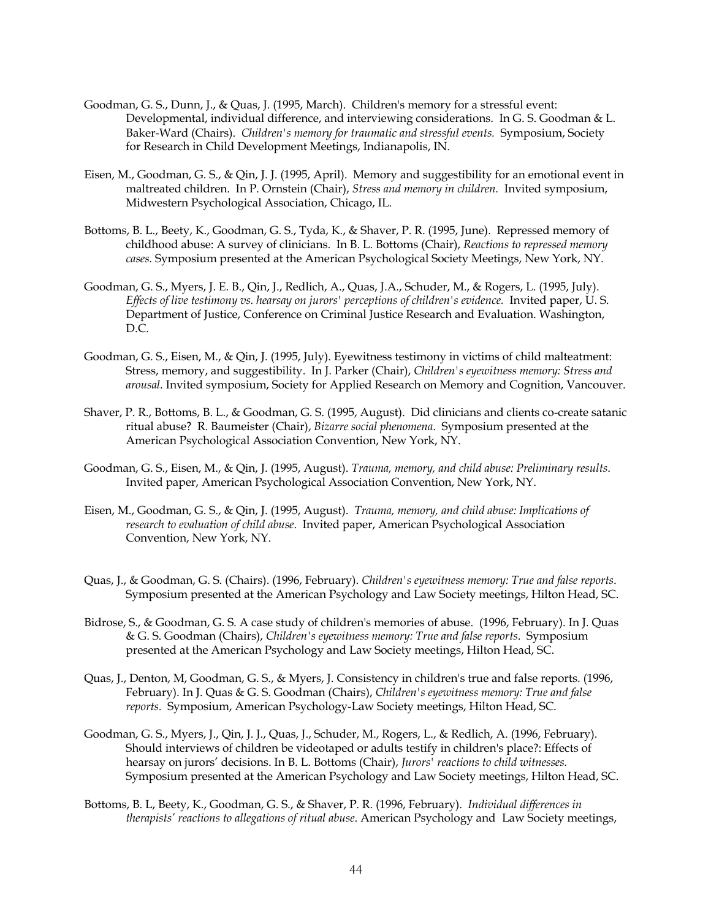- Goodman, G. S., Dunn, J., & Quas, J. (1995, March). Children's memory for a stressful event: Developmental, individual difference, and interviewing considerations. In G. S. Goodman & L. Baker-Ward (Chairs). *Children's memory for traumatic and stressful events.* Symposium, Society for Research in Child Development Meetings, Indianapolis, IN.
- Eisen, M., Goodman, G. S., & Qin, J. J. (1995, April). Memory and suggestibility for an emotional event in maltreated children. In P. Ornstein (Chair), *Stress and memory in children.* Invited symposium, Midwestern Psychological Association, Chicago, IL.
- Bottoms, B. L., Beety, K., Goodman, G. S., Tyda, K., & Shaver, P. R. (1995, June). Repressed memory of childhood abuse: A survey of clinicians. In B. L. Bottoms (Chair), *Reactions to repressed memory cases.* Symposium presented at the American Psychological Society Meetings, New York, NY.
- Goodman, G. S., Myers, J. E. B., Qin, J., Redlich, A., Quas, J.A., Schuder, M., & Rogers, L. (1995, July). *Effects of live testimony vs. hearsay on jurors' perceptions of children's evidence.* Invited paper, U. S. Department of Justice, Conference on Criminal Justice Research and Evaluation. Washington, D.C.
- Goodman, G. S., Eisen, M., & Qin, J. (1995, July). Eyewitness testimony in victims of child malteatment: Stress, memory, and suggestibility. In J. Parker (Chair), *Children's eyewitness memory: Stress and arousal*. Invited symposium, Society for Applied Research on Memory and Cognition, Vancouver.
- Shaver, P. R., Bottoms, B. L., & Goodman, G. S. (1995, August). Did clinicians and clients co-create satanic ritual abuse? R. Baumeister (Chair), *Bizarre social phenomena*. Symposium presented at the American Psychological Association Convention, New York, NY.
- Goodman, G. S., Eisen, M., & Qin, J. (1995, August). *Trauma, memory, and child abuse: Preliminary results*. Invited paper, American Psychological Association Convention, New York, NY.
- Eisen, M., Goodman, G. S., & Qin, J. (1995, August). *Trauma, memory, and child abuse: Implications of research to evaluation of child abuse*. Invited paper, American Psychological Association Convention, New York, NY.
- Quas, J., & Goodman, G. S. (Chairs). (1996, February). *Children's eyewitness memory: True and false reports*. Symposium presented at the American Psychology and Law Society meetings, Hilton Head, SC.
- Bidrose, S., & Goodman, G. S. A case study of children's memories of abuse. (1996, February). In J. Quas & G. S. Goodman (Chairs), *Children's eyewitness memory: True and false reports*. Symposium presented at the American Psychology and Law Society meetings, Hilton Head, SC.
- Quas, J., Denton, M, Goodman, G. S., & Myers, J. Consistency in children's true and false reports. (1996, February). In J. Quas & G. S. Goodman (Chairs), *Children's eyewitness memory: True and false reports.* Symposium, American Psychology-Law Society meetings, Hilton Head, SC.
- Goodman, G. S., Myers, J., Qin, J. J., Quas, J., Schuder, M., Rogers, L., & Redlich, A. (1996, February). Should interviews of children be videotaped or adults testify in children's place?: Effects of hearsay on jurors' decisions. In B. L. Bottoms (Chair), *Jurors' reactions to child witnesses.*  Symposium presented at the American Psychology and Law Society meetings, Hilton Head, SC.
- Bottoms, B. L, Beety, K., Goodman, G. S., & Shaver, P. R. (1996, February). *Individual differences in therapists' reactions to allegations of ritual abuse*. American Psychology and Law Society meetings,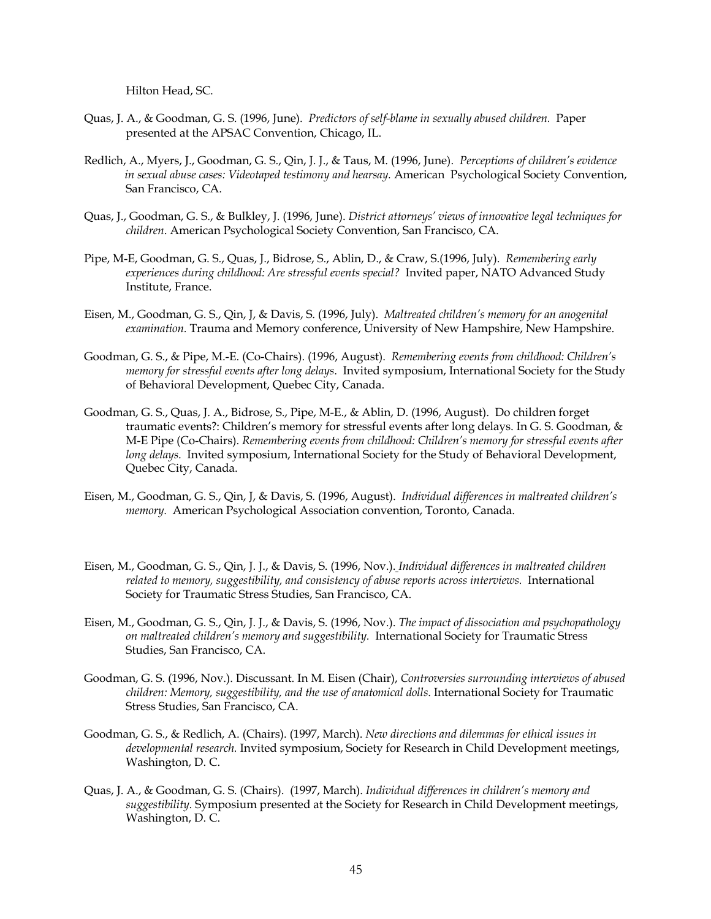Hilton Head, SC.

- Quas, J. A., & Goodman, G. S. (1996, June). *Predictors of self-blame in sexually abused children.* Paper presented at the APSAC Convention, Chicago, IL.
- Redlich, A., Myers, J., Goodman, G. S., Qin, J. J., & Taus, M. (1996, June). *Perceptions of children's evidence in sexual abuse cases: Videotaped testimony and hearsay.* American Psychological Society Convention, San Francisco, CA.
- Quas, J., Goodman, G. S., & Bulkley, J. (1996, June). *District attorneys' views of innovative legal techniques for children*. American Psychological Society Convention, San Francisco, CA.
- Pipe, M-E, Goodman, G. S., Quas, J., Bidrose, S., Ablin, D., & Craw, S.(1996, July). *Remembering early experiences during childhood: Are stressful events special?* Invited paper, NATO Advanced Study Institute, France.
- Eisen, M., Goodman, G. S., Qin, J, & Davis, S. (1996, July). *Maltreated children's memory for an anogenital examination.* Trauma and Memory conference, University of New Hampshire, New Hampshire.
- Goodman, G. S., & Pipe, M.-E. (Co-Chairs). (1996, August). *Remembering events from childhood: Children's memory for stressful events after long delays*. Invited symposium, International Society for the Study of Behavioral Development, Quebec City, Canada.
- Goodman, G. S., Quas, J. A., Bidrose, S., Pipe, M-E., & Ablin, D. (1996, August). Do children forget traumatic events?: Children's memory for stressful events after long delays. In G. S. Goodman, & M-E Pipe (Co-Chairs). *Remembering events from childhood: Children's memory for stressful events after long delays*. Invited symposium, International Society for the Study of Behavioral Development, Quebec City, Canada.
- Eisen, M., Goodman, G. S., Qin, J, & Davis, S. (1996, August). *Individual differences in maltreated children's memory.* American Psychological Association convention, Toronto, Canada.
- Eisen, M., Goodman, G. S., Qin, J. J., & Davis, S. (1996, Nov.). *Individual differences in maltreated children related to memory, suggestibility, and consistency of abuse reports across interviews.* International Society for Traumatic Stress Studies, San Francisco, CA.
- Eisen, M., Goodman, G. S., Qin, J. J., & Davis, S. (1996, Nov.). *The impact of dissociation and psychopathology on maltreated children's memory and suggestibility.* International Society for Traumatic Stress Studies, San Francisco, CA.
- Goodman, G. S. (1996, Nov.). Discussant. In M. Eisen (Chair), *Controversies surrounding interviews of abused children: Memory, suggestibility, and the use of anatomical dolls*. International Society for Traumatic Stress Studies, San Francisco, CA.
- Goodman, G. S., & Redlich, A. (Chairs). (1997, March). *New directions and dilemmas for ethical issues in developmental research.* Invited symposium, Society for Research in Child Development meetings, Washington, D. C.
- Quas, J. A., & Goodman, G. S. (Chairs). (1997, March). *Individual differences in children's memory and suggestibility.* Symposium presented at the Society for Research in Child Development meetings, Washington, D. C.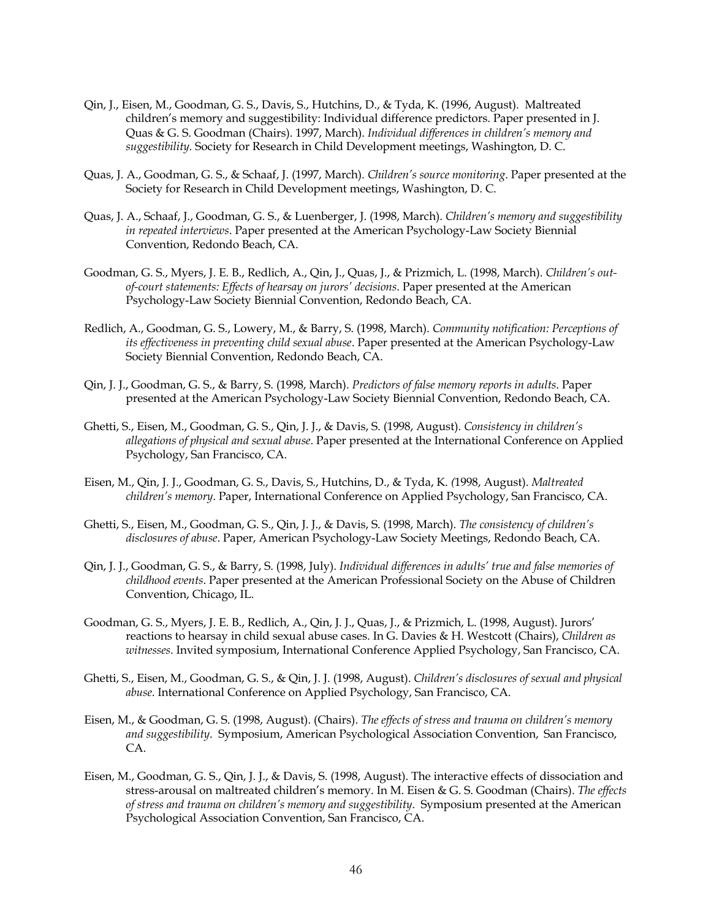- Qin, J., Eisen, M., Goodman, G. S., Davis, S., Hutchins, D., & Tyda, K. (1996, August). Maltreated children's memory and suggestibility: Individual difference predictors. Paper presented in J. Quas & G. S. Goodman (Chairs). 1997, March). *Individual differences in children's memory and suggestibility.* Society for Research in Child Development meetings, Washington, D. C.
- Quas, J. A., Goodman, G. S., & Schaaf, J. (1997, March). *Children's source monitoring*. Paper presented at the Society for Research in Child Development meetings, Washington, D. C.
- Quas, J. A., Schaaf, J., Goodman, G. S., & Luenberger, J. (1998, March). *Children's memory and suggestibility in repeated interviews*. Paper presented at the American Psychology-Law Society Biennial Convention, Redondo Beach, CA.
- Goodman, G. S., Myers, J. E. B., Redlich, A., Qin, J., Quas, J., & Prizmich, L. (1998, March). *Children's outof-court statements: Effects of hearsay on jurors' decisions*. Paper presented at the American Psychology-Law Society Biennial Convention, Redondo Beach, CA.
- Redlich, A., Goodman, G. S., Lowery, M., & Barry, S. (1998, March). *Community notification: Perceptions of its effectiveness in preventing child sexual abuse*. Paper presented at the American Psychology-Law Society Biennial Convention, Redondo Beach, CA.
- Qin, J. J., Goodman, G. S., & Barry, S. (1998, March). *Predictors of false memory reports in adults*. Paper presented at the American Psychology-Law Society Biennial Convention, Redondo Beach, CA.
- Ghetti, S., Eisen, M., Goodman, G. S., Qin, J. J., & Davis, S. (1998, August). *Consistency in children's allegations of physical and sexual abuse*. Paper presented at the International Conference on Applied Psychology, San Francisco, CA.
- Eisen, M., Qin, J. J., Goodman, G. S., Davis, S., Hutchins, D., & Tyda, K. *(*1998, August). *Maltreated children's memory*. Paper, International Conference on Applied Psychology, San Francisco, CA.
- Ghetti, S., Eisen, M., Goodman, G. S., Qin, J. J., & Davis, S. (1998, March). *The consistency of children's disclosures of abuse*. Paper, American Psychology-Law Society Meetings, Redondo Beach, CA.
- Qin, J. J., Goodman, G. S., & Barry, S. (1998, July). *Individual differences in adults' true and false memories of childhood events*. Paper presented at the American Professional Society on the Abuse of Children Convention, Chicago, IL.
- Goodman, G. S., Myers, J. E. B., Redlich, A., Qin, J. J., Quas, J., & Prizmich, L. (1998, August). Jurors' reactions to hearsay in child sexual abuse cases. In G. Davies & H. Westcott (Chairs), *Children as witnesses*. Invited symposium, International Conference Applied Psychology, San Francisco, CA.
- Ghetti, S., Eisen, M., Goodman, G. S., & Qin, J. J. (1998, August). *Children's disclosures of sexual and physical abuse*. International Conference on Applied Psychology, San Francisco, CA.
- Eisen, M., & Goodman, G. S. (1998, August). (Chairs). *The effects of stress and trauma on children's memory and suggestibility*. Symposium, American Psychological Association Convention, San Francisco, CA.
- Eisen, M., Goodman, G. S., Qin, J. J., & Davis, S. (1998, August). The interactive effects of dissociation and stress-arousal on maltreated children's memory. In M. Eisen & G. S. Goodman (Chairs). *The effects of stress and trauma on children's memory and suggestibility*. Symposium presented at the American Psychological Association Convention, San Francisco, CA.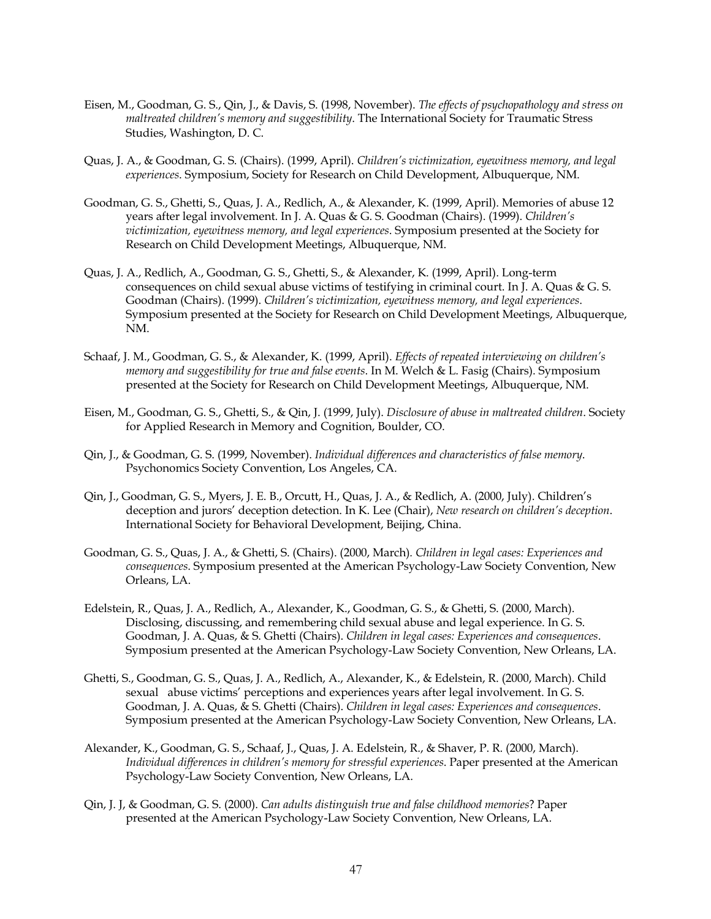- Eisen, M., Goodman, G. S., Qin, J., & Davis, S. (1998, November). *The effects of psychopathology and stress on maltreated children's memory and suggestibility*. The International Society for Traumatic Stress Studies, Washington, D. C.
- Quas, J. A., & Goodman, G. S. (Chairs). (1999, April). *Children's victimization, eyewitness memory, and legal experiences*. Symposium, Society for Research on Child Development, Albuquerque, NM.
- Goodman, G. S., Ghetti, S., Quas, J. A., Redlich, A., & Alexander, K. (1999, April). Memories of abuse 12 years after legal involvement. In J. A. Quas & G. S. Goodman (Chairs). (1999). *Children's victimization, eyewitness memory, and legal experiences*. Symposium presented at the Society for Research on Child Development Meetings, Albuquerque, NM.
- Quas, J. A., Redlich, A., Goodman, G. S., Ghetti, S., & Alexander, K. (1999, April). Long-term consequences on child sexual abuse victims of testifying in criminal court. In J. A. Quas & G. S. Goodman (Chairs). (1999). *Children's victimization, eyewitness memory, and legal experiences*. Symposium presented at the Society for Research on Child Development Meetings, Albuquerque, NM.
- Schaaf, J. M., Goodman, G. S., & Alexander, K. (1999, April). *Effects of repeated interviewing on children's memory and suggestibility for true and false events*. In M. Welch & L. Fasig (Chairs). Symposium presented at the Society for Research on Child Development Meetings, Albuquerque, NM.
- Eisen, M., Goodman, G. S., Ghetti, S., & Qin, J. (1999, July). *Disclosure of abuse in maltreated children*. Society for Applied Research in Memory and Cognition, Boulder, CO.
- Qin, J., & Goodman, G. S. (1999, November). *Individual differences and characteristics of false memory*. Psychonomics Society Convention, Los Angeles, CA.
- Qin, J., Goodman, G. S., Myers, J. E. B., Orcutt, H., Quas, J. A., & Redlich, A. (2000, July). Children's deception and jurors' deception detection. In K. Lee (Chair), *New research on children's deception*. International Society for Behavioral Development, Beijing, China.
- Goodman, G. S., Quas, J. A., & Ghetti, S. (Chairs). (2000, March)*. Children in legal cases: Experiences and consequences*. Symposium presented at the American Psychology-Law Society Convention, New Orleans, LA.
- Edelstein, R., Quas, J. A., Redlich, A., Alexander, K., Goodman, G. S., & Ghetti, S. (2000, March). Disclosing, discussing, and remembering child sexual abuse and legal experience. In G. S. Goodman, J. A. Quas, & S. Ghetti (Chairs). *Children in legal cases: Experiences and consequences*. Symposium presented at the American Psychology-Law Society Convention, New Orleans, LA.
- Ghetti, S., Goodman, G. S., Quas, J. A., Redlich, A., Alexander, K., & Edelstein, R. (2000, March). Child sexual abuse victims' perceptions and experiences years after legal involvement. In G. S. Goodman, J. A. Quas, & S. Ghetti (Chairs). *Children in legal cases: Experiences and consequences*. Symposium presented at the American Psychology-Law Society Convention, New Orleans, LA.
- Alexander, K., Goodman, G. S., Schaaf, J., Quas, J. A. Edelstein, R., & Shaver, P. R. (2000, March). *Individual differences in children's memory for stressful experiences*. Paper presented at the American Psychology-Law Society Convention, New Orleans, LA.
- Qin, J. J, & Goodman, G. S. (2000). *Can adults distinguish true and false childhood memories*? Paper presented at the American Psychology-Law Society Convention, New Orleans, LA.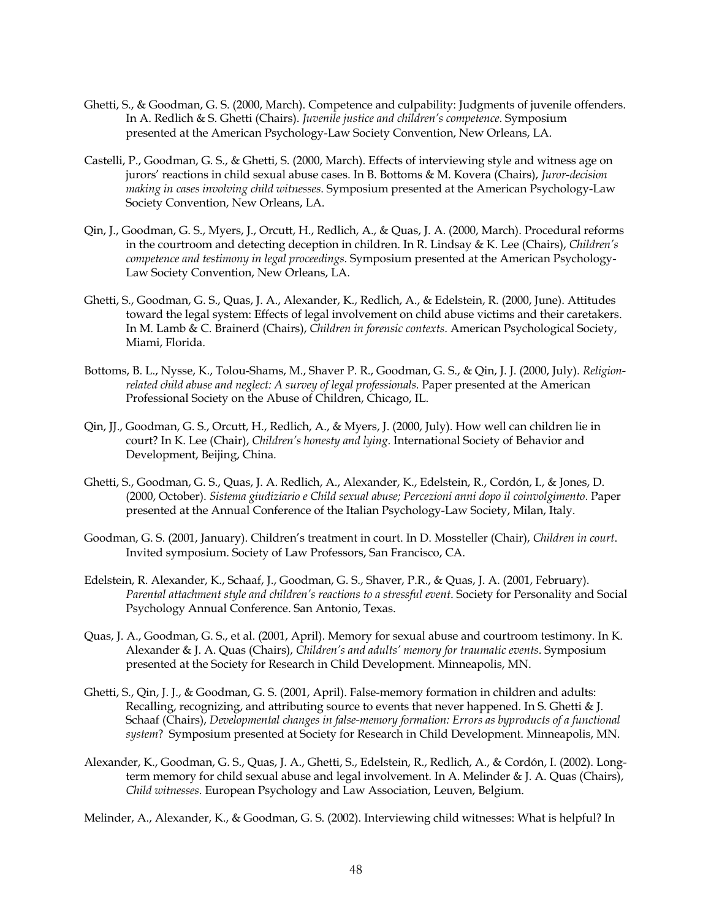- Ghetti, S., & Goodman, G. S. (2000, March). Competence and culpability: Judgments of juvenile offenders. In A. Redlich & S. Ghetti (Chairs). *Juvenile justice and children's competence*. Symposium presented at the American Psychology-Law Society Convention, New Orleans, LA.
- Castelli, P., Goodman, G. S., & Ghetti, S. (2000, March). Effects of interviewing style and witness age on jurors' reactions in child sexual abuse cases. In B. Bottoms & M. Kovera (Chairs), *Juror-decision making in cases involving child witnesses*. Symposium presented at the American Psychology-Law Society Convention, New Orleans, LA.
- Qin, J., Goodman, G. S., Myers, J., Orcutt, H., Redlich, A., & Quas, J. A. (2000, March). Procedural reforms in the courtroom and detecting deception in children. In R. Lindsay & K. Lee (Chairs), *Children's competence and testimony in legal proceedings*. Symposium presented at the American Psychology-Law Society Convention, New Orleans, LA.
- Ghetti, S., Goodman, G. S., Quas, J. A., Alexander, K., Redlich, A., & Edelstein, R. (2000, June). Attitudes toward the legal system: Effects of legal involvement on child abuse victims and their caretakers. In M. Lamb & C. Brainerd (Chairs), *Children in forensic contexts*. American Psychological Society, Miami, Florida.
- Bottoms, B. L., Nysse, K., Tolou-Shams, M., Shaver P. R., Goodman, G. S., & Qin, J. J. (2000, July). *Religionrelated child abuse and neglect: A survey of legal professionals*. Paper presented at the American Professional Society on the Abuse of Children, Chicago, IL.
- Qin, JJ., Goodman, G. S., Orcutt, H., Redlich, A., & Myers, J. (2000, July). How well can children lie in court? In K. Lee (Chair), *Children's honesty and lying*. International Society of Behavior and Development, Beijing, China.
- Ghetti, S., Goodman, G. S., Quas, J. A. Redlich, A., Alexander, K., Edelstein, R., Cordón, I., & Jones, D. (2000, October). *Sistema giudiziario e Child sexual abuse; Percezioni anni dopo il coinvolgimento*. Paper presented at the Annual Conference of the Italian Psychology-Law Society, Milan, Italy.
- Goodman, G. S. (2001, January). Children's treatment in court. In D. Mossteller (Chair), *Children in court*. Invited symposium. Society of Law Professors, San Francisco, CA.
- Edelstein, R. Alexander, K., Schaaf, J., Goodman, G. S., Shaver, P.R., & Quas, J. A. (2001, February). *Parental attachment style and children's reactions to a stressful event*. Society for Personality and Social Psychology Annual Conference. San Antonio, Texas.
- Quas, J. A., Goodman, G. S., et al. (2001, April). Memory for sexual abuse and courtroom testimony. In K. Alexander & J. A. Quas (Chairs), *Children's and adults' memory for traumatic events*. Symposium presented at the Society for Research in Child Development. Minneapolis, MN.
- Ghetti, S., Qin, J. J., & Goodman, G. S. (2001, April). False-memory formation in children and adults: Recalling, recognizing, and attributing source to events that never happened. In S. Ghetti & J. Schaaf (Chairs), *Developmental changes in false-memory formation: Errors as byproducts of a functional system*? Symposium presented at Society for Research in Child Development. Minneapolis, MN.
- Alexander, K., Goodman, G. S., Quas, J. A., Ghetti, S., Edelstein, R., Redlich, A., & Cordón, I. (2002). Longterm memory for child sexual abuse and legal involvement. In A. Melinder & J. A. Quas (Chairs), *Child witnesses*. European Psychology and Law Association, Leuven, Belgium.

Melinder, A., Alexander, K., & Goodman, G. S. (2002). Interviewing child witnesses: What is helpful? In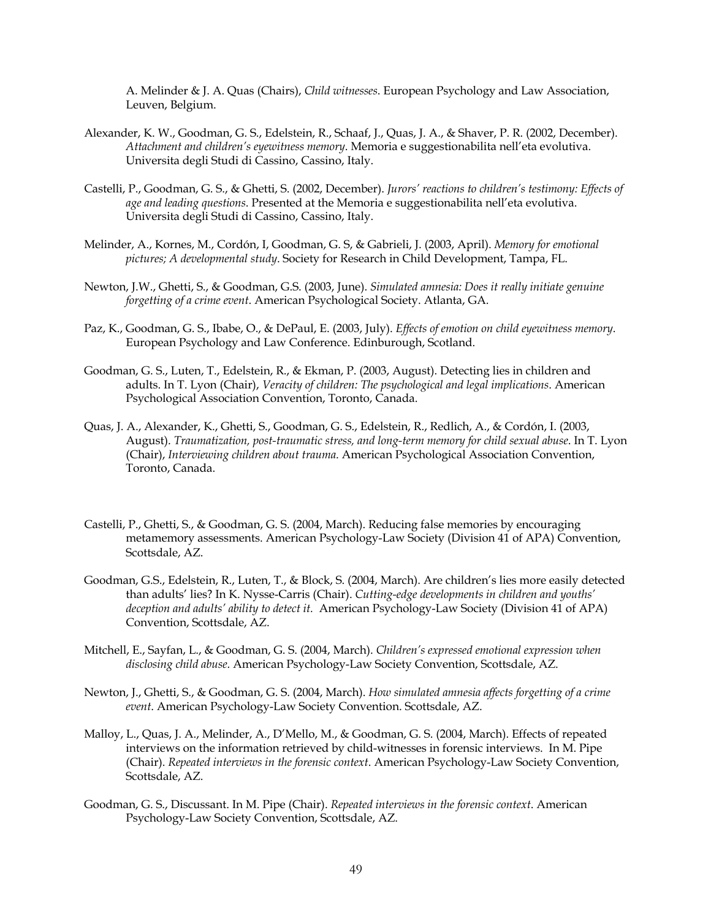A. Melinder & J. A. Quas (Chairs), *Child witnesses*. European Psychology and Law Association, Leuven, Belgium.

- Alexander, K. W., Goodman, G. S., Edelstein, R., Schaaf, J., Quas, J. A., & Shaver, P. R. (2002, December). *Attachment and children's eyewitness memory*. Memoria e suggestionabilita nell'eta evolutiva. Universita degli Studi di Cassino, Cassino, Italy.
- Castelli, P., Goodman, G. S., & Ghetti, S. (2002, December). *Jurors' reactions to children's testimony: Effects of age and leading questions*. Presented at the Memoria e suggestionabilita nell'eta evolutiva. Universita degli Studi di Cassino, Cassino, Italy.
- Melinder, A., Kornes, M., Cordón, I, Goodman, G. S, & Gabrieli, J. (2003, April). *Memory for emotional pictures; A developmental study*. Society for Research in Child Development, Tampa, FL.
- Newton, J.W., Ghetti, S., & Goodman, G.S. (2003, June). *Simulated amnesia: Does it really initiate genuine forgetting of a crime event*. American Psychological Society. Atlanta, GA.
- Paz, K., Goodman, G. S., Ibabe, O., & DePaul, E. (2003, July). *Effects of emotion on child eyewitness memory*. European Psychology and Law Conference. Edinburough, Scotland.
- Goodman, G. S., Luten, T., Edelstein, R., & Ekman, P. (2003, August). Detecting lies in children and adults. In T. Lyon (Chair), *Veracity of children: The psychological and legal implications*. American Psychological Association Convention, Toronto, Canada.
- Quas, J. A., Alexander, K., Ghetti, S., Goodman, G. S., Edelstein, R., Redlich, A., & Cordón, I. (2003, August). *Traumatization, post-traumatic stress, and long-term memory for child sexual abuse*. In T. Lyon (Chair), *Interviewing children about trauma*. American Psychological Association Convention, Toronto, Canada.
- Castelli, P., Ghetti, S., & Goodman, G. S. (2004, March). Reducing false memories by encouraging metamemory assessments. American Psychology-Law Society (Division 41 of APA) Convention, Scottsdale, AZ.
- Goodman, G.S., Edelstein, R., Luten, T., & Block, S. (2004, March). Are children's lies more easily detected than adults' lies? In K. Nysse-Carris (Chair). *Cutting-edge developments in children and youths' deception and adults' ability to detect it.* American Psychology-Law Society (Division 41 of APA) Convention, Scottsdale, AZ.
- Mitchell, E., Sayfan, L., & Goodman, G. S. (2004, March). *Children's expressed emotional expression when disclosing child abuse*. American Psychology-Law Society Convention, Scottsdale, AZ.
- Newton, J., Ghetti, S., & Goodman, G. S. (2004, March). *How simulated amnesia affects forgetting of a crime event*. American Psychology-Law Society Convention. Scottsdale, AZ.
- Malloy, L., Quas, J. A., Melinder, A., D'Mello, M., & Goodman, G. S. (2004, March). Effects of repeated interviews on the information retrieved by child-witnesses in forensic interviews. In M. Pipe (Chair). *Repeated interviews in the forensic context*. American Psychology-Law Society Convention, Scottsdale, AZ.
- Goodman, G. S., Discussant. In M. Pipe (Chair). *Repeated interviews in the forensic context*. American Psychology-Law Society Convention, Scottsdale, AZ.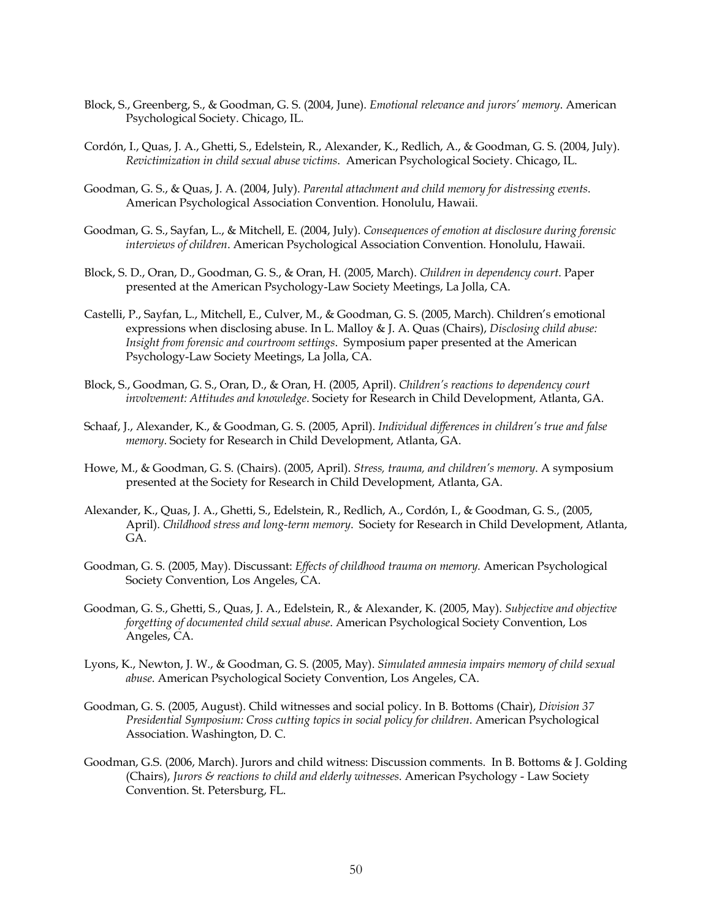- Block, S., Greenberg, S., & Goodman, G. S. (2004, June). *Emotional relevance and jurors' memory*. American Psychological Society. Chicago, IL.
- Cordón, I., Quas, J. A., Ghetti, S., Edelstein, R., Alexander, K., Redlich, A., & Goodman, G. S. (2004, July). *Revictimization in child sexual abuse victims*. American Psychological Society. Chicago, IL.
- Goodman, G. S., & Quas, J. A. (2004, July). *Parental attachment and child memory for distressing events*. American Psychological Association Convention. Honolulu, Hawaii.
- Goodman, G. S., Sayfan, L., & Mitchell, E. (2004, July). *Consequences of emotion at disclosure during forensic interviews of children*. American Psychological Association Convention. Honolulu, Hawaii.
- Block, S. D., Oran, D., Goodman, G. S., & Oran, H. (2005, March). *Children in dependency court*. Paper presented at the American Psychology-Law Society Meetings, La Jolla, CA.
- Castelli, P., Sayfan, L., Mitchell, E., Culver, M., & Goodman, G. S. (2005, March). Children's emotional expressions when disclosing abuse. In L. Malloy & J. A. Quas (Chairs), *Disclosing child abuse: Insight from forensic and courtroom settings*. Symposium paper presented at the American Psychology-Law Society Meetings, La Jolla, CA.
- Block, S., Goodman, G. S., Oran, D., & Oran, H. (2005, April). *Children's reactions to dependency court involvement: Attitudes and knowledge*. Society for Research in Child Development, Atlanta, GA.
- Schaaf, J., Alexander, K., & Goodman, G. S. (2005, April). *Individual differences in children's true and false memory*. Society for Research in Child Development, Atlanta, GA.
- Howe, M., & Goodman, G. S. (Chairs). (2005, April). *Stress, trauma, and children's memory*. A symposium presented at the Society for Research in Child Development, Atlanta, GA.
- Alexander, K., Quas, J. A., Ghetti, S., Edelstein, R., Redlich, A., Cordón, I., & Goodman, G. S., (2005, April). *Childhood stress and long-term memory*. Society for Research in Child Development, Atlanta, GA.
- Goodman, G. S. (2005, May). Discussant: *Effects of childhood trauma on memory.* American Psychological Society Convention, Los Angeles, CA.
- Goodman, G. S., Ghetti, S., Quas, J. A., Edelstein, R., & Alexander, K. (2005, May). *Subjective and objective forgetting of documented child sexual abuse*. American Psychological Society Convention, Los Angeles, CA.
- Lyons, K., Newton, J. W., & Goodman, G. S. (2005, May). *Simulated amnesia impairs memory of child sexual abuse*. American Psychological Society Convention, Los Angeles, CA.
- Goodman, G. S. (2005, August). Child witnesses and social policy. In B. Bottoms (Chair), *Division 37 Presidential Symposium: Cross cutting topics in social policy for children*. American Psychological Association. Washington, D. C.
- Goodman, G.S. (2006, March). Jurors and child witness: Discussion comments. In B. Bottoms & J. Golding (Chairs), *Jurors & reactions to child and elderly witnesses*. American Psychology - Law Society Convention. St. Petersburg, FL.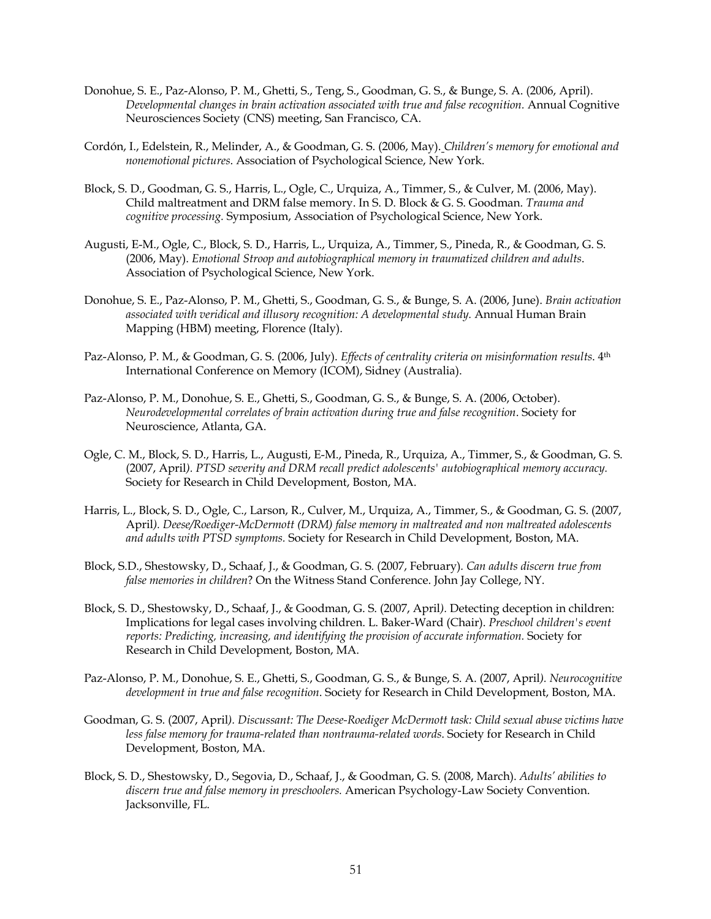- Donohue, S. E., Paz-Alonso, P. M., Ghetti, S., Teng, S., Goodman, G. S., & Bunge, S. A. (2006, April). *Developmental changes in brain activation associated with true and false recognition.* Annual Cognitive Neurosciences Society (CNS) meeting, San Francisco, CA.
- Cordón, I., Edelstein, R., Melinder, A., & Goodman, G. S. (2006, May). *Children's memory for emotional and nonemotional pictures*. Association of Psychological Science, New York.
- Block, S. D., Goodman, G. S., Harris, L., Ogle, C., Urquiza, A., Timmer, S., & Culver, M. (2006, May). Child maltreatment and DRM false memory. In S. D. Block & G. S. Goodman. *Trauma and cognitive processing.* Symposium, Association of Psychological Science, New York.
- Augusti, E-M., Ogle, C., Block, S. D., Harris, L., Urquiza, A., Timmer, S., Pineda, R., & Goodman, G. S. (2006, May). *Emotional Stroop and autobiographical memory in traumatized children and adults*. Association of Psychological Science, New York.
- Donohue, S. E., Paz-Alonso, P. M., Ghetti, S., Goodman, G. S., & Bunge, S. A. (2006, June). *Brain activation associated with veridical and illusory recognition: A developmental study.* Annual Human Brain Mapping (HBM) meeting, Florence (Italy).
- Paz-Alonso, P. M., & Goodman, G. S. (2006, July). *Effects of centrality criteria on misinformation results*. 4th International Conference on Memory (ICOM), Sidney (Australia).
- Paz-Alonso, P. M., Donohue, S. E., Ghetti, S., Goodman, G. S., & Bunge, S. A. (2006, October). *Neurodevelopmental correlates of brain activation during true and false recognition*. Society for Neuroscience, Atlanta, GA.
- Ogle, C. M., Block, S. D., Harris, L., Augusti, E-M., Pineda, R., Urquiza, A., Timmer, S., & Goodman, G. S. (2007, April*). PTSD severity and DRM recall predict adolescents' autobiographical memory accuracy.*  Society for Research in Child Development, Boston, MA.
- Harris, L., Block, S. D., Ogle, C., Larson, R., Culver, M., Urquiza, A., Timmer, S., & Goodman, G. S. (2007, April*). Deese/Roediger-McDermott (DRM) false memory in maltreated and non maltreated adolescents and adults with PTSD symptoms.* Society for Research in Child Development, Boston, MA.
- Block, S.D., Shestowsky, D., Schaaf, J., & Goodman, G. S. (2007, February)*. Can adults discern true from false memories in children*? On the Witness Stand Conference. John Jay College, NY.
- Block, S. D., Shestowsky, D., Schaaf, J., & Goodman, G. S. (2007, April*).* Detecting deception in children: Implications for legal cases involving children. L. Baker-Ward (Chair). *Preschool children's event reports: Predicting, increasing, and identifying the provision of accurate information.* Society for Research in Child Development, Boston, MA.
- Paz-Alonso, P. M., Donohue, S. E., Ghetti, S., Goodman, G. S., & Bunge, S. A. (2007, April*). Neurocognitive development in true and false recognition*. Society for Research in Child Development, Boston, MA.
- Goodman, G. S. (2007, April*). Discussant: The Deese-Roediger McDermott task: Child sexual abuse victims have less false memory for trauma-related than nontrauma-related words*. Society for Research in Child Development, Boston, MA.
- Block, S. D., Shestowsky, D., Segovia, D., Schaaf, J., & Goodman, G. S. (2008, March). *Adults' abilities to discern true and false memory in preschoolers.* American Psychology-Law Society Convention. Jacksonville, FL.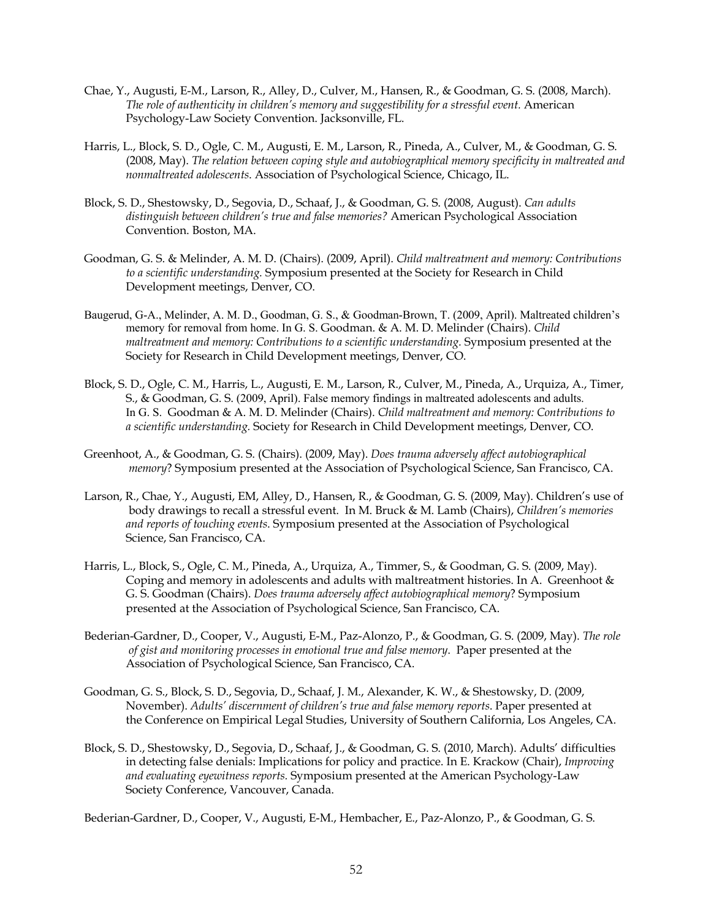- Chae, Y., Augusti, E-M., Larson, R., Alley, D., Culver, M., Hansen, R., & Goodman, G. S. (2008, March). *The role of authenticity in children's memory and suggestibility for a stressful event.* American Psychology-Law Society Convention. Jacksonville, FL.
- Harris, L., Block, S. D., Ogle, C. M., Augusti, E. M., Larson, R., Pineda, A., Culver, M., & Goodman, G. S. (2008, May). *The relation between coping style and autobiographical memory specificity in maltreated and nonmaltreated adolescents*. Association of Psychological Science, Chicago, IL.
- Block, S. D., Shestowsky, D., Segovia, D., Schaaf, J., & Goodman, G. S. (2008, August). *Can adults distinguish between children's true and false memories?* American Psychological Association Convention. Boston, MA.
- Goodman, G. S. & Melinder, A. M. D. (Chairs). (2009, April). *Child maltreatment and memory: Contributions to a scientific understanding.* Symposium presented at the Society for Research in Child Development meetings, Denver, CO.
- Baugerud, G-A., Melinder, A. M. D., Goodman, G. S., & Goodman-Brown, T. (2009, April). Maltreated children's memory for removal from home. In G. S. Goodman. & A. M. D. Melinder (Chairs). *Child maltreatment and memory: Contributions to a scientific understanding.* Symposium presented at the Society for Research in Child Development meetings, Denver, CO.
- Block, S. D., Ogle, C. M., Harris, L., Augusti, E. M., Larson, R., Culver, M., Pineda, A., Urquiza, A., Timer, S., & Goodman, G. S. (2009, April). False memory findings in maltreated adolescents and adults. In G. S. Goodman & A. M. D. Melinder (Chairs). *Child maltreatment and memory: Contributions to a scientific understanding.* Society for Research in Child Development meetings, Denver, CO.
- Greenhoot, A., & Goodman, G. S. (Chairs). (2009, May). *Does trauma adversely affect autobiographical memory*? Symposium presented at the Association of Psychological Science, San Francisco, CA.
- Larson, R., Chae, Y., Augusti, EM, Alley, D., Hansen, R., & Goodman, G. S. (2009, May). Children's use of body drawings to recall a stressful event. In M. Bruck & M. Lamb (Chairs), *Children's memories and reports of touching events*. Symposium presented at the Association of Psychological Science, San Francisco, CA.
- Harris, L., Block, S., Ogle, C. M., Pineda, A., Urquiza, A., Timmer, S., & Goodman, G. S. (2009, May). Coping and memory in adolescents and adults with maltreatment histories. In A. Greenhoot & G. S. Goodman (Chairs). *Does trauma adversely affect autobiographical memory*? Symposium presented at the Association of Psychological Science, San Francisco, CA.
- Bederian-Gardner, D., Cooper, V., Augusti, E-M., Paz-Alonzo, P., & Goodman, G. S. (2009, May). *The role of gist and monitoring processes in emotional true and false memory*. Paper presented at the Association of Psychological Science, San Francisco, CA.
- Goodman, G. S., Block, S. D., Segovia, D., Schaaf, J. M., Alexander, K. W., & Shestowsky, D. (2009, November). *Adults' discernment of children's true and false memory reports*. Paper presented at the Conference on Empirical Legal Studies, University of Southern California, Los Angeles, CA.
- Block, S. D., Shestowsky, D., Segovia, D., Schaaf, J., & Goodman, G. S. (2010, March). Adults' difficulties in detecting false denials: Implications for policy and practice. In E. Krackow (Chair), *Improving and evaluating eyewitness reports.* Symposium presented at the American Psychology-Law Society Conference, Vancouver, Canada.

Bederian-Gardner, D., Cooper, V., Augusti, E-M., Hembacher, E., Paz-Alonzo, P., & Goodman, G. S.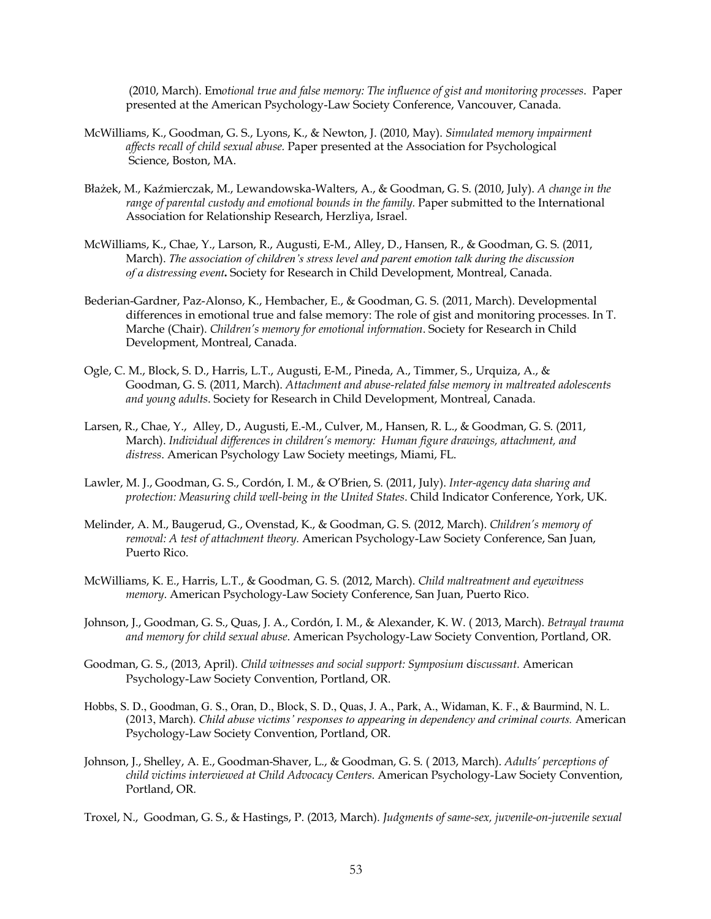(2010, March). Em*otional true and false memory: The influence of gist and monitoring processes*. Paper presented at the American Psychology-Law Society Conference, Vancouver, Canada.

- McWilliams, K., Goodman, G. S., Lyons, K., & Newton, J. (2010, May). *Simulated memory impairment affects recall of child sexual abuse.* Paper presented at the Association for Psychological Science, Boston, MA.
- Błażek, M., Kaźmierczak, M., Lewandowska-Walters, A., & Goodman, G. S. (2010, July). *A change in the range of parental custody and emotional bounds in the family.* Paper submitted to the International Association for Relationship Research, Herzliya, Israel.
- McWilliams, K., Chae, Y., Larson, R., Augusti, E-M., Alley, D., Hansen, R., & Goodman, G. S. (2011, March). *The association of children's stress level and parent emotion talk during the discussion of a distressing event***.** Society for Research in Child Development, Montreal, Canada.
- Bederian-Gardner, Paz-Alonso, K., Hembacher, E., & Goodman, G. S. (2011, March). Developmental differences in emotional true and false memory: The role of gist and monitoring processes. In T. Marche (Chair). *Children's memory for emotional information*. Society for Research in Child Development, Montreal, Canada.
- Ogle, C. M., Block, S. D., Harris, L.T., Augusti, E-M., Pineda, A., Timmer, S., Urquiza, A., & Goodman, G. S. (2011, March). *Attachment and abuse-related false memory in maltreated adolescents and young adults*. Society for Research in Child Development, Montreal, Canada.
- Larsen, R., Chae, Y., Alley, D., Augusti, E.-M., Culver, M., Hansen, R. L., & Goodman, G. S. (2011, March). *Individual differences in children's memory: Human figure drawings, attachment, and distress*. American Psychology Law Society meetings, Miami, FL.
- Lawler, M. J., Goodman, G. S., Cordón, I. M., & O'Brien, S. (2011, July). *Inter-agency data sharing and protection: Measuring child well-being in the United States*. Child Indicator Conference, York, UK.
- Melinder, A. M., Baugerud, G., Ovenstad, K., & Goodman, G. S. (2012, March). *Children's memory of removal: A test of attachment theory.* American Psychology-Law Society Conference, San Juan, Puerto Rico.
- McWilliams, K. E., Harris, L.T., & Goodman, G. S. (2012, March). *Child maltreatment and eyewitness memory*. American Psychology-Law Society Conference, San Juan, Puerto Rico.
- Johnson, J., Goodman, G. S., Quas, J. A., Cordón, I. M., & Alexander, K. W. ( 2013, March). *Betrayal trauma and memory for child sexual abuse*. American Psychology-Law Society Convention, Portland, OR.
- Goodman, G. S., (2013, April). *Child witnesses and social support: Symposium* d*iscussant.* American Psychology-Law Society Convention, Portland, OR.
- Hobbs, S. D., Goodman, G. S., Oran, D., Block, S. D., Quas, J. A., Park, A., Widaman, K. F., & Baurmind, N. L. (2013, March). *Child abuse victims' responses to appearing in dependency and criminal courts.* American Psychology-Law Society Convention, Portland, OR.
- Johnson, J., Shelley, A. E., Goodman-Shaver, L., & Goodman, G. S. ( 2013, March). *Adults' perceptions of child victims interviewed at Child Advocacy Centers*. American Psychology-Law Society Convention, Portland, OR.

Troxel, N., Goodman, G. S., & Hastings, P. (2013, March). *Judgments of same-sex, juvenile-on-juvenile sexual*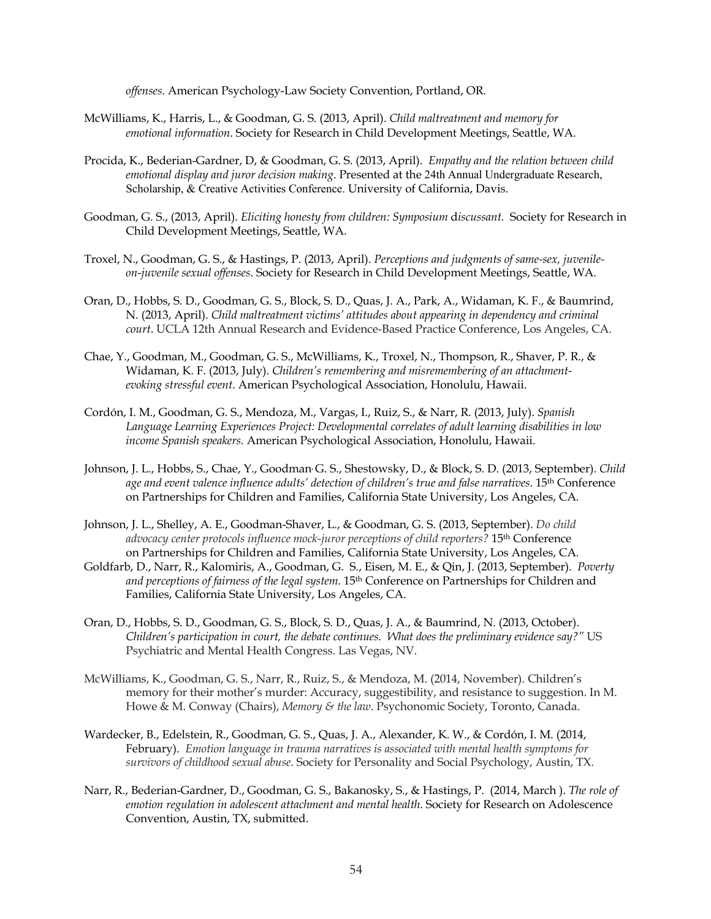*offenses*. American Psychology-Law Society Convention, Portland, OR.

- McWilliams, K., Harris, L., & Goodman, G. S. (2013, April). *Child maltreatment and memory for emotional information*. Society for Research in Child Development Meetings, Seattle, WA.
- Procida, K., Bederian-Gardner, D, & Goodman, G. S. (2013, April). *Empathy and the relation between child emotional display and juror decision making*. Presented at the 24th Annual Undergraduate Research, Scholarship, & Creative Activities Conference. University of California, Davis.
- Goodman, G. S., (2013, April). *Eliciting honesty from children: Symposium* d*iscussant.* Society for Research in Child Development Meetings, Seattle, WA.
- Troxel, N., Goodman, G. S., & Hastings, P. (2013, April). *Perceptions and judgments of same-sex, juvenileon-juvenile sexual offenses*. Society for Research in Child Development Meetings, Seattle, WA.
- Oran, D., Hobbs, S. D., Goodman, G. S., Block, S. D., Quas, J. A., Park, A., Widaman, K. F., & Baumrind, N. (2013, April). *Child maltreatment victims' attitudes about appearing in dependency and criminal court*. UCLA 12th Annual Research and Evidence-Based Practice Conference, Los Angeles, CA.
- Chae, Y., Goodman, M., Goodman, G. S., McWilliams, K., Troxel, N., Thompson, R., Shaver, P. R., & Widaman, K. F. (2013, July). *Children's remembering and misremembering of an attachmentevoking stressful event*. American Psychological Association, Honolulu, Hawaii.
- Cordón, I. M., Goodman, G. S., Mendoza, M., Vargas, I., Ruiz, S., & Narr, R. (2013, July). *Spanish Language Learning Experiences Project: Developmental correlates of adult learning disabilities in low income Spanish speakers.* American Psychological Association, Honolulu, Hawaii.
- Johnson, J. L., Hobbs, S., Chae, Y., Goodman, G. S., Shestowsky, D., & Block, S. D. (2013, September). *Child age and event valence influence adults' detection of children's true and false narratives*. 15th Conference on Partnerships for Children and Families, California State University, Los Angeles, CA.
- Johnson, J. L., Shelley, A. E., Goodman-Shaver, L., & Goodman, G. S. (2013, September). *Do child advocacy center protocols influence mock-juror perceptions of child reporters?* 15th Conference on Partnerships for Children and Families, California State University, Los Angeles, CA.
- Goldfarb, D., Narr, R., Kalomiris, A., Goodman, G. S., Eisen, M. E., & Qin, J. (2013, September). *Poverty and perceptions of fairness of the legal system*. 15th Conference on Partnerships for Children and Families, California State University, Los Angeles, CA.
- Oran, D., Hobbs, S. D., Goodman, G. S., Block, S. D., Quas, J. A., & Baumrind, N. (2013, October). *Children's participation in court, the debate continues. What does the preliminary evidence say?"* US Psychiatric and Mental Health Congress. Las Vegas, NV.
- McWilliams, K., Goodman, G. S., Narr, R., Ruiz, S., & Mendoza, M. (2014, November). Children's memory for their mother's murder: Accuracy, suggestibility, and resistance to suggestion. In M. Howe & M. Conway (Chairs), *Memory & the law*. Psychonomic Society, Toronto, Canada.
- Wardecker, B., Edelstein, R., Goodman, G. S., Quas, J. A., Alexander, K. W., & Cordón, I. M. (2014, February). *Emotion language in trauma narratives is associated with mental health symptoms for survivors of childhood sexual abuse*. Society for Personality and Social Psychology, Austin, TX.
- Narr, R., Bederian-Gardner, D., Goodman, G. S., Bakanosky, S., & Hastings, P. (2014, March ). *The role of emotion regulation in adolescent attachment and mental health*. Society for Research on Adolescence Convention, Austin, TX, submitted.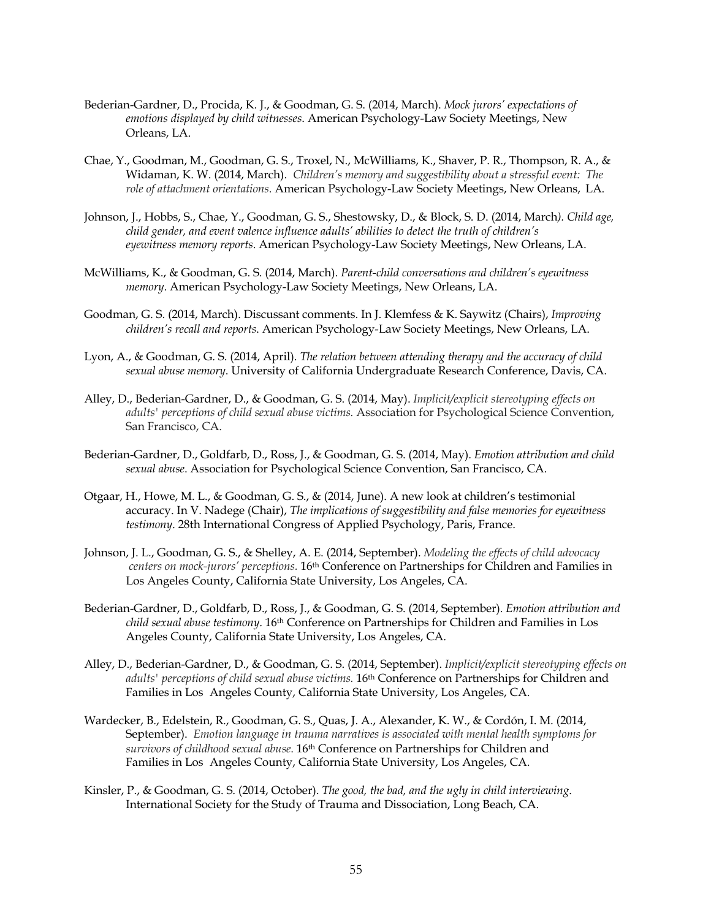- Bederian-Gardner, D., Procida, K. J., & Goodman, G. S. (2014, March). *Mock jurors' expectations of emotions displayed by child witnesses*. American Psychology-Law Society Meetings, New Orleans, LA.
- Chae, Y., Goodman, M., Goodman, G. S., Troxel, N., McWilliams, K., Shaver, P. R., Thompson, R. A., & Widaman, K. W. (2014, March). *Children's memory and suggestibility about a stressful event: The role of attachment orientations*. American Psychology-Law Society Meetings, New Orleans, LA.
- Johnson, J., Hobbs, S., Chae, Y., Goodman, G. S., Shestowsky, D., & Block, S. D. (2014, March*). Child age, child gender, and event valence influence adults' abilities to detect the truth of children's eyewitness memory reports*. American Psychology-Law Society Meetings, New Orleans, LA.
- McWilliams, K., & Goodman, G. S. (2014, March). *Parent-child conversations and children's eyewitness memory*. American Psychology-Law Society Meetings, New Orleans, LA.
- Goodman, G. S. (2014, March). Discussant comments. In J. Klemfess & K. Saywitz (Chairs), *Improving children's recall and reports*. American Psychology-Law Society Meetings, New Orleans, LA.
- Lyon, A., & Goodman, G. S. (2014, April). *The relation between attending therapy and the accuracy of child sexual abuse memory*. University of California Undergraduate Research Conference, Davis, CA.
- Alley, D., Bederian-Gardner, D., & Goodman, G. S. (2014, May). *Implicit/explicit stereotyping effects on adults' perceptions of child sexual abuse victims.* Association for Psychological Science Convention, San Francisco, CA.
- Bederian-Gardner, D., Goldfarb, D., Ross, J., & Goodman, G. S. (2014, May). *Emotion attribution and child sexual abuse*. Association for Psychological Science Convention, San Francisco, CA.
- Otgaar, H., Howe, M. L., & Goodman, G. S., & (2014, June). A new look at children's testimonial accuracy. In V. Nadege (Chair), *The implications of suggestibility and false memories for eyewitness testimony*. 28th International Congress of Applied Psychology, Paris, France.
- Johnson, J. L., Goodman, G. S., & Shelley, A. E. (2014, September). *Modeling the effects of child advocacy centers on mock-jurors' perceptions.* 16th Conference on Partnerships for Children and Families in Los Angeles County, California State University, Los Angeles, CA.
- Bederian-Gardner, D., Goldfarb, D., Ross, J., & Goodman, G. S. (2014, September). *Emotion attribution and child sexual abuse testimony*. 16th Conference on Partnerships for Children and Families in Los Angeles County, California State University, Los Angeles, CA.
- Alley, D., Bederian-Gardner, D., & Goodman, G. S. (2014, September). *Implicit/explicit stereotyping effects on*  adults' perceptions of child sexual abuse victims. 16th Conference on Partnerships for Children and Families in Los Angeles County, California State University, Los Angeles, CA.
- Wardecker, B., Edelstein, R., Goodman, G. S., Quas, J. A., Alexander, K. W., & Cordón, I. M. (2014, September). *Emotion language in trauma narratives is associated with mental health symptoms for survivors of childhood sexual abuse*. 16th Conference on Partnerships for Children and Families in Los Angeles County, California State University, Los Angeles, CA.
- Kinsler, P., & Goodman, G. S. (2014, October). *The good, the bad, and the ugly in child interviewing*. International Society for the Study of Trauma and Dissociation, Long Beach, CA.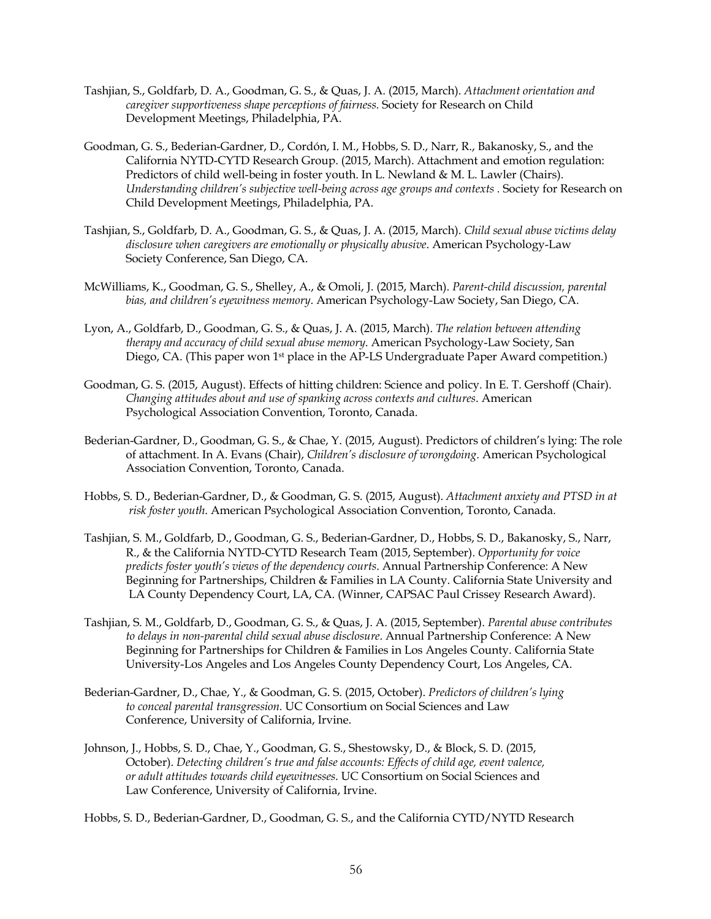- Tashjian, S., Goldfarb, D. A., Goodman, G. S., & Quas, J. A. (2015, March). *Attachment orientation and caregiver supportiveness shape perceptions of fairness.* Society for Research on Child Development Meetings, Philadelphia, PA.
- Goodman, G. S., Bederian-Gardner, D., Cordón, I. M., Hobbs, S. D., Narr, R., Bakanosky, S., and the California NYTD-CYTD Research Group. (2015, March). Attachment and emotion regulation: Predictors of child well-being in foster youth. In L. Newland & M. L. Lawler (Chairs). *Understanding children's subjective well-being across age groups and contexts .* Society for Research on Child Development Meetings, Philadelphia, PA.
- Tashjian, S., Goldfarb, D. A., Goodman, G. S., & Quas, J. A. (2015, March). *Child sexual abuse victims delay disclosure when caregivers are emotionally or physically abusive*. American Psychology-Law Society Conference, San Diego, CA.
- McWilliams, K., Goodman, G. S., Shelley, A., & Omoli, J. (2015, March). *Parent-child discussion, parental bias, and children's eyewitness memory*. American Psychology-Law Society, San Diego, CA.
- Lyon, A., Goldfarb, D., Goodman, G. S., & Quas, J. A. (2015, March). *The relation between attending therapy and accuracy of child sexual abuse memory*. American Psychology-Law Society, San Diego, CA. (This paper won 1<sup>st</sup> place in the AP-LS Undergraduate Paper Award competition.)
- Goodman, G. S. (2015, August). Effects of hitting children: Science and policy. In E. T. Gershoff (Chair). *Changing attitudes about and use of spanking across contexts and cultures*. American Psychological Association Convention, Toronto, Canada.
- Bederian-Gardner, D., Goodman, G. S., & Chae, Y. (2015, August). Predictors of children's lying: The role of attachment. In A. Evans (Chair), *Children's disclosure of wrongdoing*. American Psychological Association Convention, Toronto, Canada.
- Hobbs, S. D., Bederian-Gardner, D., & Goodman, G. S. (2015, August). *Attachment anxiety and PTSD in at risk foster youth*. American Psychological Association Convention, Toronto, Canada.
- Tashjian, S. M., Goldfarb, D., Goodman, G. S., Bederian-Gardner, D., Hobbs, S. D., Bakanosky, S., Narr, R., & the California NYTD-CYTD Research Team (2015, September). *Opportunity for voice predicts foster youth's views of the dependency courts*. Annual Partnership Conference: A New Beginning for Partnerships, Children & Families in LA County. California State University and LA County Dependency Court, LA, CA. (Winner, CAPSAC Paul Crissey Research Award).
- Tashjian, S. M., Goldfarb, D., Goodman, G. S., & Quas, J. A. (2015, September). *Parental abuse contributes to delays in non-parental child sexual abuse disclosure*. Annual Partnership Conference: A New Beginning for Partnerships for Children & Families in Los Angeles County. California State University-Los Angeles and Los Angeles County Dependency Court, Los Angeles, CA.
- Bederian-Gardner, D., Chae, Y., & Goodman, G. S. (2015, October). *Predictors of children's lying to conceal parental transgression.* UC Consortium on Social Sciences and Law Conference, University of California, Irvine.
- Johnson, J., Hobbs, S. D., Chae, Y., Goodman, G. S., Shestowsky, D., & Block, S. D. (2015, October). *Detecting children's true and false accounts: Effects of child age, event valence, or adult attitudes towards child eyewitnesses*. UC Consortium on Social Sciences and Law Conference, University of California, Irvine.

Hobbs, S. D., Bederian-Gardner, D., Goodman, G. S., and the California CYTD/NYTD Research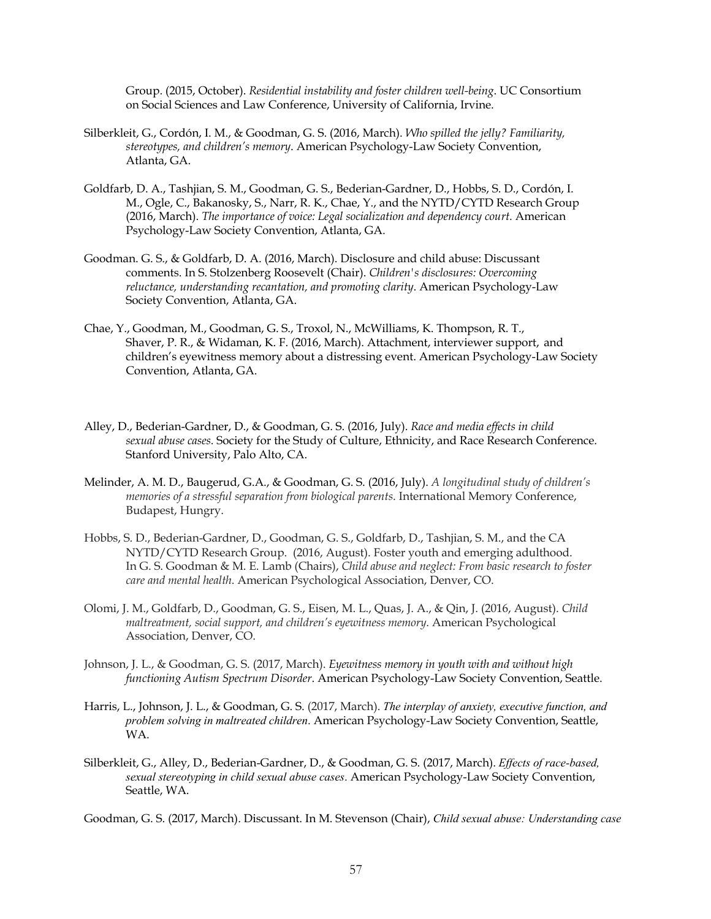Group. (2015, October). *Residential instability and foster children well-being*. UC Consortium on Social Sciences and Law Conference, University of California, Irvine.

- Silberkleit, G., Cordón, I. M., & Goodman, G. S. (2016, March). *Who spilled the jelly? Familiarity, stereotypes, and children's memory*. American Psychology-Law Society Convention, Atlanta, GA.
- Goldfarb, D. A., Tashjian, S. M., Goodman, G. S., Bederian-Gardner, D., Hobbs, S. D., Cordón, I. M., Ogle, C., Bakanosky, S., Narr, R. K., Chae, Y., and the NYTD/CYTD Research Group (2016, March). *The importance of voice: Legal socialization and dependency court*. American Psychology-Law Society Convention, Atlanta, GA.
- Goodman. G. S., & Goldfarb, D. A. (2016, March). Disclosure and child abuse: Discussant comments. In S. Stolzenberg Roosevelt (Chair). *Children's disclosures: Overcoming reluctance, understanding recantation, and promoting clarity*. American Psychology-Law Society Convention, Atlanta, GA.
- Chae, Y., Goodman, M., Goodman, G. S., Troxol, N., McWilliams, K. Thompson, R. T., Shaver, P. R., & Widaman, K. F. (2016, March). Attachment, interviewer support, and children's eyewitness memory about a distressing event. American Psychology-Law Society Convention, Atlanta, GA.
- Alley, D., Bederian-Gardner, D., & Goodman, G. S. (2016, July). *Race and media effects in child sexual abuse cases.* Society for the Study of Culture, Ethnicity, and Race Research Conference. Stanford University, Palo Alto, CA.
- Melinder, A. M. D., Baugerud, G.A., & Goodman, G. S. (2016, July). *A longitudinal study of children's memories of a stressful separation from biological parents*. International Memory Conference, Budapest, Hungry.
- Hobbs, S. D., Bederian-Gardner, D., Goodman, G. S., Goldfarb, D., Tashjian, S. M., and the CA NYTD/CYTD Research Group. (2016, August). Foster youth and emerging adulthood. In G. S. Goodman & M. E. Lamb (Chairs), *Child abuse and neglect: From basic research to foster care and mental health*. American Psychological Association, Denver, CO.
- Olomi, J. M., Goldfarb, D., Goodman, G. S., Eisen, M. L., Quas, J. A., & Qin, J. (2016, August). *Child maltreatment, social support, and children's eyewitness memory*. American Psychological Association, Denver, CO.
- Johnson, J. L., & Goodman, G. S. (2017, March). *Eyewitness memory in youth with and without high functioning Autism Spectrum Disorder*. American Psychology-Law Society Convention, Seattle.
- Harris, L., Johnson, J. L., & Goodman, G. S. (2017, March). *The interplay of anxiety, executive function, and problem solving in maltreated children*. American Psychology-Law Society Convention, Seattle, WA.
- Silberkleit, G., Alley, D., Bederian-Gardner, D., & Goodman, G. S. (2017, March). *Effects of race-based, sexual stereotyping in child sexual abuse cases*. American Psychology-Law Society Convention, Seattle, WA.

Goodman, G. S. (2017, March). Discussant. In M. Stevenson (Chair), *Child sexual abuse: Understanding case*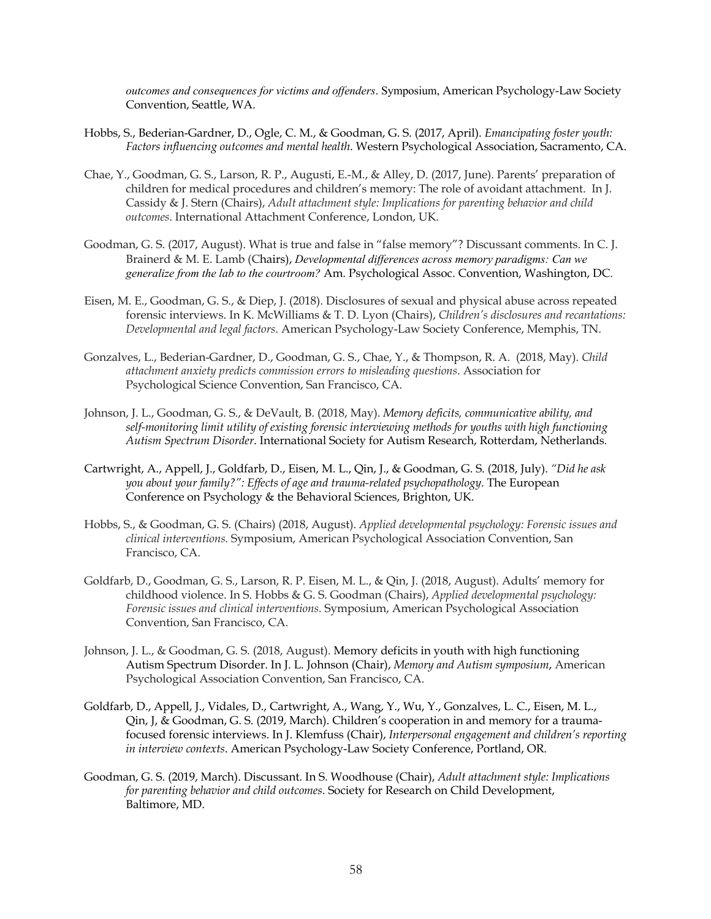*outcomes and consequences for victims and offenders*. Symposium, American Psychology-Law Society Convention, Seattle, WA.

- Hobbs, S., Bederian-Gardner, D., Ogle, C. M., & Goodman, G. S. (2017, April). *Emancipating foster youth: Factors influencing outcomes and mental health*. Western Psychological Association, Sacramento, CA.
- Chae, Y., Goodman, G. S., Larson, R. P., Augusti, E.-M., & Alley, D. (2017, June). Parents' preparation of children for medical procedures and children's memory: The role of avoidant attachment. In J. Cassidy & J. Stern (Chairs), *Adult attachment style: Implications for parenting behavior and child outcomes*. International Attachment Conference, London, UK.
- Goodman, G. S. (2017, August). What is true and false in "false memory"? Discussant comments. In C. J. Brainerd & M. E. Lamb (Chairs), *Developmental differences across memory paradigms: Can we generalize from the lab to the courtroom?* Am. Psychological Assoc. Convention, Washington, DC.
- Eisen, M. E., Goodman, G. S., & Diep, J. (2018). Disclosures of sexual and physical abuse across repeated forensic interviews. In K. McWilliams & T. D. Lyon (Chairs), *Children's disclosures and recantations: Developmental and legal factors*. American Psychology-Law Society Conference, Memphis, TN.
- Gonzalves, L., Bederian-Gardner, D., Goodman, G. S., Chae, Y., & Thompson, R. A. (2018, May). *Child attachment anxiety predicts commission errors to misleading questions*. Association for Psychological Science Convention, San Francisco, CA.
- Johnson, J. L., Goodman, G. S., & DeVault, B. (2018, May). *Memory deficits, communicative ability, and self-monitoring limit utility of existing forensic interviewing methods for youths with high functioning Autism Spectrum Disorder*. International Society for Autism Research, Rotterdam, Netherlands*.*
- Cartwright, A., Appell, J., Goldfarb, D., Eisen, M. L., Qin, J., & Goodman, G. S. (2018, July). *"Did he ask you about your family?": Effects of age and trauma-related psychopathology*. The European Conference on Psychology & the Behavioral Sciences, Brighton, UK.
- Hobbs, S., & Goodman, G. S. (Chairs) (2018, August). *Applied developmental psychology: Forensic issues and clinical interventions.* Symposium, American Psychological Association Convention, San Francisco, CA.
- Goldfarb, D., Goodman, G. S., Larson, R. P. Eisen, M. L., & Qin, J. (2018, August). Adults' memory for childhood violence. In S. Hobbs & G. S. Goodman (Chairs), *Applied developmental psychology: Forensic issues and clinical interventions.* Symposium, American Psychological Association Convention, San Francisco, CA.
- Johnson, J. L., & Goodman, G. S. (2018, August). Memory deficits in youth with high functioning Autism Spectrum Disorder. In J. L. Johnson (Chair), *Memory and Autism symposium*, American Psychological Association Convention, San Francisco, CA.
- Goldfarb, D., Appell, J., Vidales, D., Cartwright, A., Wang, Y., Wu, Y., Gonzalves, L. C., Eisen, M. L., Qin, J, & Goodman, G. S. (2019, March). Children's cooperation in and memory for a traumafocused forensic interviews. In J. Klemfuss (Chair), *Interpersonal engagement and children's reporting in interview contexts*. American Psychology-Law Society Conference, Portland, OR.
- Goodman, G. S. (2019, March). Discussant. In S. Woodhouse (Chair), *Adult attachment style: Implications for parenting behavior and child outcomes*. Society for Research on Child Development, Baltimore, MD.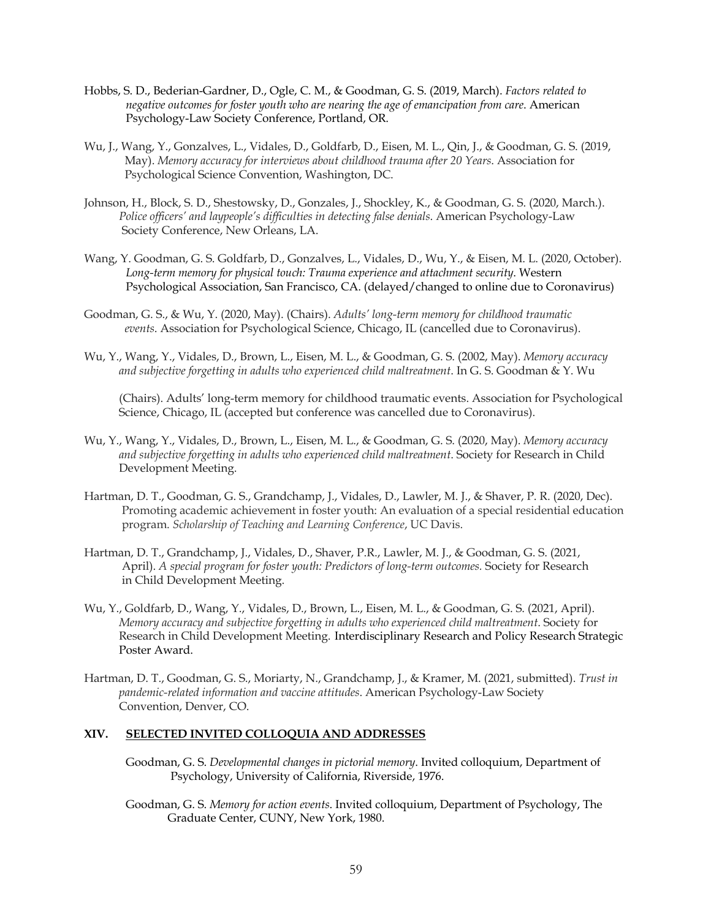- Hobbs, S. D., Bederian-Gardner, D., Ogle, C. M., & Goodman, G. S. (2019, March). *Factors related to negative outcomes for foster youth who are nearing the age of emancipation from care*. American Psychology-Law Society Conference, Portland, OR.
- Wu, J., Wang, Y., Gonzalves, L., Vidales, D., Goldfarb, D., Eisen, M. L., Qin, J., & Goodman, G. S. (2019, May). *Memory accuracy for interviews about childhood trauma after 20 Years*. Association for Psychological Science Convention, Washington, DC.
- Johnson, H., Block, S. D., Shestowsky, D., Gonzales, J., Shockley, K., & Goodman, G. S. (2020, March.). *Police officers' and laypeople's difficulties in detecting false denials*. American Psychology-Law Society Conference, New Orleans, LA.
- Wang, Y. Goodman, G. S. Goldfarb, D., Gonzalves, L., Vidales, D., Wu, Y., & Eisen, M. L. (2020, October). *Long-term memory for physical touch: Trauma experience and attachment security*. Western Psychological Association, San Francisco, CA. (delayed/changed to online due to Coronavirus)
- Goodman, G. S., & Wu, Y. (2020, May). (Chairs). *Adults' long-term memory for childhood traumatic events*. Association for Psychological Science, Chicago, IL (cancelled due to Coronavirus).
- Wu, Y., Wang, Y., Vidales, D., Brown, L., Eisen, M. L., & Goodman, G. S. (2002, May). *Memory accuracy and subjective forgetting in adults who experienced child maltreatment*. In G. S. Goodman & Y. Wu

 (Chairs). Adults' long-term memory for childhood traumatic events. Association for Psychological Science, Chicago, IL (accepted but conference was cancelled due to Coronavirus).

- Wu, Y., Wang, Y., Vidales, D., Brown, L., Eisen, M. L., & Goodman, G. S. (2020, May). *Memory accuracy and subjective forgetting in adults who experienced child maltreatment*. Society for Research in Child Development Meeting.
- Hartman, D. T., Goodman, G. S., Grandchamp, J., Vidales, D., Lawler, M. J., & Shaver, P. R. (2020, Dec). Promoting academic achievement in foster youth: An evaluation of a special residential education program. *Scholarship of Teaching and Learning Conference*, UC Davis.
- Hartman, D. T., Grandchamp, J., Vidales, D., Shaver, P.R., Lawler, M. J., & Goodman, G. S. (2021, April). *A special program for foster youth: Predictors of long-term outcomes.* Society for Research in Child Development Meeting.
- Wu, Y., Goldfarb, D., Wang, Y., Vidales, D., Brown, L., Eisen, M. L., & Goodman, G. S. (2021, April).  *Memory accuracy and subjective forgetting in adults who experienced child maltreatment*. Society for Research in Child Development Meeting. Interdisciplinary Research and Policy Research Strategic Poster Award.
- Hartman, D. T., Goodman, G. S., Moriarty, N., Grandchamp, J., & Kramer, M. (2021, submitted). *Trust in pandemic-related information and vaccine attitudes*. American Psychology-Law Society Convention, Denver, CO.

## **XIV. SELECTED INVITED COLLOQUIA AND ADDRESSES**

- Goodman, G. S. *Developmental changes in pictorial memory*. Invited colloquium, Department of Psychology, University of California, Riverside, 1976.
- Goodman, G. S. *Memory for action events*. Invited colloquium, Department of Psychology, The Graduate Center, CUNY, New York, 1980.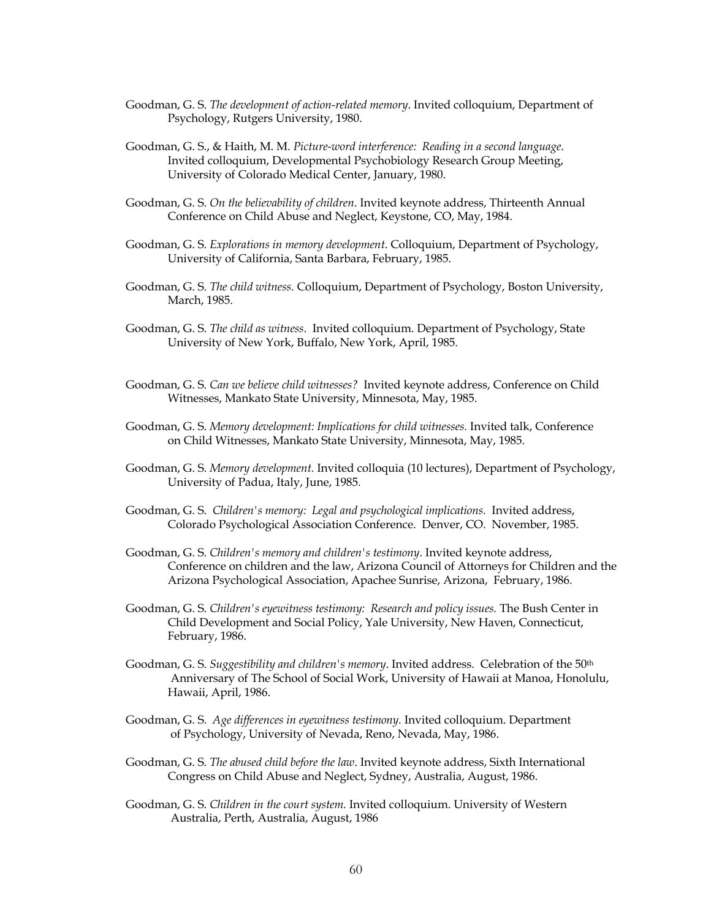- Goodman, G. S. *The development of action-related memory*. Invited colloquium, Department of Psychology, Rutgers University, 1980.
- Goodman, G. S., & Haith, M. M. *Picture-word interference: Reading in a second language*. Invited colloquium, Developmental Psychobiology Research Group Meeting, University of Colorado Medical Center, January, 1980.
- Goodman, G. S. *On the believability of children*. Invited keynote address, Thirteenth Annual Conference on Child Abuse and Neglect, Keystone, CO, May, 1984.
- Goodman, G. S. *Explorations in memory development*. Colloquium, Department of Psychology, University of California, Santa Barbara, February, 1985.
- Goodman, G. S. *The child witness*. Colloquium, Department of Psychology, Boston University, March, 1985.
- Goodman, G. S. *The child as witness*. Invited colloquium. Department of Psychology, State University of New York, Buffalo, New York, April, 1985.
- Goodman, G. S. *Can we believe child witnesses?* Invited keynote address, Conference on Child Witnesses, Mankato State University, Minnesota, May, 1985.
- Goodman, G. S. *Memory development: Implications for child witnesses.* Invited talk, Conference on Child Witnesses, Mankato State University, Minnesota, May, 1985.
- Goodman, G. S. *Memory development.* Invited colloquia (10 lectures), Department of Psychology, University of Padua, Italy, June, 1985.
- Goodman, G. S. *Children's memory: Legal and psychological implications.* Invited address, Colorado Psychological Association Conference. Denver, CO. November, 1985.
- Goodman, G. S. *Children's memory and children's testimony*. Invited keynote address, Conference on children and the law, Arizona Council of Attorneys for Children and the Arizona Psychological Association, Apachee Sunrise, Arizona, February, 1986.
- Goodman, G. S. *Children's eyewitness testimony: Research and policy issues.* The Bush Center in Child Development and Social Policy, Yale University, New Haven, Connecticut, February, 1986.
- Goodman, G. S. *Suggestibility and children's memory*. Invited address. Celebration of the 50th Anniversary of The School of Social Work, University of Hawaii at Manoa, Honolulu, Hawaii, April, 1986.
- Goodman, G. S. *Age differences in eyewitness testimony.* Invited colloquium. Department of Psychology, University of Nevada, Reno, Nevada, May, 1986.
- Goodman, G. S. *The abused child before the law*. Invited keynote address, Sixth International Congress on Child Abuse and Neglect, Sydney, Australia, August, 1986.
- Goodman, G. S. *Children in the court system.* Invited colloquium. University of Western Australia, Perth, Australia, August, 1986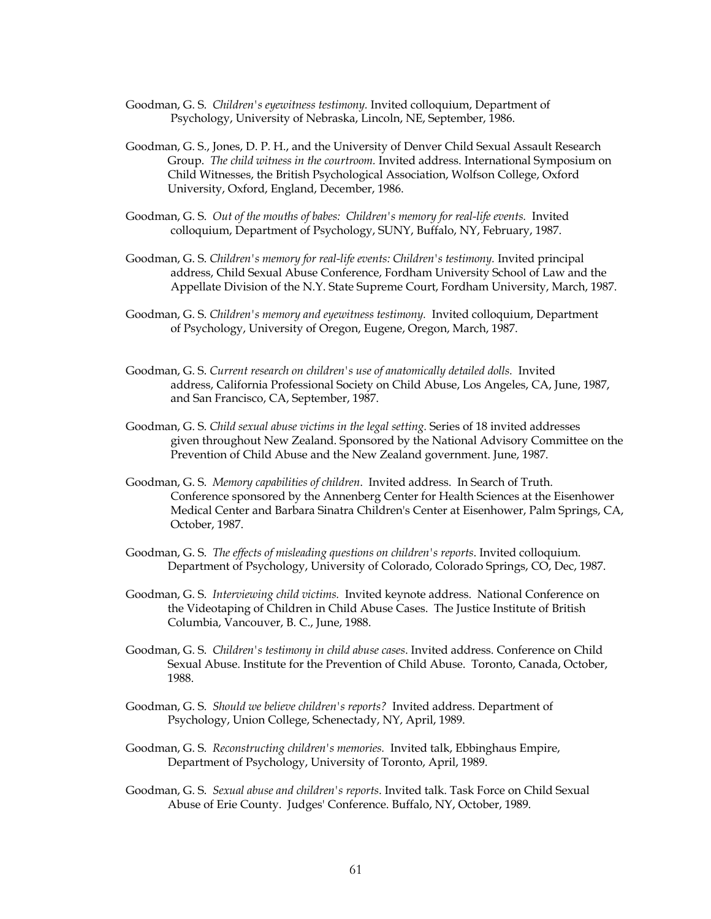- Goodman, G. S. *Children's eyewitness testimony.* Invited colloquium, Department of Psychology, University of Nebraska, Lincoln, NE, September, 1986.
- Goodman, G. S., Jones, D. P. H., and the University of Denver Child Sexual Assault Research Group. *The child witness in the courtroom.* Invited address. International Symposium on Child Witnesses, the British Psychological Association, Wolfson College, Oxford University, Oxford, England, December, 1986.
- Goodman, G. S. *Out of the mouths of babes: Children's memory for real-life events.* Invited colloquium, Department of Psychology, SUNY, Buffalo, NY, February, 1987.
- Goodman, G. S. *Children's memory for real-life events: Children's testimony.* Invited principal address, Child Sexual Abuse Conference, Fordham University School of Law and the Appellate Division of the N.Y. State Supreme Court, Fordham University, March, 1987.
- Goodman, G. S. *Children's memory and eyewitness testimony.* Invited colloquium, Department of Psychology, University of Oregon, Eugene, Oregon, March, 1987.
- Goodman, G. S. *Current research on children's use of anatomically detailed dolls.* Invited address, California Professional Society on Child Abuse, Los Angeles, CA, June, 1987, and San Francisco, CA, September, 1987.
- Goodman, G. S. *Child sexual abuse victims in the legal setting.* Series of 18 invited addresses given throughout New Zealand. Sponsored by the National Advisory Committee on the Prevention of Child Abuse and the New Zealand government. June, 1987.
- Goodman, G. S. *Memory capabilities of children*. Invited address. In Search of Truth. Conference sponsored by the Annenberg Center for Health Sciences at the Eisenhower Medical Center and Barbara Sinatra Children's Center at Eisenhower, Palm Springs, CA, October, 1987.
- Goodman, G. S. *The effects of misleading questions on children's reports*. Invited colloquium. Department of Psychology, University of Colorado, Colorado Springs, CO, Dec, 1987.
- Goodman, G. S. *Interviewing child victims.* Invited keynote address. National Conference on the Videotaping of Children in Child Abuse Cases. The Justice Institute of British Columbia, Vancouver, B. C., June, 1988.
- Goodman, G. S. *Children's testimony in child abuse cases*. Invited address. Conference on Child Sexual Abuse. Institute for the Prevention of Child Abuse. Toronto, Canada, October, 1988.
- Goodman, G. S. *Should we believe children's reports?* Invited address. Department of Psychology, Union College, Schenectady, NY, April, 1989.
- Goodman, G. S. *Reconstructing children's memories.* Invited talk, Ebbinghaus Empire, Department of Psychology, University of Toronto, April, 1989.
- Goodman, G. S. *Sexual abuse and children's reports*. Invited talk. Task Force on Child Sexual Abuse of Erie County. Judges' Conference. Buffalo, NY, October, 1989.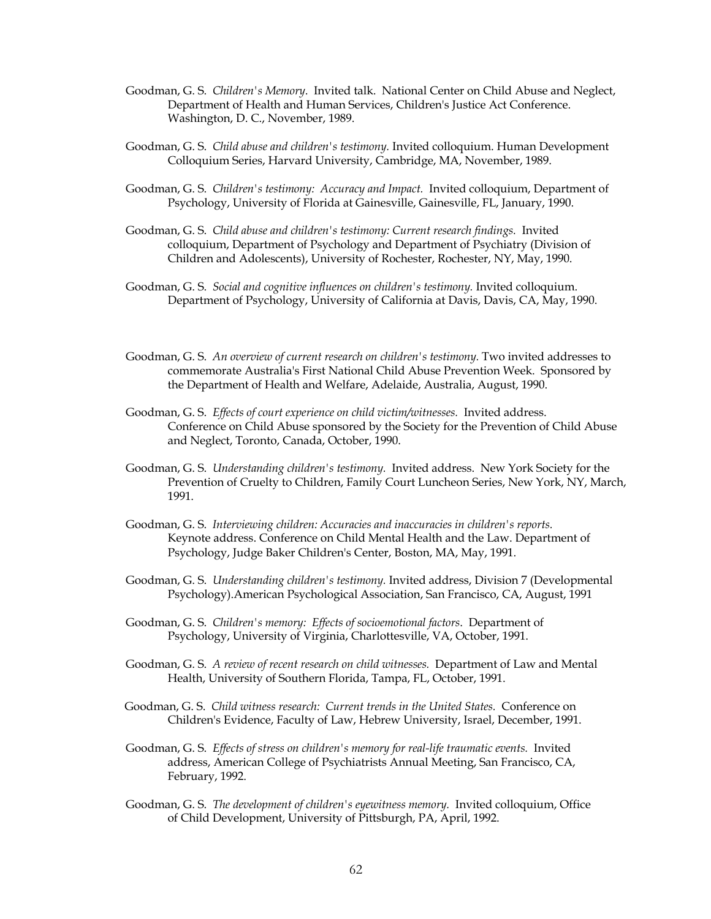- Goodman, G. S. *Children's Memory*. Invited talk. National Center on Child Abuse and Neglect, Department of Health and Human Services, Children's Justice Act Conference. Washington, D. C., November, 1989.
- Goodman, G. S. *Child abuse and children's testimony.* Invited colloquium. Human Development Colloquium Series, Harvard University, Cambridge, MA, November, 1989.
- Goodman, G. S. *Children's testimony: Accuracy and Impact.* Invited colloquium, Department of Psychology, University of Florida at Gainesville, Gainesville, FL, January, 1990.
- Goodman, G. S. *Child abuse and children's testimony: Current research findings.* Invited colloquium, Department of Psychology and Department of Psychiatry (Division of Children and Adolescents), University of Rochester, Rochester, NY, May, 1990.
- Goodman, G. S. *Social and cognitive influences on children's testimony.* Invited colloquium. Department of Psychology, University of California at Davis, Davis, CA, May, 1990.
- Goodman, G. S. An overview of current research on children's testimony. Two invited addresses to commemorate Australia's First National Child Abuse Prevention Week. Sponsored by the Department of Health and Welfare, Adelaide, Australia, August, 1990.
- Goodman, G. S. *Effects of court experience on child victim/witnesses.* Invited address. Conference on Child Abuse sponsored by the Society for the Prevention of Child Abuse and Neglect, Toronto, Canada, October, 1990.
- Goodman, G. S. *Understanding children's testimony.* Invited address. New York Society for the Prevention of Cruelty to Children, Family Court Luncheon Series, New York, NY, March, 1991.
- Goodman, G. S. *Interviewing children: Accuracies and inaccuracies in children's reports.*  Keynote address. Conference on Child Mental Health and the Law. Department of Psychology, Judge Baker Children's Center, Boston, MA, May, 1991.
- Goodman, G. S. *Understanding children's testimony.* Invited address, Division 7 (Developmental Psychology).American Psychological Association, San Francisco, CA, August, 1991
- Goodman, G. S. *Children's memory: Effects of socioemotional factors*. Department of Psychology, University of Virginia, Charlottesville, VA, October, 1991.
- Goodman, G. S. *A review of recent research on child witnesses.* Department of Law and Mental Health, University of Southern Florida, Tampa, FL, October, 1991.
- Goodman, G. S. *Child witness research: Current trends in the United States.* Conference on Children's Evidence, Faculty of Law, Hebrew University, Israel, December, 1991.
- Goodman, G. S. *Effects of stress on children's memory for real-life traumatic events.* Invited address, American College of Psychiatrists Annual Meeting, San Francisco, CA, February, 1992.
- Goodman, G. S. *The development of children's eyewitness memory.* Invited colloquium, Office of Child Development, University of Pittsburgh, PA, April, 1992.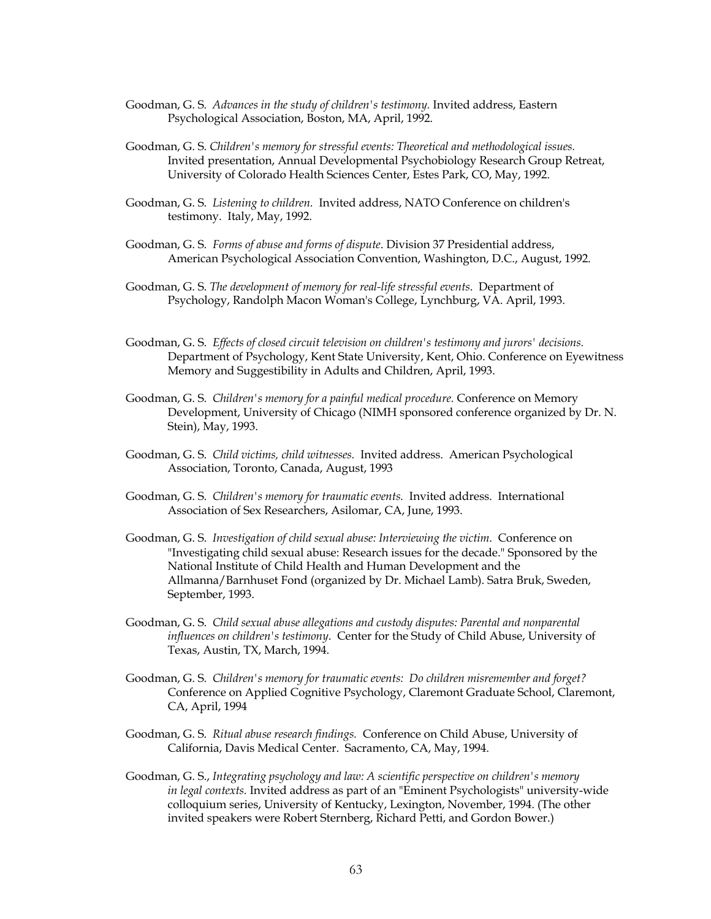- Goodman, G. S. *Advances in the study of children's testimony.* Invited address, Eastern Psychological Association, Boston, MA, April, 1992.
- Goodman, G. S. *Children's memory for stressful events: Theoretical and methodological issues.* Invited presentation, Annual Developmental Psychobiology Research Group Retreat, University of Colorado Health Sciences Center, Estes Park, CO, May, 1992.
- Goodman, G. S. *Listening to children.* Invited address, NATO Conference on children's testimony. Italy, May, 1992.
- Goodman, G. S. *Forms of abuse and forms of dispute*. Division 37 Presidential address, American Psychological Association Convention, Washington, D.C., August, 1992.
- Goodman, G. S. *The development of memory for real-life stressful events*. Department of Psychology, Randolph Macon Woman's College, Lynchburg, VA. April, 1993.
- Goodman, G. S. *Effects of closed circuit television on children's testimony and jurors' decisions.* Department of Psychology, Kent State University, Kent, Ohio. Conference on Eyewitness Memory and Suggestibility in Adults and Children, April, 1993.
- Goodman, G. S. *Children's memory for a painful medical procedure.* Conference on Memory Development, University of Chicago (NIMH sponsored conference organized by Dr. N. Stein), May, 1993.
- Goodman, G. S. *Child victims, child witnesses.* Invited address. American Psychological Association, Toronto, Canada, August, 1993
- Goodman, G. S. *Children's memory for traumatic events.* Invited address. International Association of Sex Researchers, Asilomar, CA, June, 1993.
- Goodman, G. S. *Investigation of child sexual abuse: Interviewing the victim*. Conference on "Investigating child sexual abuse: Research issues for the decade." Sponsored by the National Institute of Child Health and Human Development and the Allmanna/Barnhuset Fond (organized by Dr. Michael Lamb). Satra Bruk, Sweden, September, 1993.
- Goodman, G. S. *Child sexual abuse allegations and custody disputes: Parental and nonparental influences on children's testimony*. Center for the Study of Child Abuse, University of Texas, Austin, TX, March, 1994.
- Goodman, G. S. *Children's memory for traumatic events: Do children misremember and forget?*  Conference on Applied Cognitive Psychology, Claremont Graduate School, Claremont, CA, April, 1994
- Goodman, G. S. *Ritual abuse research findings.* Conference on Child Abuse, University of California, Davis Medical Center. Sacramento, CA, May, 1994.
- Goodman, G. S., *Integrating psychology and law: A scientific perspective on children's memory in legal contexts.* Invited address as part of an "Eminent Psychologists" university-wide colloquium series, University of Kentucky, Lexington, November, 1994. (The other invited speakers were Robert Sternberg, Richard Petti, and Gordon Bower.)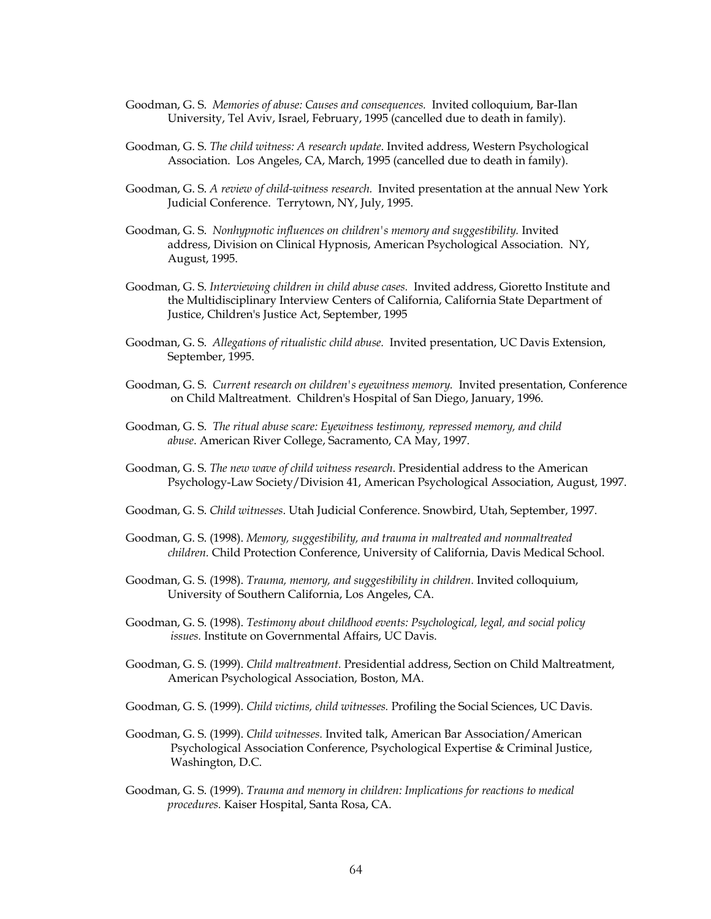- Goodman, G. S. *Memories of abuse: Causes and consequences.* Invited colloquium, Bar-Ilan University, Tel Aviv, Israel, February, 1995 (cancelled due to death in family).
- Goodman, G. S. *The child witness: A research update*. Invited address, Western Psychological Association. Los Angeles, CA, March, 1995 (cancelled due to death in family).
- Goodman, G. S. *A review of child-witness research.* Invited presentation at the annual New York Judicial Conference. Terrytown, NY, July, 1995.
- Goodman, G. S. *Nonhypnotic influences on children's memory and suggestibility.* Invited address, Division on Clinical Hypnosis, American Psychological Association. NY, August, 1995.
- Goodman, G. S. *Interviewing children in child abuse cases.* Invited address, Gioretto Institute and the Multidisciplinary Interview Centers of California, California State Department of Justice, Children's Justice Act, September, 1995
- Goodman, G. S. *Allegations of ritualistic child abuse.* Invited presentation, UC Davis Extension, September, 1995.
- Goodman, G. S. *Current research on children's eyewitness memory.* Invited presentation, Conference on Child Maltreatment. Children's Hospital of San Diego, January, 1996.
- Goodman, G. S. *The ritual abuse scare: Eyewitness testimony, repressed memory, and child abuse*. American River College, Sacramento, CA May, 1997.
- Goodman, G. S. *The new wave of child witness research*. Presidential address to the American Psychology-Law Society/Division 41, American Psychological Association, August, 1997.
- Goodman, G. S. *Child witnesses*. Utah Judicial Conference. Snowbird, Utah, September, 1997.
- Goodman, G. S. (1998). *Memory, suggestibility, and trauma in maltreated and nonmaltreated children.* Child Protection Conference, University of California, Davis Medical School.
- Goodman, G. S. (1998). *Trauma, memory, and suggestibility in children.* Invited colloquium, University of Southern California, Los Angeles, CA.
- Goodman, G. S. (1998). *Testimony about childhood events: Psychological, legal, and social policy issues.* Institute on Governmental Affairs, UC Davis.
- Goodman, G. S. (1999). *Child maltreatment.* Presidential address, Section on Child Maltreatment, American Psychological Association, Boston, MA.
- Goodman, G. S. (1999). *Child victims, child witnesses.* Profiling the Social Sciences, UC Davis.
- Goodman, G. S. (1999). *Child witnesses.* Invited talk, American Bar Association/American Psychological Association Conference, Psychological Expertise & Criminal Justice, Washington, D.C.
- Goodman, G. S. (1999). *Trauma and memory in children: Implications for reactions to medical procedures.* Kaiser Hospital, Santa Rosa, CA.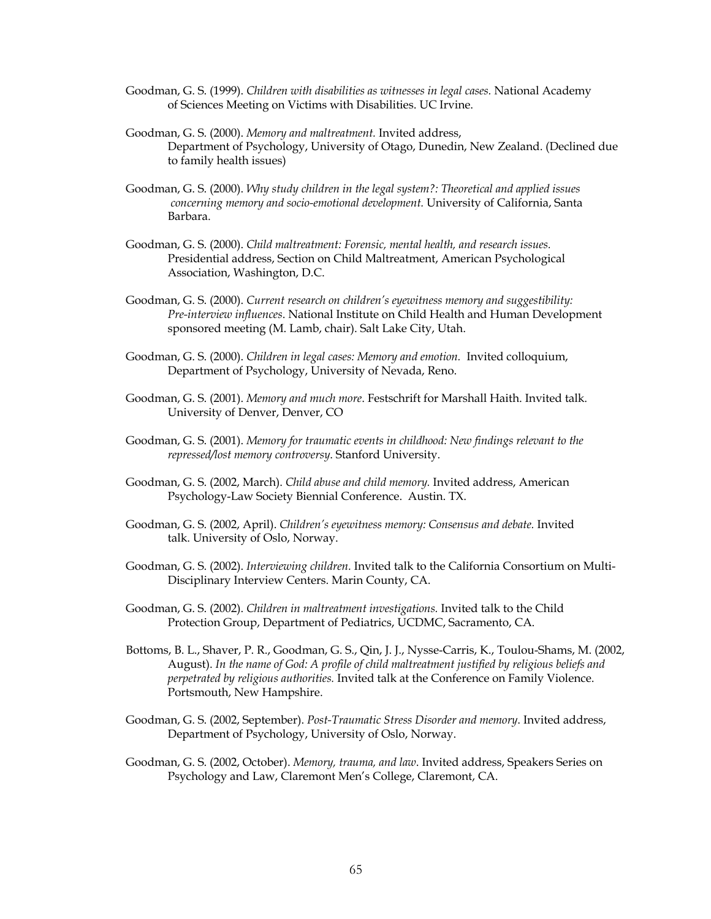- Goodman, G. S. (1999). *Children with disabilities as witnesses in legal cases.* National Academy of Sciences Meeting on Victims with Disabilities. UC Irvine.
- Goodman, G. S. (2000). *Memory and maltreatment.* Invited address, Department of Psychology, University of Otago, Dunedin, New Zealand. (Declined due to family health issues)
- Goodman, G. S. (2000). *Why study children in the legal system?: Theoretical and applied issues concerning memory and socio-emotional development.* University of California, Santa Barbara.
- Goodman, G. S. (2000). *Child maltreatment: Forensic, mental health, and research issues.*  Presidential address, Section on Child Maltreatment, American Psychological Association, Washington, D.C.
- Goodman, G. S. (2000). *Current research on children's eyewitness memory and suggestibility: Pre-interview influences*. National Institute on Child Health and Human Development sponsored meeting (M. Lamb, chair). Salt Lake City, Utah.
- Goodman, G. S. (2000). *Children in legal cases: Memory and emotion.* Invited colloquium, Department of Psychology, University of Nevada, Reno.
- Goodman, G. S. (2001). *Memory and much more*. Festschrift for Marshall Haith. Invited talk. University of Denver, Denver, CO
- Goodman, G. S. (2001). *Memory for traumatic events in childhood: New findings relevant to the repressed/lost memory controversy*. Stanford University.
- Goodman, G. S. (2002, March). *Child abuse and child memory.* Invited address, American Psychology-Law Society Biennial Conference. Austin. TX.
- Goodman, G. S. (2002, April). *Children's eyewitness memory: Consensus and debate.* Invited talk. University of Oslo, Norway.
- Goodman, G. S. (2002). *Interviewing children.* Invited talk to the California Consortium on Multi-Disciplinary Interview Centers. Marin County, CA.
- Goodman, G. S. (2002). *Children in maltreatment investigations.* Invited talk to the Child Protection Group, Department of Pediatrics, UCDMC, Sacramento, CA.
- Bottoms, B. L., Shaver, P. R., Goodman, G. S., Qin, J. J., Nysse-Carris, K., Toulou-Shams, M. (2002, August). *In the name of God: A profile of child maltreatment justified by religious beliefs and perpetrated by religious authorities.* Invited talk at the Conference on Family Violence. Portsmouth, New Hampshire.
- Goodman, G. S. (2002, September). *Post-Traumatic Stress Disorder and memory*. Invited address, Department of Psychology, University of Oslo, Norway.
- Goodman, G. S. (2002, October). *Memory, trauma, and law*. Invited address, Speakers Series on Psychology and Law, Claremont Men's College, Claremont, CA.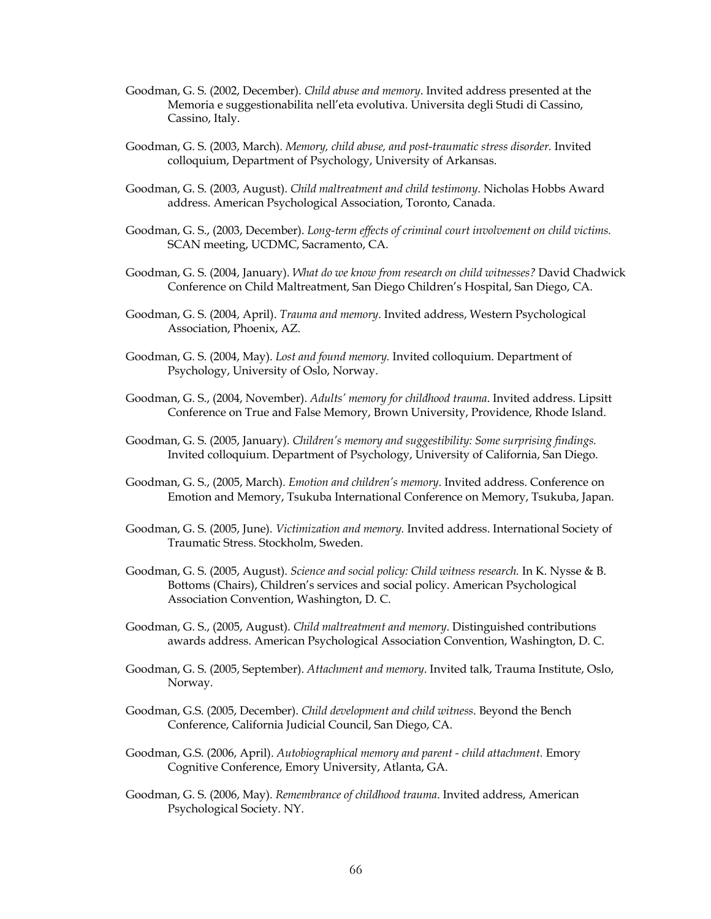- Goodman, G. S. (2002, December). *Child abuse and memory*. Invited address presented at the Memoria e suggestionabilita nell'eta evolutiva. Universita degli Studi di Cassino, Cassino, Italy.
- Goodman, G. S. (2003, March). *Memory, child abuse, and post-traumatic stress disorder.* Invited colloquium, Department of Psychology, University of Arkansas.
- Goodman, G. S. (2003, August). *Child maltreatment and child testimony*. Nicholas Hobbs Award address. American Psychological Association, Toronto, Canada.
- Goodman, G. S., (2003, December). *Long-term effects of criminal court involvement on child victims.* SCAN meeting, UCDMC, Sacramento, CA.
- Goodman, G. S. (2004, January). *What do we know from research on child witnesses?* David Chadwick Conference on Child Maltreatment, San Diego Children's Hospital, San Diego, CA.
- Goodman, G. S. (2004, April). *Trauma and memory*. Invited address, Western Psychological Association, Phoenix, AZ.
- Goodman, G. S. (2004, May). *Lost and found memory.* Invited colloquium. Department of Psychology, University of Oslo, Norway.
- Goodman, G. S., (2004, November). *Adults' memory for childhood trauma*. Invited address. Lipsitt Conference on True and False Memory, Brown University, Providence, Rhode Island.
- Goodman, G. S. (2005, January). *Children's memory and suggestibility: Some surprising findings.*  Invited colloquium. Department of Psychology, University of California, San Diego.
- Goodman, G. S., (2005, March). *Emotion and children's memory*. Invited address. Conference on Emotion and Memory, Tsukuba International Conference on Memory, Tsukuba, Japan.
- Goodman, G. S. (2005, June). *Victimization and memory.* Invited address. International Society of Traumatic Stress. Stockholm, Sweden.
- Goodman, G. S. (2005, August). *Science and social policy: Child witness research.* In K. Nysse & B. Bottoms (Chairs), Children's services and social policy. American Psychological Association Convention, Washington, D. C.
- Goodman, G. S., (2005, August). *Child maltreatment and memory*. Distinguished contributions awards address. American Psychological Association Convention, Washington, D. C.
- Goodman, G. S. (2005, September). *Attachment and memory*. Invited talk, Trauma Institute, Oslo, Norway.
- Goodman, G.S. (2005, December). *Child development and child witness*. Beyond the Bench Conference, California Judicial Council, San Diego, CA.
- Goodman, G.S. (2006, April). *Autobiographical memory and parent - child attachment.* Emory Cognitive Conference, Emory University, Atlanta, GA.
- Goodman, G. S. (2006, May). *Remembrance of childhood trauma*. Invited address, American Psychological Society. NY.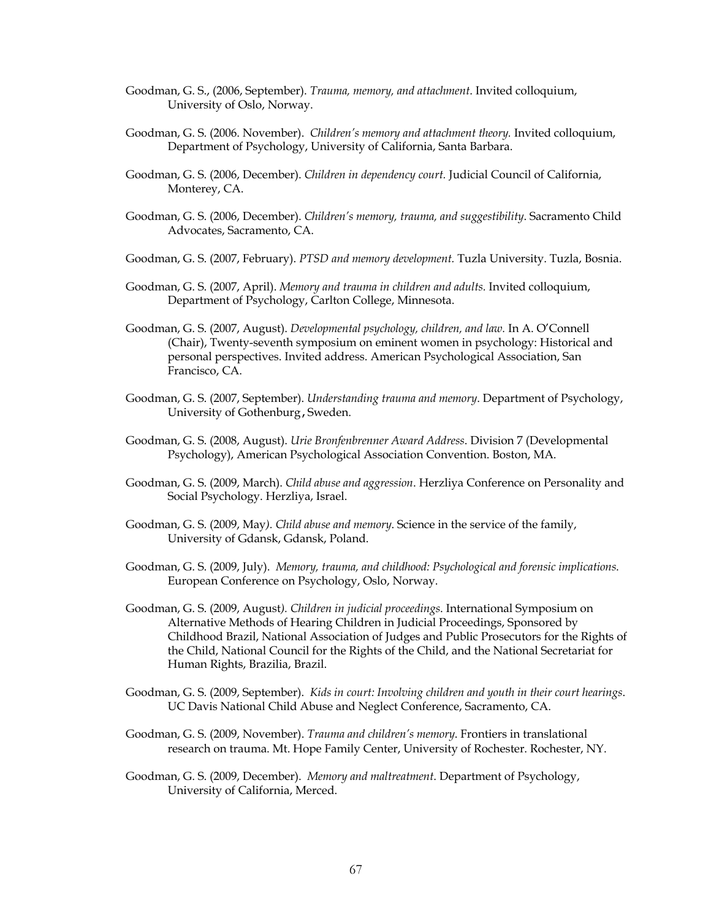- Goodman, G. S., (2006, September). *Trauma, memory, and attachment*. Invited colloquium, University of Oslo, Norway.
- Goodman, G. S. (2006. November). *Children's memory and attachment theory.* Invited colloquium, Department of Psychology, University of California, Santa Barbara.
- Goodman, G. S. (2006, December). *Children in dependency court.* Judicial Council of California, Monterey, CA.
- Goodman, G. S. (2006, December). *Children's memory, trauma, and suggestibility*. Sacramento Child Advocates, Sacramento, CA.
- Goodman, G. S. (2007, February). *PTSD and memory development.* Tuzla University. Tuzla, Bosnia.
- Goodman, G. S. (2007, April). *Memory and trauma in children and adults.* Invited colloquium, Department of Psychology, Carlton College, Minnesota.
- Goodman, G. S. (2007, August). *Developmental psychology, children, and law.* In A. O'Connell (Chair), Twenty-seventh symposium on eminent women in psychology: Historical and personal perspectives. Invited address. American Psychological Association, San Francisco, CA.
- Goodman, G. S. (2007, September). *Understanding trauma and memory*. Department of Psychology, University of Gothenburg, Sweden.
- Goodman, G. S. (2008, August). *Urie Bronfenbrenner Award Address*. Division 7 (Developmental Psychology), American Psychological Association Convention. Boston, MA.
- Goodman, G. S. (2009, March). *Child abuse and aggression*. Herzliya Conference on Personality and Social Psychology. Herzliya, Israel.
- Goodman, G. S. (2009, May*). Child abuse and memory*. Science in the service of the family, University of Gdansk, Gdansk, Poland.
- Goodman, G. S. (2009, July). *Memory, trauma, and childhood: Psychological and forensic implications*. European Conference on Psychology, Oslo, Norway.
- Goodman, G. S. (2009, August*). Children in judicial proceedings*. International Symposium on Alternative Methods of Hearing Children in Judicial Proceedings, Sponsored by Childhood Brazil, National Association of Judges and Public Prosecutors for the Rights of the Child, National Council for the Rights of the Child, and the National Secretariat for Human Rights, Brazilia, Brazil.
- Goodman, G. S. (2009, September). *Kids in court: Involving children and youth in their court hearings*. UC Davis National Child Abuse and Neglect Conference, Sacramento, CA.
- Goodman, G. S. (2009, November). *Trauma and children's memory*. Frontiers in translational research on trauma. Mt. Hope Family Center, University of Rochester. Rochester, NY.
- Goodman, G. S. (2009, December). *Memory and maltreatment*. Department of Psychology, University of California, Merced.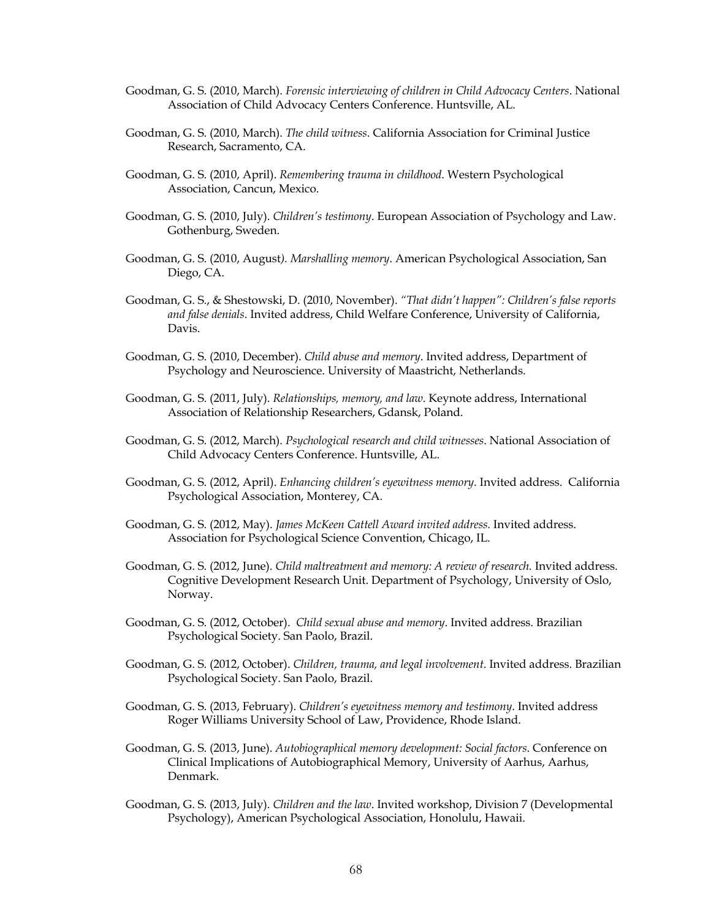- Goodman, G. S. (2010, March). *Forensic interviewing of children in Child Advocacy Centers*. National Association of Child Advocacy Centers Conference. Huntsville, AL.
- Goodman, G. S. (2010, March). *The child witness*. California Association for Criminal Justice Research, Sacramento, CA.
- Goodman, G. S. (2010, April). *Remembering trauma in childhood*. Western Psychological Association, Cancun, Mexico.
- Goodman, G. S. (2010, July). *Children's testimony*. European Association of Psychology and Law. Gothenburg, Sweden.
- Goodman, G. S. (2010, August*). Marshalling memory*. American Psychological Association, San Diego, CA.
- Goodman, G. S., & Shestowski, D. (2010, November). *"That didn't happen": Children's false reports and false denials*. Invited address, Child Welfare Conference, University of California, Davis.
- Goodman, G. S. (2010, December). *Child abuse and memory*. Invited address, Department of Psychology and Neuroscience. University of Maastricht, Netherlands.
- Goodman, G. S. (2011, July). *Relationships, memory, and law*. Keynote address, International Association of Relationship Researchers, Gdansk, Poland.
- Goodman, G. S. (2012, March). *Psychological research and child witnesses*. National Association of Child Advocacy Centers Conference. Huntsville, AL.
- Goodman, G. S. (2012, April). *Enhancing children's eyewitness memory*. Invited address. California Psychological Association, Monterey, CA.
- Goodman, G. S. (2012, May). *James McKeen Cattell Award invited address.* Invited address. Association for Psychological Science Convention, Chicago, IL.
- Goodman, G. S. (2012, June). *Child maltreatment and memory: A review of research.* Invited address. Cognitive Development Research Unit. Department of Psychology, University of Oslo, Norway.
- Goodman, G. S. (2012, October). *Child sexual abuse and memory*. Invited address. Brazilian Psychological Society. San Paolo, Brazil.
- Goodman, G. S. (2012, October). *Children, trauma, and legal involvement*. Invited address. Brazilian Psychological Society. San Paolo, Brazil.
- Goodman, G. S. (2013, February). *Children's eyewitness memory and testimony*. Invited address Roger Williams University School of Law, Providence, Rhode Island.
- Goodman, G. S. (2013, June). *Autobiographical memory development: Social factors*. Conference on Clinical Implications of Autobiographical Memory, University of Aarhus, Aarhus, Denmark.
- Goodman, G. S. (2013, July). *Children and the law*. Invited workshop, Division 7 (Developmental Psychology), American Psychological Association, Honolulu, Hawaii.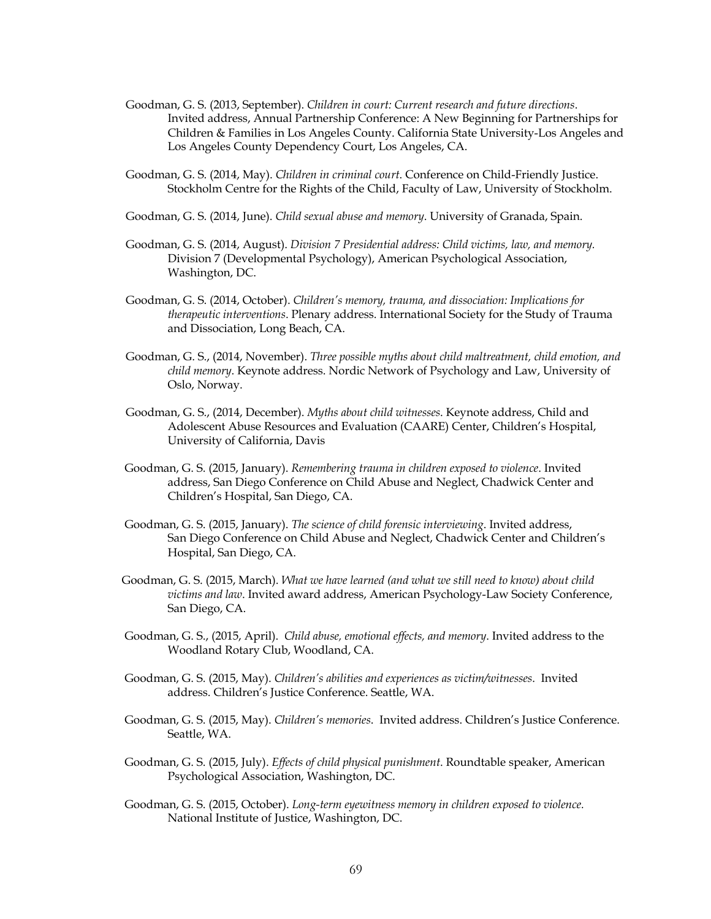- Goodman, G. S. (2013, September). *Children in court: Current research and future directions*. Invited address, Annual Partnership Conference: A New Beginning for Partnerships for Children & Families in Los Angeles County. California State University-Los Angeles and Los Angeles County Dependency Court, Los Angeles, CA.
- Goodman, G. S. (2014, May). *Children in criminal court*. Conference on Child-Friendly Justice. Stockholm Centre for the Rights of the Child, Faculty of Law, University of Stockholm.
- Goodman, G. S. (2014, June). *Child sexual abuse and memory*. University of Granada, Spain.
- Goodman, G. S. (2014, August). *Division 7 Presidential address: Child victims, law, and memory.* Division 7 (Developmental Psychology), American Psychological Association, Washington, DC.
- Goodman, G. S. (2014, October). *Children's memory, trauma, and dissociation: Implications for therapeutic interventions*. Plenary address. International Society for the Study of Trauma and Dissociation, Long Beach, CA.
- Goodman, G. S., (2014, November). *Three possible myths about child maltreatment, child emotion, and child memory*. Keynote address. Nordic Network of Psychology and Law, University of Oslo, Norway.
- Goodman, G. S., (2014, December). *Myths about child witnesses*. Keynote address, Child and Adolescent Abuse Resources and Evaluation (CAARE) Center, Children's Hospital, University of California, Davis
- Goodman, G. S. (2015, January). *Remembering trauma in children exposed to violence*. Invited address, San Diego Conference on Child Abuse and Neglect, Chadwick Center and Children's Hospital, San Diego, CA.
- Goodman, G. S. (2015, January). *The science of child forensic interviewing*. Invited address, San Diego Conference on Child Abuse and Neglect, Chadwick Center and Children's Hospital, San Diego, CA.
- Goodman, G. S. (2015, March). *What we have learned (and what we still need to know) about child victims and law*. Invited award address, American Psychology-Law Society Conference, San Diego, CA.
- Goodman, G. S., (2015, April). *Child abuse, emotional effects, and memory*. Invited address to the Woodland Rotary Club, Woodland, CA.
- Goodman, G. S. (2015, May). *Children's abilities and experiences as victim/witnesses*. Invited address. Children's Justice Conference. Seattle, WA.
- Goodman, G. S. (2015, May). *Children's memories*. Invited address. Children's Justice Conference. Seattle, WA.
- Goodman, G. S. (2015, July). *Effects of child physical punishment*. Roundtable speaker, American Psychological Association, Washington, DC.
- Goodman, G. S. (2015, October). *Long-term eyewitness memory in children exposed to violence.* National Institute of Justice, Washington, DC.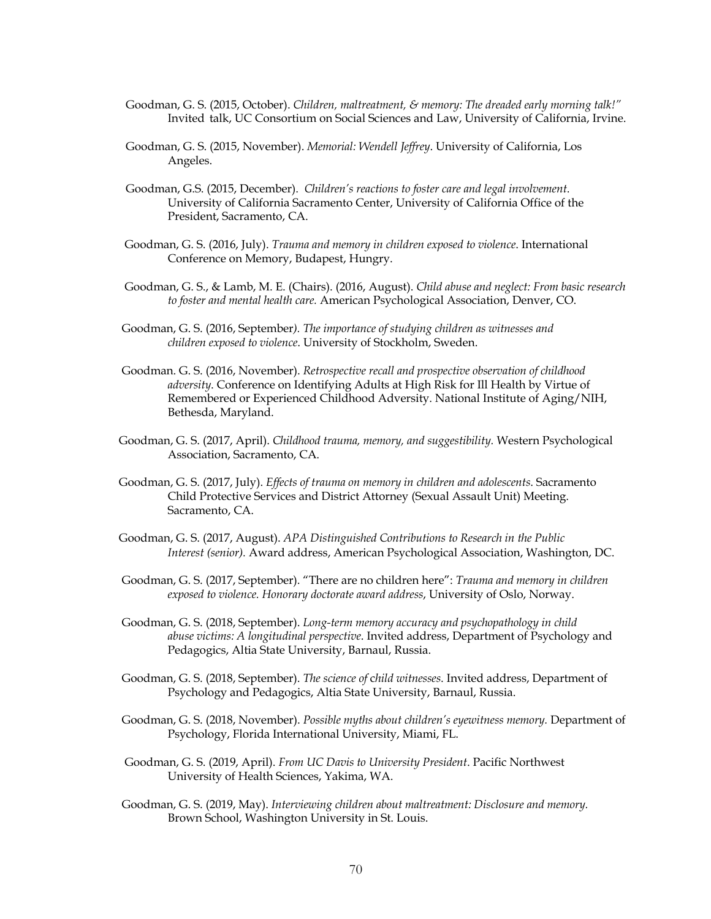- Goodman, G. S. (2015, October). *Children, maltreatment, & memory: The dreaded early morning talk!"* Invited talk, UC Consortium on Social Sciences and Law, University of California, Irvine.
- Goodman, G. S. (2015, November). *Memorial: Wendell Jeffrey*. University of California, Los Angeles.
- Goodman, G.S. (2015, December). *Children's reactions to foster care and legal involvement*. University of California Sacramento Center, University of California Office of the President, Sacramento, CA.
- Goodman, G. S. (2016, July). *Trauma and memory in children exposed to violence*. International Conference on Memory, Budapest, Hungry.
- Goodman, G. S., & Lamb, M. E. (Chairs). (2016, August). *Child abuse and neglect: From basic research to foster and mental health care.* American Psychological Association, Denver, CO.
- Goodman, G. S. (2016, September*). The importance of studying children as witnesses and children exposed to violence*. University of Stockholm, Sweden.
- Goodman. G. S. (2016, November). *Retrospective recall and prospective observation of childhood adversity*. Conference on Identifying Adults at High Risk for Ill Health by Virtue of Remembered or Experienced Childhood Adversity. National Institute of Aging/NIH, Bethesda, Maryland.
- Goodman, G. S. (2017, April). *Childhood trauma, memory, and suggestibility.* Western Psychological Association, Sacramento, CA.
- Goodman, G. S. (2017, July). *Effects of trauma on memory in children and adolescents*. Sacramento Child Protective Services and District Attorney (Sexual Assault Unit) Meeting. Sacramento, CA.
- Goodman, G. S. (2017, August). *APA Distinguished Contributions to Research in the Public Interest (senior).* Award address, American Psychological Association, Washington, DC.
- Goodman, G. S. (2017, September). "There are no children here": *Trauma and memory in children exposed to violence. Honorary doctorate award address*, University of Oslo, Norway.
- Goodman, G. S. (2018, September). *Long-term memory accuracy and psychopathology in child abuse victims: A longitudinal perspective*. Invited address, Department of Psychology and Pedagogics, Altia State University, Barnaul, Russia.
- Goodman, G. S. (2018, September). *The science of* c*hild witnesses*. Invited address, Department of Psychology and Pedagogics, Altia State University, Barnaul, Russia.
- Goodman, G. S. (2018, November). *Possible myths about children's eyewitness memory.* Department of Psychology, Florida International University, Miami, FL.
- Goodman, G. S. (2019, April). *From UC Davis to University President*. Pacific Northwest University of Health Sciences, Yakima, WA.
- Goodman, G. S. (2019, May). *Interviewing children about maltreatment: Disclosure and memory.* Brown School, Washington University in St. Louis.